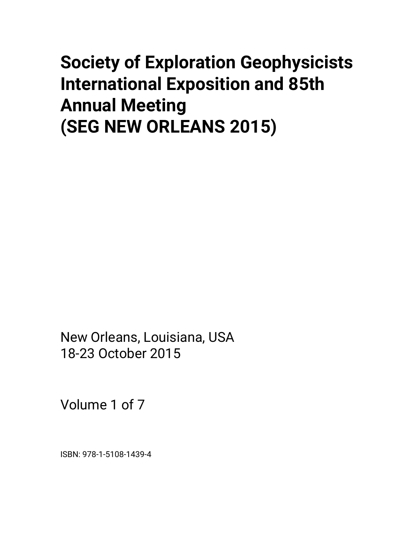# **Society of Exploration Geophysicists International Exposition and 85th Annual Meeting (SEG NEW ORLEANS 2015)**

New Orleans, Louisiana, USA 18-23 October 2015

Volume 1 of 7

ISBN: 978-1-5108-1439-4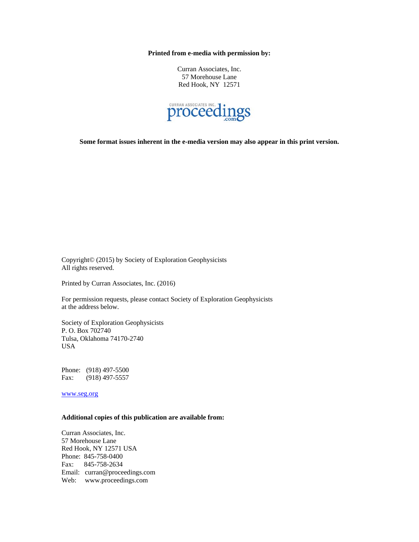**Printed from e-media with permission by:** 

Curran Associates, Inc. 57 Morehouse Lane Red Hook, NY 12571



**Some format issues inherent in the e-media version may also appear in this print version.** 

Copyright© (2015) by Society of Exploration Geophysicists All rights reserved.

Printed by Curran Associates, Inc. (2016)

For permission requests, please contact Society of Exploration Geophysicists at the address below.

Society of Exploration Geophysicists P. O. Box 702740 Tulsa, Oklahoma 74170-2740 USA

Phone: (918) 497-5500 Fax: (918) 497-5557

www.seg.org

#### **Additional copies of this publication are available from:**

Curran Associates, Inc. 57 Morehouse Lane Red Hook, NY 12571 USA Phone: 845-758-0400 Fax: 845-758-2634 Email: curran@proceedings.com Web: www.proceedings.com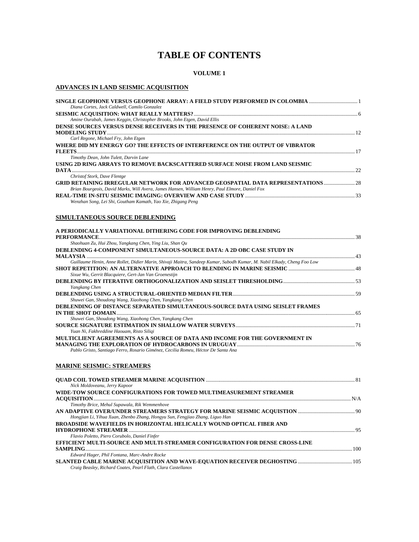## **TABLE OF CONTENTS**

### **VOLUME 1**

### **ADVANCES IN LAND SEISMIC ACQUISITION**

| SINGLE GEOPHONE VERSUS GEOPHONE ARRAY: A FIELD STUDY PERFORMED IN COLOMBIA 1                   |  |
|------------------------------------------------------------------------------------------------|--|
| Diana Cortes, Jack Caldwell, Camilo Gonzalez                                                   |  |
|                                                                                                |  |
| Amine Ourabah, James Keggin, Christopher Brooks, John Etgen, David Ellis                       |  |
| DENSE SOURCES VERSUS DENSE RECEIVERS IN THE PRESENCE OF COHERENT NOISE: A LAND                 |  |
|                                                                                                |  |
| Carl Regone, Michael Fry, John Etgen                                                           |  |
| WHERE DID MY ENERGY GO? THE EFFECTS OF INTERFERENCE ON THE OUTPUT OF VIBRATOR                  |  |
|                                                                                                |  |
| Timothy Dean, John Tulett, Darvin Lane                                                         |  |
| USING 2D RING ARRAYS TO REMOVE BACKSCATTERED SURFACE NOISE FROM LAND SEISMIC                   |  |
|                                                                                                |  |
| Christof Stork, Dave Flentge                                                                   |  |
| GRID RETAINING IRREGULAR NETWORK FOR ADVANCED GEOSPATIAL DATA REPRESENTATIONS  28              |  |
| Brian Bourgeois, David Marks, Will Avera, James Hansen, William Henry, Paul Elmore, Daniel Fox |  |
|                                                                                                |  |
| Wenzhan Song, Lei Shi, Goutham Kamath, Yao Xie, Zhigang Peng                                   |  |
|                                                                                                |  |
| $\cdots$                                                                                       |  |

### **SIMULTANEOUS SOURCE DEBLENDING**

| A PERIODICALLY VARIATIONAL DITHERING CODE FOR IMPROVING DEBLENDING                                                      |  |
|-------------------------------------------------------------------------------------------------------------------------|--|
|                                                                                                                         |  |
| Shaohuan Zu, Hui Zhou, Yangkang Chen, Ying Liu, Shan Ou                                                                 |  |
| DEBLENDING 4-COMPONENT SIMULTANEOUS-SOURCE DATA: A 2D OBC CASE STUDY IN                                                 |  |
|                                                                                                                         |  |
| Guillaume Henin, Anne Rollet, Didier Marin, Shivaji Maitra, Sandeep Kumar, Subodh Kumar, M. Nabil Elkady, Cheng Foo Low |  |
|                                                                                                                         |  |
| Sixue Wu, Gerrit Blacquiere, Gert-Jan Van Groenestijn                                                                   |  |
|                                                                                                                         |  |
| Yangkang Chen                                                                                                           |  |
|                                                                                                                         |  |
| Shuwei Gan, Shoudong Wang, Xiaohong Chen, Yangkang Chen                                                                 |  |
| DEBLENDING OF DISTANCE SEPARATED SIMULTANEOUS-SOURCE DATA USING SEISLET FRAMES                                          |  |
|                                                                                                                         |  |
| Shuwei Gan, Shoudong Wang, Xiaohong Chen, Yangkang Chen                                                                 |  |
|                                                                                                                         |  |
| Yuan Ni, Fakhreddine Haouam, Risto Siligi                                                                               |  |
| MULTICLIENT AGREEMENTS AS A SOURCE OF DATA AND INCOME FOR THE GOVERNMENT IN                                             |  |
|                                                                                                                         |  |
| Pablo Gristo, Santiago Ferro, Rosario Giménez, Cecilia Romeu, Héctor De Santa Ana                                       |  |

### **MARINE SEISMIC: STREAMERS**

| Nick Moldoveanu, Jerry Kapoor                                                |  |
|------------------------------------------------------------------------------|--|
| WIDE-TOW SOURCE CONFIGURATIONS FOR TOWED MULTIMEASUREMENT STREAMER           |  |
|                                                                              |  |
| Timothy Brice, Mehul Supawala, Rik Wemmenhove                                |  |
|                                                                              |  |
| Hongjian Li, Yihua Xuan, Zhenbo Zhang, Hongyu Sun, Fengjiao Zhang, Liguo Han |  |
| BROADSIDE WAVEFIELDS IN HORIZONTAL HELICALLY WOUND OPTICAL FIBER AND         |  |
|                                                                              |  |
| Flavio Poletto, Piero Corubolo, Daniel Finfer                                |  |
| EFFICIENT MULTI-SOURCE AND MULTI-STREAMER CONFIGURATION FOR DENSE CROSS-LINE |  |
|                                                                              |  |
| Edward Hager, Phil Fontana, Marc-Andre Rocke                                 |  |
|                                                                              |  |
| Craig Beasley, Richard Coates, Pearl Flath, Clara Castellanos                |  |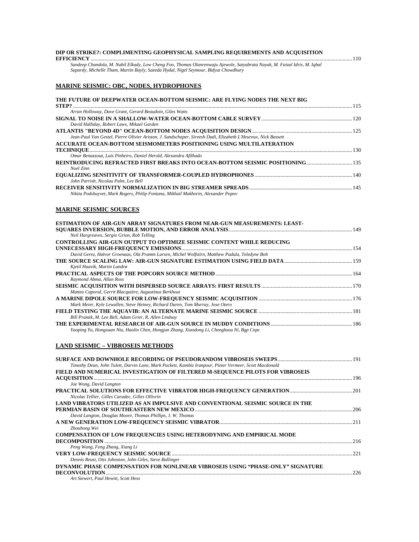#### **DIP OR STRIKE?: COMPLIMENTING GEOPHYSICAL SAMPLING REQUIREMENTS AND ACQUISITION EFFICIENCY** .................................................................................................................................................................................................110

*Sandeep Chandola, M. Nabil Elkady, Low Cheng Foo, Thomas Olanrenwaju Ajewole, Satyabrata Nayak, M. Faizal Idris, M. Iqbal Supardy, Michelle Tham, Martin Bayly, Saeeda Hydal, Nigel Seymour, Bidyut Chowdhury* 

#### **MARINE SEISMIC: OBC, NODES, HYDROPHONES**

| THE FUTURE OF DEEPWATER OCEAN-BOTTOM SEISMIC: ARE FLYING NODES THE NEXT BIG                                   |  |
|---------------------------------------------------------------------------------------------------------------|--|
|                                                                                                               |  |
| Arran Holloway, Dave Grant, Gerard Beaudoin, Giles Watts                                                      |  |
|                                                                                                               |  |
| David Halliday, Robert Laws, Mikael Garden                                                                    |  |
|                                                                                                               |  |
| Jean-Paul Van Gestel, Pierre Olivier Ariston, J. Sandschaper, Sireesh Dadi, Elizabeth L'Heureux, Nick Bassett |  |
| ACCURATE OCEAN-BOTTOM SEISMOMETERS POSITIONING USING MULTILATERATION                                          |  |
|                                                                                                               |  |
| Omar Benazzouz, Luis Pinheiro, Daniel Herold, Alexandra Afilhado                                              |  |
| REINTRODUCING REFRACTED FIRST BREAKS INTO OCEAN-BOTTOM SEISMIC POSITIONING 135                                |  |
| Noel Zinn                                                                                                     |  |
|                                                                                                               |  |
| John Parrish, Nicolau Palm, Lee Bell                                                                          |  |
|                                                                                                               |  |
| Nikita Podshuvvet, Mark Rogers, Philip Fontana, Mikhail Makhorin, Alexander Popov                             |  |

#### **MARINE SEISMIC SOURCES**

| <b>ESTIMATION OF AIR-GUN ARRAY SIGNATURES FROM NEAR-GUN MEASUREMENTS: LEAST-</b>                |  |
|-------------------------------------------------------------------------------------------------|--|
|                                                                                                 |  |
| Neil Hargreaves, Sergio Grion, Rob Telling                                                      |  |
| <b>CONTROLLING AIR-GUN OUTPUT TO OPTIMIZE SEISMIC CONTENT WHILE REDUCING</b>                    |  |
|                                                                                                 |  |
| David Gerez, Halvor Groenaas, Ola Pramm Larsen, Michel Wolfstirn, Matthew Padula, Teledyne Bolt |  |
|                                                                                                 |  |
| Kjetil Haavik, Martin Landrø                                                                    |  |
|                                                                                                 |  |
| Raymond Abma, Allan Ross                                                                        |  |
|                                                                                                 |  |
| Matteo Caporal, Gerrit Blacquière, Augustinus Berkhout                                          |  |
|                                                                                                 |  |
| Mark Meier, Kyle Lewallen, Steve Heiney, Richard Duren, Tom Murray, Jose Otero                  |  |
|                                                                                                 |  |
| Bill Pramik, M. Lee Bell, Adam Grier, R. Allen Lindsay                                          |  |
|                                                                                                 |  |
| Yaoping Yu, Hongxuan Niu, Haolin Chen, Hongjun Zhang, Xiaodong Li, Chenghzou Ni, Bgp Cnpc       |  |

#### **LAND SEISMIC – VIBROSEIS METHODS**

| Timothy Dean, John Tulett, Darvin Lane, Mark Puckett, Kambiz Iranpour, Pieter Vermeer, Scott Macdonald |      |
|--------------------------------------------------------------------------------------------------------|------|
| FIELD AND NUMERICAL INVESTIGATION OF FILTERED M-SEQUENCE PILOTS FOR VIBROSEIS                          |      |
|                                                                                                        | -196 |
| Joe Wong, David Langton                                                                                |      |
| Nicolas Tellier, Gilles Caradec, Gilles Ollivrin                                                       |      |
| LAND VIBRATORS UTILIZED AS AN IMPULSIVE AND CONVENTIONAL SEISMIC SOURCE IN THE                         |      |
|                                                                                                        |      |
| David Langton, Douglas Moore, Thomas Phillips, J. W. Thomas                                            |      |
| Zhouhong Wei                                                                                           |      |
| <b>COMPENSATION OF LOW FREQUENCIES USING HETERODYNING AND EMPIRICAL MODE</b>                           |      |
| Peng Wang, Feng Zhang, Xiang Li                                                                        | 216  |
|                                                                                                        | 221  |
| Dennis Reust, Otis Johnston, John Giles, Steve Ballinger                                               |      |
| DYNAMIC PHASE COMPENSATION FOR NONLINEAR VIBROSEIS USING "PHASE-ONLY" SIGNATURE                        |      |
|                                                                                                        | 226  |
| Art Sigwart, Paul Howitt, Scott Hose                                                                   |      |

*Art Siewert, Paul Hewitt, Scott Hess*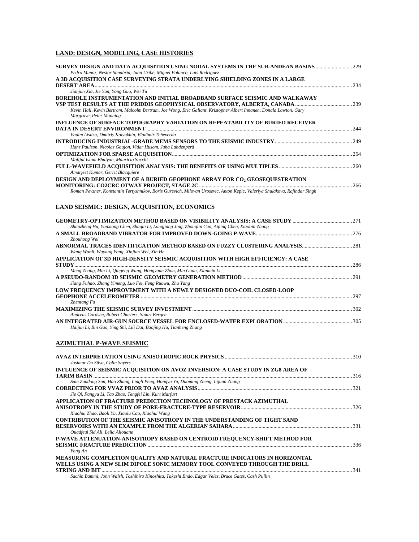### **LAND: DESIGN, MODELING, CASE HISTORIES**

| SURVEY DESIGN AND DATA ACQUISITION USING NODAL SYSTEMS IN THE SUB-ANDEAN BASINS 229                                                                      |  |
|----------------------------------------------------------------------------------------------------------------------------------------------------------|--|
| Pedro Munoz, Nestor Sanabria, Juan Uribe, Miguel Polanco, Luis Rodriguez<br>A 3D ACQUISITION CASE SURVEYING STRATA UNDERLYING SHIELDING ZONES IN A LARGE |  |
|                                                                                                                                                          |  |
| Jianjun Xia, Jie Yan, Yong Guo, Wei Tu                                                                                                                   |  |
| BOREHOLE INSTRUMENTATION AND INITIAL BROADBAND SURFACE SEISMIC AND WALKAWAY                                                                              |  |
| Kevin Hall, Kevin Bertram, Malcolm Bertram, Joe Wong, Eric Gallant, Kristopher Albert Innanen, Donald Lawton, Gary                                       |  |
| Margrave, Peter Manning                                                                                                                                  |  |
| <b>INFLUENCE OF SURFACE TOPOGRAPHY VARIATION ON REPEATABILITY OF BURIED RECEIVER</b>                                                                     |  |
|                                                                                                                                                          |  |
| Vadim Lisitsa, Dmitriy Kolyukhin, Vladimir Tcheverda                                                                                                     |  |
| Hans Paulson, Nicolas Goujon, Vidar Husom, Juha Lahdenperä                                                                                               |  |
|                                                                                                                                                          |  |
| Mafijul Islam Bhuiyan, Mauricio Sacchi                                                                                                                   |  |
| Amarjeet Kumar, Gerrit Blacquiere                                                                                                                        |  |
| DESIGN AND DEPLOYMENT OF A BURIED GEOPHONE ARRAY FOR CO2 GEOSEQUESTRATION                                                                                |  |
|                                                                                                                                                          |  |
| Roman Pevzner, Konstantin Tertyshnikov, Boris Gurevich, Milovan Urosevic, Anton Kepic, Valeriya Shulakova, Rajindar Singh                                |  |
|                                                                                                                                                          |  |
| <b>LAND SEISMIC: DESIGN, ACQUISITION, ECONOMICS</b>                                                                                                      |  |
|                                                                                                                                                          |  |
|                                                                                                                                                          |  |
| Shanzheng Hu, Yanxiong Chen, Shuqin Li, Longjiang Jing, Zhonglin Cao, Aiping Chen, Xiaobin Zhang                                                         |  |
| Zhouhong Wei                                                                                                                                             |  |
|                                                                                                                                                          |  |
| Wang Wanli, Wuyang Yang, Xinjian Wei, Xin He                                                                                                             |  |
| APPLICATION OF 3D HIGH-DENSITY SEISMIC ACQUISITION WITH HIGH EFFICIENCY: A CASE                                                                          |  |
| Meng Zhang, Min Li, Qingeng Wang, Hongyuan Zhou, Min Guan, Xianmin Li                                                                                    |  |
|                                                                                                                                                          |  |
| Jiang Fuhao, Zhang Yimeng, Luo Fei, Feng Ruowu, Zhu Yang                                                                                                 |  |
| LOW FREQUENCY IMPROVEMENT WITH A NEWLY DESIGNED DUO-COIL CLOSED-LOOP                                                                                     |  |
| Zhentang Fu                                                                                                                                              |  |
|                                                                                                                                                          |  |
| Andreas Cordsen, Robert Charters, Stuart Bergen                                                                                                          |  |
|                                                                                                                                                          |  |
| Haijun Li, Bin Gao, Ying Shi, Lili Dai, Baojing Hu, Tianheng Zhang                                                                                       |  |
|                                                                                                                                                          |  |
| <b>AZIMUTHAL P-WAVE SEISMIC</b>                                                                                                                          |  |
|                                                                                                                                                          |  |
| Josimar Da Silva, Colin Sayers                                                                                                                           |  |
| INFLUENCE OF SEISMIC ACQUISITION ON AVOZ INVERSION: A CASE STUDY IN ZG8 AREA OF                                                                          |  |
| Sam Zandong Sun, Hao Zhang, Lingli Peng, Hongyu Yu, Duoming Zheng, Lijuan Zhang                                                                          |  |
|                                                                                                                                                          |  |
| Jie Qi, Fangyu Li, Tao Zhao, Tengfei Lin, Kurt Marfurt                                                                                                   |  |
| APPLICATION OF FRACTURE PREDICTION TECHNOLOGY OF PRESTACK AZIMUTHAL                                                                                      |  |
| Xiaohui Zhao, Baoli Yu, Xiaolu Cao, Xiaohui Wang                                                                                                         |  |
| CONTRIBUTION OF THE SEISMIC ANISOTROPY IN THE UNDERSTANDING OF TIGHT SAND                                                                                |  |
|                                                                                                                                                          |  |
| Ouadfeul Sid Ali, Leila Aliouane                                                                                                                         |  |
| P-WAVE ATTENUATION-ANISOTROPY BASED ON CENTROID FREQUENCY-SHIFT METHOD FOR                                                                               |  |
| Yong An                                                                                                                                                  |  |
| MEASURING COMPLETION QUALITY AND NATURAL FRACTURE INDICATORS IN HORIZONTAL                                                                               |  |
| WELLS USING A NEW SLIM DIPOLE SONIC MEMORY TOOL CONVEYED THROUGH THE DRILL                                                                               |  |
|                                                                                                                                                          |  |
| Sachin Bammi, John Walsh, Toshihiro Kinoshita, Takeshi Endo, Edgar Velez, Bruce Gates, Cash Pullin                                                       |  |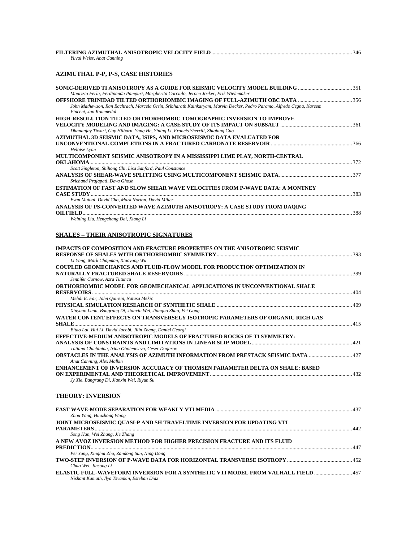| Yuval Weiss, Anat Canning |  |
|---------------------------|--|

#### **AZIMUTHAL P-P, P-S, CASE HISTORIES**

| SONIC-DERIVED TI ANISOTROPY AS A GUIDE FOR SEISMIC VELOCITY MODEL BUILDING                                             |     |
|------------------------------------------------------------------------------------------------------------------------|-----|
| Maurizio Ferla, Ferdinanda Pampuri, Margherita Corciulo, Jeroen Jocker, Erik Wielemaker                                |     |
|                                                                                                                        |     |
| John Mathewson, Ran Bachrach, Marcela Ortin, Sribharath Kainkaryam, Marvin Decker, Pedro Paramo, Alfredo Cegna, Kareem |     |
| Vincent, Jan Kommedal                                                                                                  |     |
| HIGH-RESOLUTION TILTED-ORTHORHOMBIC TOMOGRAPHIC INVERSION TO IMPROVE                                                   |     |
|                                                                                                                        |     |
| Dhananjay Tiwari, Guy Hilburn, Yang He, Yining Li, Francis Sherrill, Zhigiang Guo                                      |     |
| AZIMUTHAL 3D SEISMIC DATA, ISIPS, AND MICROSEISMIC DATA EVALUATED FOR                                                  |     |
|                                                                                                                        |     |
| Heloise Lynn                                                                                                           |     |
| MULTICOMPONENT SEISMIC ANISOTROPY IN A MISSISSIPPI LIME PLAY, NORTH-CENTRAL                                            |     |
| <b>OKLAHOMA</b>                                                                                                        | 372 |
| Scott Singleton, Shihong Chi, Lisa Sanford, Paul Constance                                                             |     |
|                                                                                                                        |     |
| Srichand Prajapati, Deva Ghosh                                                                                         |     |
| <b>ESTIMATION OF FAST AND SLOW SHEAR WAVE VELOCITIES FROM P-WAVE DATA: A MONTNEY</b>                                   |     |
|                                                                                                                        | 383 |
| Evan Mutual, David Cho, Mark Norton, David Miller                                                                      |     |
| ANALYSIS OF PS-CONVERTED WAVE AZIMUTH ANISOTROPY: A CASE STUDY FROM DAOING                                             |     |
| <b>OILFIELD.</b>                                                                                                       |     |
| Weining Liu, Hengchang Dai, Xiang Li                                                                                   |     |
|                                                                                                                        |     |
|                                                                                                                        |     |

### **SHALES – THEIR ANISOTROPIC SIGNATURES**

| IMPACTS OF COMPOSITION AND FRACTURE PROPERTIES ON THE ANISOTROPIC SEISMIC      |  |
|--------------------------------------------------------------------------------|--|
| Li Yang, Mark Chapman, Xiaoyang Wu                                             |  |
| COUPLED GEOMECHANICS AND FLUID-FLOW MODEL FOR PRODUCTION OPTIMIZATION IN       |  |
|                                                                                |  |
| Jennifer Curnow, Azra Tutuncu                                                  |  |
| ORTHORHOMBIC MODEL FOR GEOMECHANICAL APPLICATIONS IN UNCONVENTIONAL SHALE      |  |
| 404                                                                            |  |
| Mehdi E. Far, John Quirein, Natasa Mekic                                       |  |
|                                                                                |  |
| Xinyuan Luan, Bangrang Di, Jianxin Wei, Jianguo Zhao, Fei Gong                 |  |
| WATER CONTENT EFFECTS ON TRANSVERSELY ISOTROPIC PARAMETERS OF ORGANIC RICH GAS |  |
|                                                                                |  |
| Bitao Lai, Hui Li, David Jacobi, Jilin Zhang, Daniel Georgi                    |  |
| EFFECTIVE-MEDIUM ANISOTROPIC MODELS OF FRACTURED ROCKS OF TI SYMMETRY:         |  |
|                                                                                |  |
| Tatiana Chichinina, Irina Obolentseva, Geser Dugarov                           |  |
|                                                                                |  |
| Anat Canning, Alex Malkin                                                      |  |
| ENHANCEMENT OF INVERSION ACCURACY OF THOMSEN PARAMETER DELTA ON SHALE: BASED   |  |
|                                                                                |  |
| Jy Xie, Bangrang Di, Jianxin Wei, Riyun Su                                     |  |
| <b>THEORY: INVERSION</b>                                                       |  |
|                                                                                |  |
| Zhou Yang, Huazhong Wang                                                       |  |
| JOINT MICROSEISMIC QUASI-P AND SH TRAVELTIME INVERSION FOR UPDATING VTI        |  |
|                                                                                |  |
| Song Han, Wei Zhang, Jie Zhang                                                 |  |
| A NEW AVOZ INVERSION METHOD FOR HIGHER PRECISION FRACTURE AND ITS FLUID        |  |

**PREDICTION**.................................................................................................................................................................................................447 *Pei Yang, Xinghui Zhu, Zandong Sun, Ning Dong*  **TWO-STEP INVERSION OF P-WAVE DATA FOR HORIZONTAL TRANSVERSE ISOTROPY** ................................................452 *Chao Wei, Jinsong Li*  **ELASTIC FULL-WAVEFORM INVERSION FOR A SYNTHETIC VTI MODEL FROM VALHALL FIELD** ............................457 *Nishant Kamath, Ilya Tsvankin, Esteban Diaz*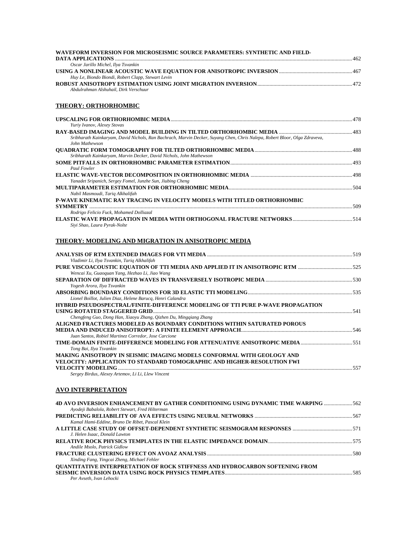| WAVEFORM INVERSION FOR MICROSEISMIC SOURCE PARAMETERS: SYNTHETIC AND FIELD- |     |
|-----------------------------------------------------------------------------|-----|
|                                                                             | 462 |
| Oscar Jarillo Michel, Ilya Tsvankin                                         |     |
|                                                                             |     |
| Huy Le, Biondo Biondi, Robert Clapp, Stewart Levin                          |     |
|                                                                             | 472 |
| Abdulrahman Alshuhail. Dirk Verschuur                                       |     |

### **THEORY: ORTHORHOMBIC**

| Yuriy Ivanov, Alexey Stovas                                                                                                                  |  |
|----------------------------------------------------------------------------------------------------------------------------------------------|--|
|                                                                                                                                              |  |
| Sribharath Kainkaryam, David Nichols, Ran Bachrach, Marvin Decker, Suyang Chen, Chris Nalepa, Robert Bloor, Olga Zdraveva,<br>John Mathewson |  |
|                                                                                                                                              |  |
| Sribharath Kainkaryam, Marvin Decker, David Nichols, John Mathewson                                                                          |  |
|                                                                                                                                              |  |
| <b>Paul Fowler</b>                                                                                                                           |  |
|                                                                                                                                              |  |
| Yanadet Sripanich, Sergey Fomel, Junzhe Sun, Jiubing Cheng                                                                                   |  |
| Nabil Masmoudi, Tariq Alkhalifah                                                                                                             |  |
| P-WAVE KINEMATIC RAY TRACING IN VELOCITY MODELS WITH TITLED ORTHORHOMBIC                                                                     |  |
| <b>SYMMETRY</b><br>Rodrigo Felicio Fuck, Mohamed Dolliazal                                                                                   |  |
| Sivi Shao, Laura Pyrak-Nolte                                                                                                                 |  |

### **THEORY: MODELING AND MIGRATION IN ANISOTROPIC MEDIA**

| Vladimir Li, Ilya Tsvankin, Tariq Alkhalifah                                                                                                                                                                                                                                                                                                          |  |
|-------------------------------------------------------------------------------------------------------------------------------------------------------------------------------------------------------------------------------------------------------------------------------------------------------------------------------------------------------|--|
|                                                                                                                                                                                                                                                                                                                                                       |  |
| Wencai Xu, Guaoquan Yang, Hezhao Li, Jiao Wang                                                                                                                                                                                                                                                                                                        |  |
|                                                                                                                                                                                                                                                                                                                                                       |  |
| Yogesh Arora, Ilya Tsvankin                                                                                                                                                                                                                                                                                                                           |  |
|                                                                                                                                                                                                                                                                                                                                                       |  |
| Lionel Boillot, Julien Diaz, Helene Barucq, Henri Calandra                                                                                                                                                                                                                                                                                            |  |
| <b>HYBRID PSEUDOSPECTRAL/FINITE-DIFFERENCE MODELING OF TTI PURE P-WAVE PROPAGATION</b>                                                                                                                                                                                                                                                                |  |
|                                                                                                                                                                                                                                                                                                                                                       |  |
| Chengfeng Guo, Dong Han, Xiaoyu Zhang, Qizhen Du, Mingqiang Zhang                                                                                                                                                                                                                                                                                     |  |
| ALIGNED FRACTURES MODELED AS BOUNDARY CONDITIONS WITHIN SATURATED POROUS                                                                                                                                                                                                                                                                              |  |
|                                                                                                                                                                                                                                                                                                                                                       |  |
| Juan Santos, Robiel Martinez Corredor, Jose Carcione                                                                                                                                                                                                                                                                                                  |  |
| TIME-DOMAIN FINITE-DIFFERENCE MODELING FOR ATTENUATIVE ANISOTROPIC MEDIA 551                                                                                                                                                                                                                                                                          |  |
| Tong Bai, Ilya Tsvankin                                                                                                                                                                                                                                                                                                                               |  |
| MAKING ANISOTROPY IN SEISMIC IMAGING MODELS CONFORMAL WITH GEOLOGY AND                                                                                                                                                                                                                                                                                |  |
| VELOCITY: APPLICATION TO STANDARD TOMOGRAPHIC AND HIGHER-RESOLUTION FWI                                                                                                                                                                                                                                                                               |  |
| <b>VELOCITY MODELING</b>                                                                                                                                                                                                                                                                                                                              |  |
| $C_1, \ldots, C_n, C_n, C_1, \ldots, C_n, C_1, C_2, \ldots, C_n, C_1, C_2, \ldots, C_n, C_1, C_2, \ldots, C_n, C_1, C_2, \ldots, C_n, C_1, C_2, \ldots, C_n, C_1, C_2, \ldots, C_n, C_1, C_2, \ldots, C_n, C_1, C_2, \ldots, C_n, C_1, C_2, \ldots, C_n, C_1, C_2, \ldots, C_n, C_1, C_2, \ldots, C_n, C_1, C_2, \ldots, C_n, C_1, C_2, \ldots, C_n,$ |  |

*Sergey Birdus, Alexey Artemov, Li Li, Llew Vincent* 

### **AVO INTERPRETATION**

| 4D AVO INVERSION ENHANCEMENT BY GATHER CONDITIONING USING DYNAMIC TIME WARPING      |  |
|-------------------------------------------------------------------------------------|--|
| Ayodeji Babalola, Robert Stewart, Fred Hilterman                                    |  |
|                                                                                     |  |
| Kamal Hami-Eddine, Bruno De Ribet, Pascal Klein                                     |  |
|                                                                                     |  |
| J. Helen Isaac. Donald Lawton                                                       |  |
|                                                                                     |  |
| Andile Msolo, Patrick Gidlow                                                        |  |
|                                                                                     |  |
| Xinding Fang, Yingcai Zheng, Michael Fehler                                         |  |
| <b>OUANTITATIVE INTERPRETATION OF ROCK STIFFNESS AND HYDROCARBON SOFTENING FROM</b> |  |
|                                                                                     |  |
| Per Avseth, Ivan Lehocki                                                            |  |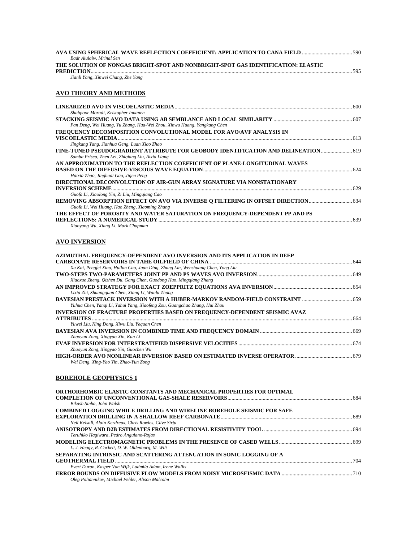| Badr Alulaiw, Mrinal Sen                                                          |     |
|-----------------------------------------------------------------------------------|-----|
| THE SOLUTION OF NONGAS BRIGHT-SPOT AND NONBRIGHT-SPOT GAS IDENTIFICATION: ELASTIC |     |
|                                                                                   | 595 |
| Jianli Yang, Xinwei Chang, Zhe Yang                                               |     |

**AVO THEORY AND METHODS**

| Shahpoor Moradi, Kristopher Innanen                                                        |     |
|--------------------------------------------------------------------------------------------|-----|
|                                                                                            |     |
| Pan Deng, Wei Huang, Yu Zhang, Hua-Wei Zhou, Xinwu Huang, Yangkang Chen                    |     |
|                                                                                            |     |
| FREQUENCY DECOMPOSITION CONVOLUTIONAL MODEL FOR AVO/AVF ANALYSIS IN                        |     |
|                                                                                            |     |
| Jingkang Yang, Jianhua Geng, Luan Xiao Zhao                                                |     |
| <b>FINE-TUNED PSEUDOGRADIENT ATTRIBUTE FOR GEOBODY IDENTIFICATION AND DELINEATION </b> 619 |     |
| Samba Prisca, Zhen Lei, Zhigiang Liu, Aixia Liang                                          |     |
| AN APPROXIMATION TO THE REFLECTION COEFFICIENT OF PLANE-LONGITUDINAL WAVES                 |     |
|                                                                                            |     |
| Haixia Zhao, Jinghuai Gao, Jigen Peng                                                      |     |
| DIRECTIONAL DECONVOLUTION OF AIR-GUN ARRAY SIGNATURE VIA NONSTATIONARY                     |     |
|                                                                                            | 629 |
| Guofa Li, Xiaolong Yin, Zi Liu, Minggiang Cao                                              |     |
| REMOVING ABSORPTION EFFECT ON AVO VIA INVERSE O FILTERING IN OFFSET DIRECTION 634          |     |
| Guofa Li, Wei Huang, Hao Zheng, Xiaoming Zhang                                             |     |
| THE EFFECT OF POROSITY AND WATER SATURATION ON FREQUENCY-DEPENDENT PP AND PS               |     |
|                                                                                            | 639 |
| Xiaoyang Wu, Xiang Li, Mark Chapman                                                        |     |

### **AVO INVERSION**

| AZIMUTHAL FREQUENCY-DEPENDENT AVO INVERSION AND ITS APPLICATION IN DEEP           |  |
|-----------------------------------------------------------------------------------|--|
|                                                                                   |  |
| Xu Kai, Pengfei Xiao, Huilan Cao, Juan Ding, Zhang Lin, Wenshuang Chen, Yong Liu  |  |
|                                                                                   |  |
| Xiaoxue Zheng, Oizhen Du, Gang Chen, Guodong Huo, Minggiang Zhang                 |  |
|                                                                                   |  |
| Lixia Zhi, Shuangquan Chen, Xiang Li, Wanlu Zhang                                 |  |
|                                                                                   |  |
| Yuhua Chen, Yangi Li, Yahui Yang, Xiaofeng Zou, Guangchao Zhang, Hui Zhou         |  |
| <b>INVERSION OF FRACTURE PROPERTIES BASED ON FREQUENCY-DEPENDENT SEISMIC AVAZ</b> |  |
|                                                                                   |  |
| Yuwei Liu, Ning Dong, Xiwu Liu, Yequan Chen                                       |  |
|                                                                                   |  |
| Zhaoyun Zong, Xingyao Xin, Kun Li                                                 |  |
|                                                                                   |  |
| Zhaoyun Zong, Xingyao Yin, Guochen Wu                                             |  |
|                                                                                   |  |
| Wei Deng, Xing-Yao Yin, Zhao-Yun Zong                                             |  |

### **BOREHOLE GEOPHYSICS 1**

| 704 |
|-----|
|     |
|     |
|     |
|     |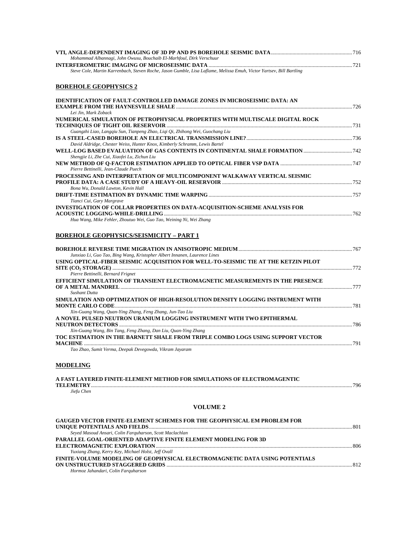| Mohammad Albannagi, John Owusu, Bouchaib El-Marhfoul, Dirk Verschuur                                                 |  |
|----------------------------------------------------------------------------------------------------------------------|--|
| Steve Cole, Martin Karrenbach, Steven Roche, Jason Gumble, Lisa Laflame, Melissa Emuh, Victor Yartsev, Bill Bartling |  |
| <b>BOREHOLE GEOPHYSICS 2</b>                                                                                         |  |
| <b>IDENTIFICATION OF FAULT-CONTROLLED DAMAGE ZONES IN MICROSEISMIC DATA: AN</b>                                      |  |
| Lei Jin, Mark Zoback                                                                                                 |  |
| NUMERICAL SIMULATION OF PETROPHYSICAL PROPERTIES WITH MULTISCALE DIGITAL ROCK                                        |  |
| Guangzhi Liao, Langqiu Sun, Tianpeng Zhao, Liqi Qi, Zhihong Wei, Guochang Liu                                        |  |
|                                                                                                                      |  |
| David Aldridge, Chester Weiss, Hunter Knox, Kimberly Schramm, Lewis Bartel                                           |  |
| Shengjie Li, Zhe Cui, Xiaofei Lu, Zichun Liu                                                                         |  |
| Pierre Bettinelli, Jean-Claude Puech                                                                                 |  |
| PROCESSING AND INTERPRETATION OF MULTICOMPONENT WALKAWAY VERTICAL SEISMIC                                            |  |
|                                                                                                                      |  |
| Bona Wu, Donald Lawton, Kevin Hall                                                                                   |  |
| Tianci Cui, Gary Margrave                                                                                            |  |
| INVESTIGATION OF COLLAR PROPERTIES ON DATA-ACOUISITION-SCHEME ANALYSIS FOR                                           |  |
|                                                                                                                      |  |
| Hua Wang, Mike Fehler, Zhoutuo Wei, Guo Tao, Weining Ni, Wei Zhang                                                   |  |
| <b>BOREHOLE GEOPHYSICS/SEISMICITY - PART 1</b>                                                                       |  |
|                                                                                                                      |  |
| Junxiao Li, Guo Tao, Bing Wang, Kristopher Albert Innanen, Laurence Lines                                            |  |
| USING OPTICAL-FIBER SEISMIC ACQUISITION FOR WELL-TO-SEISMIC TIE AT THE KETZIN PILOT                                  |  |
|                                                                                                                      |  |
| Pierre Bettinelli, Bernard Frignet                                                                                   |  |
| EFFICIENT SIMULATION OF TRANSIENT ELECTROMAGNETIC MEASUREMENTS IN THE PRESENCE                                       |  |
| <b>Sushant Dutta</b>                                                                                                 |  |
| SIMULATION AND OPTIMIZATION OF HIGH-RESOLUTION DENSITY LOGGING INSTRUMENT WITH                                       |  |
| Xin-Guang Wang, Quan-Ying Zhang, Feng Zhang, Jun-Tao Liu                                                             |  |
| A NOVEL PULSED NEUTRON URANIUM LOGGING INSTRUMENT WITH TWO EPITHERMAL                                                |  |
|                                                                                                                      |  |
| Xin-Guang Wang, Bin Tang, Feng Zhang, Dan Liu, Quan-Ying Zhang                                                       |  |
| TOC ESTIMATION IN THE BARNETT SHALE FROM TRIPLE COMBO LOGS USING SUPPORT VECTOR                                      |  |
| Tao Zhao, Sumit Verma, Deepak Devegowda, Vikram Jayaram                                                              |  |
| <b>MODELING</b>                                                                                                      |  |
| A FAST LAYERED FINITE-ELEMENT METHOD FOR SIMULATIONS OF ELECTROMAGENTIC                                              |  |

#### **TELEMETRY**.................................................................................................................................................................................................796 *Jiefu Chen*

### **VOLUME 2**

| <b>GAUGED VECTOR FINITE-ELEMENT SCHEMES FOR THE GEOPHYSICAL EM PROBLEM FOR</b>     |      |
|------------------------------------------------------------------------------------|------|
|                                                                                    |      |
| Seyed Masoud Ansari, Colin Farquharson, Scott Maclachlan                           |      |
| <b>PARALLEL GOAL-ORIENTED ADAPTIVE FINITE ELEMENT MODELING FOR 3D</b>              |      |
|                                                                                    | -806 |
| Yuxiang Zhang, Kerry Key, Michael Holst, Jeff Ovall                                |      |
| <b>FINITE-VOLUME MODELING OF GEOPHYSICAL ELECTROMAGNETIC DATA USING POTENTIALS</b> |      |
|                                                                                    |      |
| Hormoz Jahandari, Colin Farquharson                                                |      |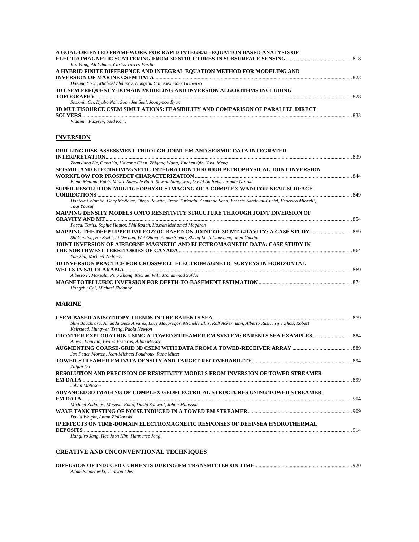| A GOAL-ORIENTED FRAMEWORK FOR RAPID INTEGRAL-EQUATION BASED ANALYSIS OF        |     |
|--------------------------------------------------------------------------------|-----|
|                                                                                |     |
| Kai Yang, Ali Yilmaz, Carlos Torres-Verdin                                     |     |
| A HYBRID FINITE DIFFERENCE AND INTEGRAL EQUATION METHOD FOR MODELING AND       |     |
|                                                                                | 823 |
| Daeung Yoon, Michael Zhdanov, Hongzhu Cai, Alexander Gribenko                  |     |
| 3D CSEM FREQUENCY-DOMAIN MODELING AND INVERSION ALGORITHMS INCLUDING           |     |
|                                                                                | 828 |
| Seokmin Oh, Kyubo Noh, Soon Jee Seol, Joongmoo Byun                            |     |
| 3D MULTISOURCE CSEM SIMULATIONS: FEASIBILITY AND COMPARISON OF PARALLEL DIRECT |     |
|                                                                                | 833 |
|                                                                                |     |

*Vladimir Puzyrev, Seid Koric* 

### **INVERSION**

| DRILLING RISK ASSESSMENT THROUGH JOINT EM AND SEISMIC DATA INTEGRATED                                                   |     |
|-------------------------------------------------------------------------------------------------------------------------|-----|
|                                                                                                                         |     |
| Zhanxiang He, Gang Yu, Haicong Chen, Zhigang Wang, Jinchen Oin, Yuyu Meng                                               |     |
| SEISMIC AND ELECTROMAGNETIC INTEGRATION THROUGH PETROPHYSICAL JOINT INVERSION                                           |     |
|                                                                                                                         |     |
| Elena Medina, Fabio Miotti, Samuele Ratti, Shweta Sangewar, David Andreis, Jeremie Giraud                               |     |
| SUPER-RESOLUTION MULTIGEOPHYSICS IMAGING OF A COMPLEX WADI FOR NEAR-SURFACE                                             |     |
|                                                                                                                         |     |
| Daniele Colombo, Gary McNeice, Diego Rovetta, Ersan Turkoglu, Armando Sena, Ernesto Sandoval-Curiel, Federico Miorelli, |     |
| Tagi Yousuf                                                                                                             |     |
| MAPPING DENSITY MODELS ONTO RESISTIVITY STRUCTURE THROUGH JOINT INVERSION OF                                            |     |
|                                                                                                                         |     |
| Pascal Tarits, Sophie Hautot, Phil Roach, Hassan Mohamed Magareh                                                        |     |
|                                                                                                                         |     |
| Shi Yanling, Hu Zuzhi, Li Dechun, Wei Qiang, Zhang Sheng, Zheng Li, Ji Liansheng, Men Cuixian                           |     |
| JOINT INVERSION OF AIRBORNE MAGNETIC AND ELECTROMAGNETIC DATA: CASE STUDY IN                                            |     |
|                                                                                                                         |     |
| Yue Zhu, Michael Zhdanov                                                                                                |     |
| 3D INVERSION PRACTICE FOR CROSSWELL ELECTROMAGNETIC SURVEYS IN HORIZONTAL                                               |     |
| WELLS IN SAUDI ARABIA                                                                                                   | 869 |
| Alberto F. Marsala, Ping Zhang, Michael Wilt, Mohammad Safdar                                                           |     |
|                                                                                                                         |     |
| Hongzhu Cai, Michael Zhdanov                                                                                            |     |

### **MARINE**

| Slim Bouchrara, Amanda Geck Alvarez, Lucy Macgregor, Michelle Ellis, Rolf Ackermann, Alberto Rusic, Yijie Zhou, Robert<br>Keirstead, Hungwen Tseng, Paola Newton |  |
|------------------------------------------------------------------------------------------------------------------------------------------------------------------|--|
| FRONTIER EXPLORATION USING A TOWED STREAMER EM SYSTEM: BARENTS SEA EXAMPLES                                                                                      |  |
| Anwar Bhuiyan, Eivind Vesteras, Allan McKay                                                                                                                      |  |
|                                                                                                                                                                  |  |
| Jan Petter Morten, Jean-Michael Poudroux, Rune Mittet                                                                                                            |  |
|                                                                                                                                                                  |  |
| Zhijun Du                                                                                                                                                        |  |
| RESOLUTION AND PRECISION OF RESISTIVITY MODELS FROM INVERSION OF TOWED STREAMER                                                                                  |  |
| <b>EM DATA</b>                                                                                                                                                   |  |
| Johan Mattsson                                                                                                                                                   |  |
| ADVANCED 3D IMAGING OF COMPLEX GEOELECTRICAL STRUCTURES USING TOWED STREAMER                                                                                     |  |
| EM DATA                                                                                                                                                          |  |
| Michael Zhdanov, Masashi Endo, David Sunwall, Johan Mattsson                                                                                                     |  |
|                                                                                                                                                                  |  |
| David Wright, Anton Ziolkowski                                                                                                                                   |  |
| IP EFFECTS ON TIME-DOMAIN ELECTROMAGNETIC RESPONSES OF DEEP-SEA HYDROTHERMAL                                                                                     |  |
| <b>DEPOSITS</b>                                                                                                                                                  |  |
| Hangilro Jang, Hee Joon Kim, Hannuree Jang                                                                                                                       |  |
|                                                                                                                                                                  |  |

### **CREATIVE AND UNCONVENTIONAL TECHNIQUES**

| Adam Smiarowski, Tianyou Chen |  |
|-------------------------------|--|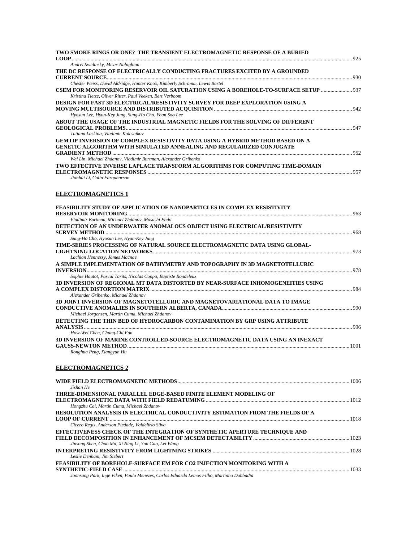| TWO SMOKE RINGS OR ONE? THE TRANSIENT ELECTROMAGNETIC RESPONSE OF A BURIED                                                                       |      |
|--------------------------------------------------------------------------------------------------------------------------------------------------|------|
| Andrei Swidinsky, Misac Nabighian                                                                                                                |      |
| THE DC RESPONSE OF ELECTRICALLY CONDUCTING FRACTURES EXCITED BY A GROUNDED                                                                       |      |
|                                                                                                                                                  |      |
| Chester Weiss, David Aldridge, Hunter Knox, Kimberly Schramm, Lewis Bartel                                                                       |      |
| 377- CSEM FOR MONITORING RESERVOIR OIL SATURATION USING A BOREHOLE-TO-SURFACE SETUP<br>Kristina Tietze, Oliver Ritter, Paul Veeken, Bert Verboom |      |
| DESIGN FOR FAST 3D ELECTRICAL/RESISTIVITY SURVEY FOR DEEP EXPLORATION USING A                                                                    |      |
|                                                                                                                                                  |      |
| Hyosun Lee, Hyun-Key Jung, Sung-Ho Cho, Youn Soo Lee                                                                                             |      |
| ABOUT THE USAGE OF THE INDUSTRIAL MAGNETIC FIELDS FOR THE SOLVING OF DIFFERENT                                                                   |      |
|                                                                                                                                                  | 947  |
| Tatiana Laskina, Vladimir Kolesnikov                                                                                                             |      |
| GEMTIP INVERSION OF COMPLEX RESISTIVITY DATA USING A HYBRID METHOD BASED ON A                                                                    |      |
| GENETIC ALGORITHM WITH SIMULATED ANNEALING AND REGULARIZED CONJUGATE                                                                             |      |
|                                                                                                                                                  | -952 |
| Wei Lin, Michael Zhdanov, Vladimir Burtman, Alexander Gribenko                                                                                   |      |
| TWO EFFECTIVE INVERSE LAPLACE TRANSFORM ALGORITHMS FOR COMPUTING TIME-DOMAIN                                                                     | 957  |
| Jianhui Li, Colin Farquharson                                                                                                                    |      |

### **ELECTROMAGNETICS 1**

| <b>FEASIBILITY STUDY OF APPLICATION OF NANOPARTICLES IN COMPLEX RESISTIVITY</b>  |      |
|----------------------------------------------------------------------------------|------|
|                                                                                  |      |
| Vladimir Burtman, Michael Zhdanov, Masashi Endo                                  |      |
| DETECTION OF AN UNDERWATER ANOMALOUS OBJECT USING ELECTRICAL/RESISTIVITY         |      |
|                                                                                  |      |
| Sung-Ho Cho, Hyosun Lee, Hyun-Key Jung                                           |      |
| TIME-SERIES PROCESSING OF NATURAL SOURCE ELECTROMAGNETIC DATA USING GLOBAL-      |      |
|                                                                                  | -973 |
| Lachlan Hennessy, James Macnae                                                   |      |
| A SIMPLE IMPLEMENTATION OF BATHYMETRY AND TOPOGRAPHY IN 3D MAGNETOTELLURIC       |      |
| <b>INVERSION.</b>                                                                |      |
| Sophie Hautot, Pascal Tarits, Nicolas Coppo, Baptiste Rondeleux                  |      |
| 3D INVERSION OF REGIONAL MT DATA DISTORTED BY NEAR-SURFACE INHOMOGENEITIES USING |      |
|                                                                                  |      |
| Alexander Gribenko, Michael Zhdanov                                              |      |
| 3D JOINT INVERSION OF MAGNETOTELLURIC AND MAGNETOVARIATIONAL DATA TO IMAGE       |      |
|                                                                                  |      |
| Michael Jorgensen, Martin Cuma, Michael Zhdanov                                  |      |
| DETECTING THE THIN BED OF HYDROCARBON CONTAMINATION BY GRP USING ATTRIBUTE       |      |
|                                                                                  |      |
| How-Wei Chen, Chung-Chi Fan                                                      |      |
| 3D INVERSION OF MARINE CONTROLLED-SOURCE ELECTROMAGNETIC DATA USING AN INEXACT   |      |
|                                                                                  | 1001 |
| Ronghua Peng, Xiangyun Hu                                                        |      |
|                                                                                  |      |

### **ELECTROMAGNETICS 2**

| Jishan He                                                                               |      |
|-----------------------------------------------------------------------------------------|------|
| THREE-DIMENSIONAL PARALLEL EDGE-BASED FINITE ELEMENT MODELING OF                        |      |
|                                                                                         |      |
| Hongzhu Cai, Martin Cuma, Michael Zhdanov                                               |      |
| RESOLUTION ANALYSIS IN ELECTRICAL CONDUCTIVITY ESTIMATION FROM THE FIELDS OF A          |      |
|                                                                                         | 1018 |
| Cicero Regis, Anderson Piedade, Valdelírio Silva                                        |      |
| EFFECTIVENESS CHECK OF THE INTEGRATION OF SYNTHETIC APERTURE TECHNIQUE AND              |      |
|                                                                                         |      |
| Jinsong Shen, Chao Ma, Xi Ning Li, Yan Gao, Lei Wang                                    |      |
|                                                                                         |      |
| Leslie Denham, Jim Siebert                                                              |      |
| <b>FEASIBILITY OF BOREHOLE-SURFACE EM FOR CO2 INJECTION MONITORING WITH A</b>           |      |
|                                                                                         | 1033 |
| Joonsang Park, Inge Viken, Paulo Menezes, Carlos Eduardo Lemos Filho, Martinho Dabbadia |      |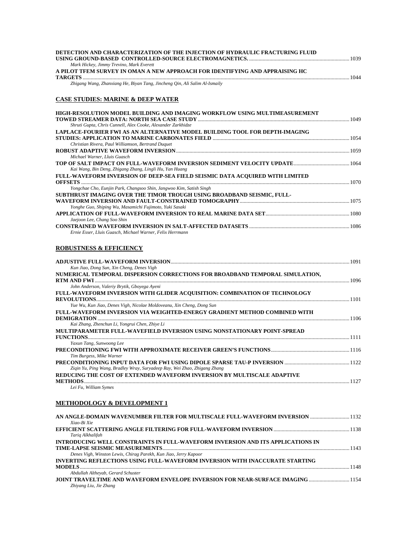| DETECTION AND CHARACTERIZATION OF THE INJECTION OF HYDRAULIC FRACTURING FLUID                                            |  |
|--------------------------------------------------------------------------------------------------------------------------|--|
| Mark Hickey, Jimmy Trevino, Mark Everett<br>A PILOT TFEM SURVEY IN OMAN A NEW APPROACH FOR IDENTIFYING AND APPRAISING HC |  |
| Zhigang Wang, Zhanxiang He, Biyan Tang, Jincheng Qin, Ali Salim Al-Ismaily                                               |  |
| CASE STUDIES: MARINE & DEEP WATER                                                                                        |  |
| HIGH-RESOLUTION MODEL BUILDING AND IMAGING WORKFLOW USING MULTIMEASUREMENT                                               |  |
| Shruti Gupta, Chris Cunnell, Alex Cooke, Alexander Zarkhidze                                                             |  |
| LAPLACE-FOURIER FWI AS AN ALTERNATIVE MODEL BUILDING TOOL FOR DEPTH-IMAGING                                              |  |
| STUDIES: APPLICATION TO MARINE CARBONATES FIELD ……………………………………………………………………………………… 1054                                   |  |
| Christian Rivera, Paul Williamson, Bertrand Duquet                                                                       |  |
| Michael Warner, Lluis Guasch                                                                                             |  |
|                                                                                                                          |  |
| Kai Wang, Bin Deng, Zhigang Zhang, Lingli Hu, Yan Huang                                                                  |  |
| FULL-WAVEFORM INVERSION OF DEEP-SEA FIELD SEISMIC DATA ACOUIRED WITH LIMITED                                             |  |
| Yongchae Cho, Eunjin Park, Changsoo Shin, Jangwoo Kim, Satish Singh                                                      |  |
| SUBTHRUST IMAGING OVER THE TIMOR TROUGH USING BROADBAND SEISMIC, FULL-                                                   |  |
| WAVEFORM INVERSION AND FAULT-CONSTRAINED TOMOGRAPHY……………………………………………………………………………… 1075                                   |  |
| Yonghe Guo, Shiping Wu, Masamichi Fujimoto, Yuki Sasaki                                                                  |  |
| Jaejoon Lee, Chang Soo Shin                                                                                              |  |
|                                                                                                                          |  |
| Ernie Esser, Lluis Guasch, Michael Warner, Felix Herrmann                                                                |  |
|                                                                                                                          |  |
| ROBUSTNESS & EFFICIENCY                                                                                                  |  |
|                                                                                                                          |  |
| Kun Jiao, Dong Sun, Xin Cheng, Denes Vigh                                                                                |  |
| NUMERICAL TEMPORAL DISPERSION CORRECTIONS FOR BROADBAND TEMPORAL SIMULATION,                                             |  |
| John Anderson, Valeriy Brytik, Gboyega Ayeni                                                                             |  |
| FULL-WAVEFORM INVERSION WITH GLIDER ACQUISITION: COMBINATION OF TECHNOLOGY                                               |  |
|                                                                                                                          |  |
| Yue Wu, Kun Jiao, Denes Vigh, Nicolae Moldoveanu, Xin Cheng, Dong Sun                                                    |  |
| FULL-WAVEFORM INVERSION VIA WEIGHTED-ENERGY GRADIENT METHOD COMBINED WITH                                                |  |
| Kai Zhang, Zhenchun Li, Yongrui Chen, Zhiye Li                                                                           |  |
| MULTIPARAMETER FULL-WAVEFIELD INVERSION USING NONSTATIONARY POINT-SPREAD                                                 |  |
| Yaxun Tang, Sunwoong Lee                                                                                                 |  |
|                                                                                                                          |  |
| Tim Burgess, Mike Warner                                                                                                 |  |
| Ziqin Yu, Ping Wang, Bradley Wray, Suryadeep Ray, Wei Zhao, Zhigang Zhang                                                |  |
| REDUCING THE COST OF EXTENDED WAVEFORM INVERSION BY MULTISCALE ADAPTIVE                                                  |  |
|                                                                                                                          |  |
| Lei Fu, William Symes                                                                                                    |  |
|                                                                                                                          |  |
| METHODOLOGY & DEVELOPMENT 1                                                                                              |  |
|                                                                                                                          |  |
| Xiao-Bi Xie                                                                                                              |  |
|                                                                                                                          |  |
| Tariq Alkhalifah                                                                                                         |  |
| INTRODUCING WELL CONSTRAINTS IN FULL-WAVEFORM INVERSION AND ITS APPLICATIONS IN                                          |  |
| Denes Vigh, Winston Lewis, Chirag Parekh, Kun Jiao, Jerry Kapoor                                                         |  |
| INVERTING REFLECTIONS USING FULL-WAVEFORM INVERSION WITH INACCURATE STARTING                                             |  |
| Abdullah Altheyab, Gerard Schuster                                                                                       |  |
|                                                                                                                          |  |

**JOINT TRAVELTIME AND WAVEFORM ENVELOPE INVERSION FOR NEAR-SURFACE IMAGING** ..............................1154 *Zhiyang Liu, Jie Zhang*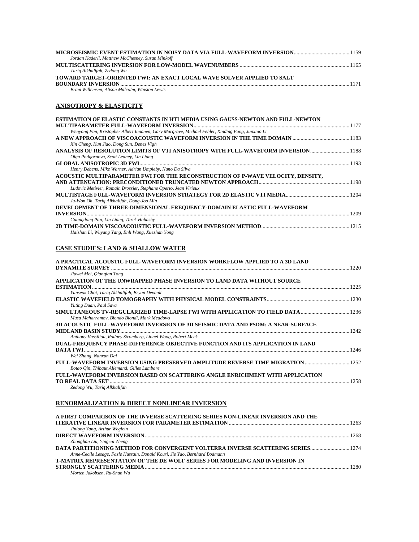| Jordan Kaderli, Matthew McChesney, Susan Minkoff                       |      |
|------------------------------------------------------------------------|------|
|                                                                        |      |
| Tariq Alkhalifah, Zedong Wu                                            |      |
| TOWARD TARGET-ORIENTED FWI: AN EXACT LOCAL WAVE SOLVER APPLIED TO SALT |      |
|                                                                        | 1171 |

*Bram Willemsen, Alison Malcolm, Winston Lewis* 

### **ANISOTROPY & ELASTICITY**

| ESTIMATION OF ELASTIC CONSTANTS IN HTI MEDIA USING GAUSS-NEWTON AND FULL-NEWTON                 |      |
|-------------------------------------------------------------------------------------------------|------|
|                                                                                                 | 1177 |
| Wenyong Pan, Kristopher Albert Innanen, Gary Margrave, Michael Fehler, Xinding Fang, Junxiao Li |      |
|                                                                                                 |      |
| Xin Cheng, Kun Jiao, Dong Sun, Denes Vigh                                                       |      |
| ANALYSIS OF RESOLUTION LIMITS OF VTI ANISOTROPY WITH FULL-WAVEFORM INVERSION1188                |      |
| Olga Podgornova, Scott Leaney, Lin Liang                                                        |      |
|                                                                                                 |      |
| Henry Debens, Mike Warner, Adrian Umpleby, Nuno Da Silva                                        |      |
| ACOUSTIC MULTIPARAMETER FWI FOR THE RECONSTRUCTION OF P-WAVE VELOCITY, DENSITY,                 |      |
|                                                                                                 |      |
| Ludovic Metivier, Romain Brossier, Stephane Operto, Jean Virieux                                |      |
|                                                                                                 |      |
| Ju-Won Oh, Tariq Alkhalifah, Dong-Joo Min                                                       |      |
| DEVELOPMENT OF THREE-DIMENSIONAL FREQUENCY-DOMAIN ELASTIC FULL-WAVEFORM                         |      |
| <b>INVERSION</b>                                                                                | 1209 |
| Guangdong Pan, Lin Liang, Tarek Habashy                                                         |      |
|                                                                                                 |      |
| Haishan Li, Wuyang Yang, Enli Wang, Xueshan Yong                                                |      |

### **CASE STUDIES: LAND & SHALLOW WATER**

| A PRACTICAL ACOUSTIC FULL-WAVEFORM INVERSION WORKFLOW APPLIED TO A 3D LAND      |      |
|---------------------------------------------------------------------------------|------|
|                                                                                 | 1220 |
| Jiawei Mei, Oiangian Tong                                                       |      |
| APPLICATION OF THE UNWRAPPED PHASE INVERSION TO LAND DATA WITHOUT SOURCE        |      |
| <b>ESTIMATION</b>                                                               | 1225 |
| Yunseok Choi, Tariq Alkhalifah, Bryan Devault                                   |      |
|                                                                                 |      |
| Yuting Duan, Paul Sava                                                          |      |
|                                                                                 | 1236 |
| Musa Maharramov, Biondo Biondi, Mark Meadows                                    |      |
| 3D ACOUSTIC FULL-WAVEFORM INVERSION OF 3D SEISMIC DATA AND PSDM: A NEAR-SURFACE |      |
| MIDLAND BASIN STUDY                                                             | 1242 |
| Anthony Vassiliou, Rodney Stromberg, Lionel Woog, Robert Meek                   |      |
| DUAL-FREQUENCY PHASE-DIFFERENCE OBJECTIVE FUNCTION AND ITS APPLICATION IN LAND  |      |
| DATA FWI                                                                        | 1246 |
| Wei Zhang, Nanxun Dai                                                           |      |
| FULL-WAVEFORM INVERSION USING PRESERVED AMPLITUDE REVERSE TIME MIGRATION        | 1252 |
| Botao Oin, Thibaut Allemand, Gilles Lambare                                     |      |
| FULL-WAVEFORM INVERSION BASED ON SCATTERING ANGLE ENRICHMENT WITH APPLICATION   |      |
| <b>TO REAL DATA SET</b>                                                         | 1258 |
| Zedong Wu, Tariq Alkhalifah                                                     |      |
|                                                                                 |      |

### **RENORMALIZATION & DIRECT NONLINEAR INVERSION**

| A FIRST COMPARISON OF THE INVERSE SCATTERING SERIES NON-LINEAR INVERSION AND THE   |      |
|------------------------------------------------------------------------------------|------|
|                                                                                    |      |
| Jinlong Yang, Arthur Weglein                                                       |      |
|                                                                                    | 1268 |
| Zhonghan Liu, Yingcai Zheng                                                        |      |
|                                                                                    |      |
| Anne-Cecile Lesage, Fazle Hussain, Donald Kouri, Jie Yao, Bernhard Bodmann         |      |
| <b>T-MATRIX REPRESENTATION OF THE DE WOLF SERIES FOR MODELING AND INVERSION IN</b> |      |
|                                                                                    | 1280 |
| Morten Jakobsen, Ru-Shan Wu                                                        |      |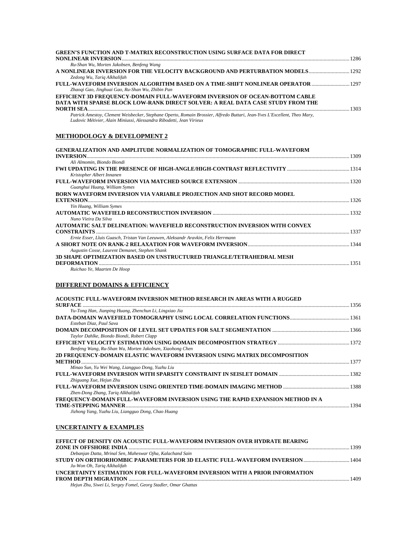| <b>GREEN'S FUNCTION AND T-MATRIX RECONSTRUCTION USING SURFACE DATA FOR DIRECT</b>                                         | 1286 |
|---------------------------------------------------------------------------------------------------------------------------|------|
| Ru-Shan Wu, Morten Jakobsen, Benfeng Wang                                                                                 |      |
|                                                                                                                           |      |
| Zedong Wu, Tariq Alkhalifah                                                                                               |      |
| FULL-WAVEFORM INVERSION ALGORITHM BASED ON A TIME-SHIFT NONLINEAR OPERATOR                                                |      |
| Zhaogi Gao, Jinghuai Gao, Ru-Shan Wu, Zhibin Pan                                                                          |      |
| EFFICIENT 3D FREQUENCY-DOMAIN FULL-WAVEFORM INVERSION OF OCEAN-BOTTOM CABLE                                               |      |
| DATA WITH SPARSE BLOCK LOW-RANK DIRECT SOLVER: A REAL DATA CASE STUDY FROM THE                                            |      |
|                                                                                                                           | 1303 |
| Patrick Amestoy, Clement Weisbecker, Stephane Operto, Romain Brossier, Alfredo Buttari, Jean-Yves L'Excellent, Theo Mary, |      |

*Ludovic Métivier, Alain Miniussi, Alessandra Ribodetti, Jean Virieux* 

### **METHODOLOGY & DEVELOPMENT 2**

| <b>GENERALIZATION AND AMPLITUDE NORMALIZATION OF TOMOGRAPHIC FULL-WAVEFORM</b>    |      |
|-----------------------------------------------------------------------------------|------|
| <b>INVERSION</b>                                                                  | 1309 |
| Ali Almomin, Biondo Biondi                                                        |      |
| Kristopher Albert Innanen                                                         |      |
| Guanghui Huang, William Symes                                                     |      |
| <b>BORN WAVEFORM INVERSION VIA VARIABLE PROJECTION AND SHOT RECORD MODEL</b>      |      |
| <b>EXTENSION</b>                                                                  | 1326 |
| Yin Huang, William Symes                                                          |      |
|                                                                                   | 1332 |
| Nuno Vieira Da Silva                                                              |      |
| AUTOMATIC SALT DELINEATION: WAVEFIELD RECONSTRUCTION INVERSION WITH CONVEX        |      |
|                                                                                   | 1337 |
| Ernie Esser, Lluis Guasch, Tristan Van Leeuwen, Aleksandr Araykin, Felix Herrmann |      |
| Augustin Cosse, Laurent Demanet, Stephen Shank                                    |      |
| 3D SHAPE OPTIMIZATION BASED ON UNSTRUCTURED TRIANGLE/TETRAHEDRAL MESH             |      |
| <b>DEFORMATION</b>                                                                | 1351 |
| Ruichao Ye, Maarten De Hoop                                                       |      |

### **DIFFERENT DOMAINS & EFFICIENCY**

| ACOUSTIC FULL-WAVEFORM INVERSION METHOD RESEARCH IN AREAS WITH A RUGGED        |      |
|--------------------------------------------------------------------------------|------|
| <b>SURFACE</b>                                                                 |      |
| Yu-Tong Han, Jianping Huang, Zhenchun Li, Lingxiao Jia                         |      |
| Esteban Diaz, Paul Sava                                                        |      |
| Taylor Dahlke, Biondo Biondi, Robert Clapp                                     |      |
| Benfeng Wang, Ru-Shan Wu, Morten Jakobsen, Xiaohong Chen                       |      |
| 2D FREQUENCY-DOMAIN ELASTIC WAVEFORM INVERSION USING MATRIX DECOMPOSITION      | 1377 |
| Minao Sun, Yu Wei Wang, Liangguo Dong, Yuzhu Liu                               |      |
| Zhiguang Xue, Hejun Zhu                                                        |      |
| Zhen-Dong Zhang, Tariq Alkhalifah                                              |      |
| FREQUENCY-DOMAIN FULL-WAVEFORM INVERSION USING THE RAPID EXPANSION METHOD IN A |      |
| Jizhong Yang, Yuzhu Liu, Liangguo Dong, Chao Huang                             |      |

### **UNCERTAINTY & EXAMPLES**

| EFFECT OF DENSITY ON ACOUSTIC FULL-WAVEFORM INVERSION OVER HYDRATE BEARING  |      |
|-----------------------------------------------------------------------------|------|
|                                                                             | 1399 |
| Debanjan Datta, Mrinal Sen, Maheswar Ojha, Kalachand Sain                   |      |
|                                                                             |      |
| Ju-Won Oh, Tariq Alkhalifah                                                 |      |
| UNCERTAINTY ESTIMATION FOR FULL-WAVEFORM INVERSION WITH A PRIOR INFORMATION |      |
|                                                                             | 1409 |
| Hejun Zhu, Siwei Li, Sergey Fomel, Georg Stadler, Omar Ghattas              |      |
|                                                                             |      |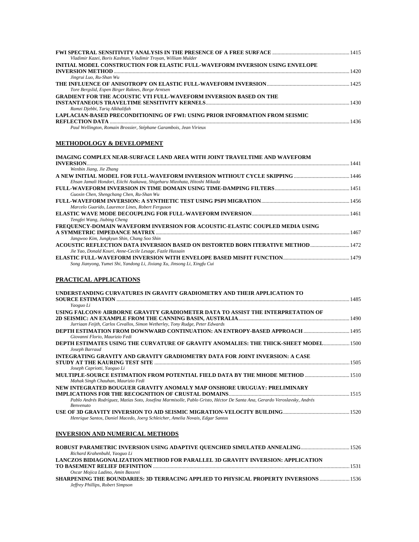| Vladimir Kazei, Boris Kashtan, Vladimir Troyan, William Mulder                |  |
|-------------------------------------------------------------------------------|--|
| INITIAL MODEL CONSTRUCTION FOR ELASTIC FULL-WAVEFORM INVERSION USING ENVELOPE |  |
|                                                                               |  |
| Jingrui Luo, Ru-Shan Wu                                                       |  |
|                                                                               |  |
| Tore Bergslid, Espen Birger Raknes, Borge Arntsen                             |  |
| <b>GRADIENT FOR THE ACOUSTIC VTI FULL-WAVEFORM INVERSION BASED ON THE</b>     |  |
|                                                                               |  |
| Ramzi Djebbi, Tariq Alkhalifah                                                |  |
| LAPLACIAN-BASED PRECONDITIONING OF FWI: USING PRIOR INFORMATION FROM SEISMIC  |  |
|                                                                               |  |
| Paul Wellington, Romain Brossier, Stéphane Garambois, Jean Virieux            |  |

### **METHODOLOGY & DEVELOPMENT**

| IMAGING COMPLEX NEAR-SURFACE LAND AREA WITH JOINT TRAVELTIME AND WAVEFORM        |  |
|----------------------------------------------------------------------------------|--|
| <b>INVERSION</b>                                                                 |  |
| Wenbin Jiang, Jie Zhang                                                          |  |
|                                                                                  |  |
| Ehsan Jamali Hondori, Eiichi Asakawa, Shigeharu Mizohata, Hitoshi Mikada         |  |
|                                                                                  |  |
| Guoxin Chen, Shengchang Chen, Ru-Shan Wu                                         |  |
|                                                                                  |  |
| Marcelo Guarido, Laurence Lines, Robert Ferguson                                 |  |
|                                                                                  |  |
| Tengfei Wang, Jiubing Cheng                                                      |  |
| FREQUENCY-DOMAIN WAVEFORM INVERSION FOR ACOUSTIC-ELASTIC COUPLED MEDIA USING     |  |
|                                                                                  |  |
| Jangwoo Kim, Jungkyun Shin, Chang Soo Shin                                       |  |
| ACOUSTIC REFLECTION DATA INVERSION BASED ON DISTORTED BORN ITERATIVE METHOD 1472 |  |
| Jie Yao, Donald Kouri, Anne-Cecile Lesage, Fazle Hussain                         |  |
|                                                                                  |  |
| Song Jianyong, Yumei Shi, Yandong Li, Jixiang Xu, Jinsong Li, Xingfu Cui         |  |

### **PRACTICAL APPLICATIONS**

| UNDERSTANDING CURVATURES IN GRAVITY GRADIOMETRY AND THEIR APPLICATION TO<br>Yaoguo Li                                                                                                               |  |
|-----------------------------------------------------------------------------------------------------------------------------------------------------------------------------------------------------|--|
| USING FALCON® AIRBORNE GRAVITY GRADIOMETER DATA TO ASSIST THE INTERPRETATION OF                                                                                                                     |  |
| Jurriaan Feijth, Carlos Cevallos, Simon Wetherley, Tony Rudge, Peter Edwards<br>Giovanni Florio, Maurizio Fedi                                                                                      |  |
| DEPTH ESTIMATES USING THE CURVATURE OF GRAVITY ANOMALIES: THE THICK-SHEET MODEL 1500<br>Joseph Barraud                                                                                              |  |
| INTEGRATING GRAVITY AND GRAVITY GRADIOMETRY DATA FOR JOINT INVERSION: A CASE                                                                                                                        |  |
| Joseph Capriotti, Yaoguo Li                                                                                                                                                                         |  |
| MULTIPLE-SOURCE ESTIMATION FROM POTENTIAL FIELD DATA BY THE MHODE METHOD  1510<br>Mahak Singh Chauhan, Maurizio Fedi                                                                                |  |
| NEW INTEGRATED BOUGUER GRAVITY ANOMALY MAP ONSHORE URUGUAY: PRELIMINARY<br>Pablo Andrés Rodríguez, Matías Soto, Josefina Marmisolle, Pablo Gristo, Héctor De Santa Ana, Gerardo Veroslavsky, Andrés |  |
| <b>Benvenuto</b>                                                                                                                                                                                    |  |
| Henrique Santos, Daniel Macedo, Joerg Schleicher, Amelia Novais, Edgar Santos                                                                                                                       |  |
| <b>INVERSION AND NUMERICAL METHODS</b>                                                                                                                                                              |  |
| ROBUST PARAMETRIC INVERSION USING ADAPTIVE QUENCHED SIMULATED ANNEALING 1526<br>Richard Krahenbuhl, Yaoguo Li                                                                                       |  |
| LANCZOS BIDIAGONALIZATION METHOD FOR PARALLEL 3D GRAVITY INVERSION: APPLICATION                                                                                                                     |  |
| Oscar Mojica Ladino, Amin Bassrei                                                                                                                                                                   |  |
| <b>SHARPENING THE BOUNDARIES: 3D TERRACING APPLIED TO PHYSICAL PROPERTY INVERSIONS  1536</b><br>Jeffrey Phillips, Robert Simpson                                                                    |  |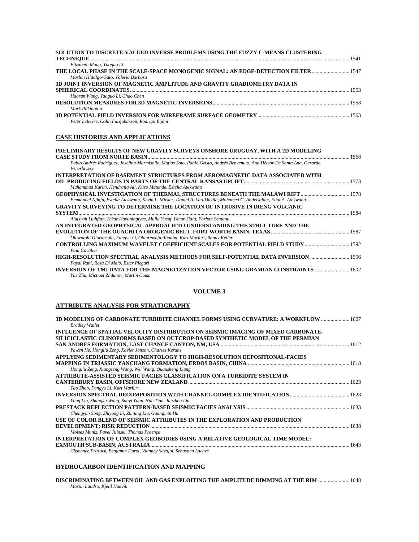| SOLUTION TO DISCRETE-VALUED INVERSE PROBLEMS USING THE FUZZY C-MEANS CLUSTERING                                       | 1541 |
|-----------------------------------------------------------------------------------------------------------------------|------|
| Elizabeth Maag, Yaoguo Li                                                                                             |      |
| THE LOCAL PHASE IN THE SCALE-SPACE MONOGENIC SIGNAL: AN EDGE-DETECTION FILTER<br>Marlon Hidalgo-Gato, Valeria Barbosa |      |
| 3D JOINT INVERSION OF MAGNETIC AMPLITUDE AND GRAVITY GRADIOMETRY DATA IN                                              |      |
|                                                                                                                       | 1553 |
| Haoran Wang, Yaoguo Li, Chao Chen                                                                                     |      |
|                                                                                                                       |      |
| Mark Pilkington                                                                                                       |      |
| Peter Lelievre, Colin Farquharson, Rodrigo Bijani                                                                     |      |

### **CASE HISTORIES AND APPLICATIONS**

| PRELIMINARY RESULTS OF NEW GRAVITY SURVEYS ONSHORE URUGUAY, WITH A 2D MODELING                                                            |      |
|-------------------------------------------------------------------------------------------------------------------------------------------|------|
|                                                                                                                                           | 1568 |
| Pablo Andrés Rodríguez, Josefina Marmisolle, Matias Soto, Pablo Gristo, Andrés Benvenuto, And Héctor De Santa Ana, Gerardo<br>Veroslavsky |      |
| INTERPRETATION OF BASEMENT STRUCTURES FROM AEROMAGNETIC DATA ASSOCIATED WITH                                                              |      |
|                                                                                                                                           |      |
| Muhammad Karim, Hendratta Ali, Kitso Matende, Estella Atekwana                                                                            |      |
|                                                                                                                                           |      |
| Emmanuel Njinju, Estella Atekwana, Kevin L. Mickus, Daniel A. Lao-Davila, Mohamed G. Abdelsalam, Eliot A. Atekwana                        |      |
| <b>GRAVITY SURVEYING TO DETERMINE THE LOCATION OF INTRUSIVE IN DIENG VOLCANIC</b>                                                         |      |
| <b>SYSTEM</b>                                                                                                                             |      |
| Alutsyah Luthfian, Sekar Hayuningtyas, Mulia Yusuf, Umar Sidiq, Farhan Sentanu                                                            |      |
| AN INTEGRATED GEOPHYSICAL APPROACH TO UNDERSTANDING THE STRUCTURE AND THE                                                                 |      |
|                                                                                                                                           |      |
| Oluwatobi Olorunsola, Fangyu Li, Olanrewaju Aboaba, Kurt Marfurt, Randy Keller                                                            |      |
|                                                                                                                                           |      |
| Paul Cavalier                                                                                                                             |      |
| HIGH-RESOLUTION SPECTRAL ANALYSIS METHODS FOR SELF-POTENTIAL DATA INVERSION 1596                                                          |      |
| Payal Rani, Rosa Di Maio, Ester Piegari                                                                                                   |      |
| 1602 INVERSION OF TMI DATA FOR THE MAGNETIZATION VECTOR USING GRAMIAN CONSTRAINTS                                                         |      |
| Yue Zhu, Michael Zhdanov, Martin Cuma                                                                                                     |      |

#### **VOLUME 3**

### **ATTRIBUTE ANALYSIS FOR STRATIGRAPHY**

| 3D MODELING OF CARBONATE TURBIDITE CHANNEL FORMS USING CURVATURE: A WORKFLOW  1607<br><b>Bradley Wallet</b> |      |
|-------------------------------------------------------------------------------------------------------------|------|
| INFLUENCE OF SPATIAL VELOCITY DISTRIBUTION ON SEISMIC IMAGING OF MIXED CARBONATE-                           |      |
| SILICICLASTIC CLINOFORMS BASED ON OUTCROP-BASED SYNTHETIC MODEL OF THE PERMIAN                              |      |
|                                                                                                             |      |
| Yawen He, Hongliu Zeng, Xavier Janson, Charles Kerans                                                       |      |
| APPLYING SEDIMENTARY SEDIMENTOLOGY TO HIGH-RESOLUTION DEPOSITIONAL-FACIES                                   |      |
|                                                                                                             |      |
| Hongliu Zeng, Xiangzeng Wang, Wei Wang, Quansheng Liang                                                     |      |
| ATTRIBUTE-ASSISTED SEISMIC FACIES CLASSIFICATION ON A TURBIDITE SYSTEM IN                                   |      |
|                                                                                                             |      |
| Tao Zhao, Fangyu Li, Kurt Marfurt                                                                           |      |
|                                                                                                             |      |
| Yong Liu, Shangxu Wang, Sanyi Yuan, Nan Tian, Junzhou Liu                                                   |      |
|                                                                                                             |      |
| Chengyun Song, Zhiyong Li, Zhining Liu, Guangmin Hu                                                         |      |
| USE OF COLOR BLEND OF SEISMIC ATTRIBUTES IN THE EXPLORATION AND PRODUCTION                                  |      |
|                                                                                                             |      |
| Moises Muniz, Pavel Jilinski, Thomas Proenca                                                                |      |
| INTERPRETATION OF COMPLEX GEOBODIES USING A RELATIVE GEOLOGICAL TIME MODEL:                                 |      |
|                                                                                                             | 1643 |
| Clemence Prazuck, Benjamin Durot, Vianney Savajol, Sebastien Lacaze                                         |      |

### **HYDROCARBON IDENTIFICATION AND MAPPING**

| DISCRIMINATING BETWEEN OIL AND GAS EXPLOITING THE AMPLITUDE DIMMING AT THE RIM  1648 |  |  |
|--------------------------------------------------------------------------------------|--|--|
| Martin Landro, Kjetil Haavik                                                         |  |  |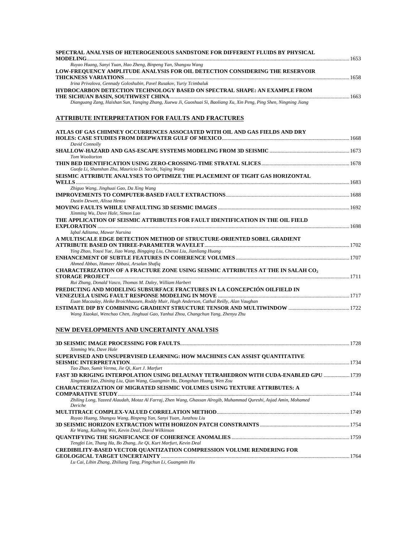| SPECTRAL ANALYSIS OF HETEROGENEOUS SANDSTONE FOR DIFFERENT FLUIDS BY PHYSICAL                                       |  |
|---------------------------------------------------------------------------------------------------------------------|--|
|                                                                                                                     |  |
| Ruyao Huang, Sanyi Yuan, Hao Zheng, Binpeng Yan, Shangxu Wang                                                       |  |
| LOW-FREQUENCY AMPLITUDE ANALYSIS FOR OIL DETECTION CONSIDERING THE RESERVOIR                                        |  |
|                                                                                                                     |  |
| Irina Privalova, Gennady Goloshubin, Pavel Rusakov, Yuriy Tcimbaluk                                                 |  |
| HYDROCARBON DETECTION TECHNOLOGY BASED ON SPECTRAL SHAPE: AN EXAMPLE FROM                                           |  |
|                                                                                                                     |  |
| Dianguang Zang, Haishan Sun, Yanqing Zhang, Xuewu Ji, Guoshuai Si, Baoliang Xu, Xin Peng, Ping Shen, Ningning Jiang |  |
|                                                                                                                     |  |

### **ATTRIBUTE INTERPRETATION FOR FAULTS AND FRACTURES**

| ATLAS OF GAS CHIMNEY OCCURRENCES ASSOCIATED WITH OIL AND GAS FIELDS AND DRY               |  |
|-------------------------------------------------------------------------------------------|--|
| David Connolly                                                                            |  |
| Tom Wooltorton                                                                            |  |
| Guofa Li, Shanshan Zhu, Mauricio D. Sacchi, Yajing Wang                                   |  |
| SEISMIC ATTRIBUTE ANALYSES TO OPTIMIZE THE PLACEMENT OF TIGHT GAS HORIZONTAL              |  |
|                                                                                           |  |
| Zhiguo Wang, Jinghuai Gao, Da Xing Wang                                                   |  |
| Dustin Dewett, Alissa Henza                                                               |  |
|                                                                                           |  |
| Xinming Wu, Dave Hale, Simon Luo                                                          |  |
| THE APPLICATION OF SEISMIC ATTRIBUTES FOR FAULT IDENTIFICATION IN THE OIL FIELD           |  |
| Iqbal Aditama, Mawar Nursina                                                              |  |
| A MULTISCALE EDGE DETECTION METHOD OF STRUCTURE-ORIENTED SOBEL GRADIENT                   |  |
|                                                                                           |  |
| Ying Zhao, Youxi Yue, Jiao Wang, Bingqing Liu, Chenxi Liu, Jianliang Huang                |  |
|                                                                                           |  |
| Ahmed Abbas, Hameer Abbasi, Arsalan Shafiq                                                |  |
| CHARACTERIZATION OF A FRACTURE ZONE USING SEISMIC ATTRIBUTES AT THE IN SALAH CO.          |  |
| Rui Zhang, Donald Vasco, Thomas M. Daley, William Harbert                                 |  |
|                                                                                           |  |
| PREDICTING AND MODELING SUBSURFACE FRACTURES IN LA CONCEPCIÓN OILFIELD IN                 |  |
|                                                                                           |  |
| Euan Macaulay, Heike Broichhausen, Roddy Muir, Hugh Anderson, Cathal Reilly, Alan Vaughan |  |
|                                                                                           |  |
| Wang Xiaokai, Wenchao Chen, Jinghuai Gao, Yanhui Zhou, Changchun Yang, Zhenyu Zhu         |  |

### **NEW DEVELOPMENTS AND UNCERTAINTY ANALYSIS**

| Xinming Wu, Dave Hale                                                                                            |  |
|------------------------------------------------------------------------------------------------------------------|--|
| SUPERVISED AND UNSUPERVISED LEARNING: HOW MACHINES CAN ASSIST OUANTITATIVE                                       |  |
|                                                                                                                  |  |
| Tao Zhao, Sumit Verma, Jie Qi, Kurt J. Marfurt                                                                   |  |
| FAST 3D KRIGING INTERPOLATION USING DELAUNAY TETRAHEDRON WITH CUDA-ENABLED GPU  1739                             |  |
| Xingmiao Yao, Zhining Liu, Qian Wang, Guangmin Hu, Dongshan Huang, Wen Zou                                       |  |
| <b>CHARACTERIZATION OF MIGRATED SEISMIC VOLUMES USING TEXTURE ATTRIBUTES: A</b>                                  |  |
|                                                                                                                  |  |
| Zhiling Long, Yazeed Alaudah, Motaz Al Farraj, Zhen Wang, Ghassan Alregib, Muhammad Oureshi, Asjad Amin, Mohamed |  |
| Deriche                                                                                                          |  |
|                                                                                                                  |  |
| Ruyao Huang, Shangxu Wang, Binpeng Yan, Sanyi Yuan, Junzhou Liu                                                  |  |
|                                                                                                                  |  |
| Ke Wang, Kaihong Wei, Kevin Deal, David Wilkinson                                                                |  |
|                                                                                                                  |  |
| Tengfei Lin, Thang Ha, Bo Zhang, Jie Qi, Kurt Marfurt, Kevin Deal                                                |  |
| <b>CREDIBILITY-BASED VECTOR QUANTIZATION COMPRESSION VOLUME RENDERING FOR</b>                                    |  |
|                                                                                                                  |  |
| Lu Cai, Libin Zhang, Zhiliang Tang, Pingchun Li, Guangmin Hu                                                     |  |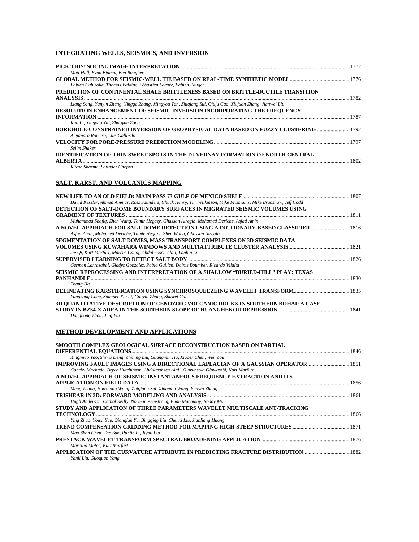### **INTEGRATING WELLS, SEISMICS, AND INVERSION**

| Matt Hall, Evan Bianco, Ben Bougher                                                                      |      |
|----------------------------------------------------------------------------------------------------------|------|
|                                                                                                          |      |
| Fabien Cubizolle, Thomas Valding, Sébastien Lacaze, Fabien Pauget                                        |      |
| PREDICTION OF CONTINENTAL SHALE BRITTLENESS BASED ON BRITTLE-DUCTILE TRANSITION                          |      |
| <b>ANALYSIS</b>                                                                                          | 1782 |
| Liang Song, Yunyin Zhang, Yingge Zhang, Mingyou Tan, Zhigiang Sui, Qiuju Gao, Xiujuan Zhang, Jianwei Liu |      |
| RESOLUTION ENHANCEMENT OF SEISMIC INVERSION INCORPORATING THE FREQUENCY                                  |      |
| <b>INFORMATION</b>                                                                                       | 1787 |
| Kun Li, Xingyao Yin, Zhaoyun Zong                                                                        |      |
| BOREHOLE-CONSTRAINED INVERSION OF GEOPHYSICAL DATA BASED ON FUZZY CLUSTERING  1792                       |      |
| Alejandro Romero, Luis Gallardo                                                                          |      |
|                                                                                                          | 1797 |
| <b>Selim Shaker</b>                                                                                      |      |
| <b>IDENTIFICATION OF THIN SWEET SPOTS IN THE DUVERNAY FORMATION OF NORTH CENTRAL</b>                     |      |
| <b>ALBERTA</b>                                                                                           | 1802 |
| Ritesh Sharma, Satinder Chopra                                                                           |      |
|                                                                                                          |      |

### **SALT, KARST, AND VOLCANICS MAPPING**

| David Kessler, Ahmed Ammar, Ross Saunders, Chuck Henry, Tim Wilkinson, Mike Frismanis, Mike Bradshaw, Jeff Codd                                           |         |
|-----------------------------------------------------------------------------------------------------------------------------------------------------------|---------|
| DETECTION OF SALT-DOME BOUNDARY SURFACES IN MIGRATED SEISMIC VOLUMES USING                                                                                |         |
|                                                                                                                                                           |         |
| Muhammad Shafiq, Zhen Wang, Tamir Hegazy, Ghassan Alregib, Mohamed Deriche, Asjad Amin                                                                    |         |
| A NOVEL APPROACH FOR SALT-DOME DETECTION USING A DICTIONARY-BASED CLASSIFIER1816<br>Asjad Amin, Mohamed Deriche, Tamir Hegazy, Zhen Wang, Ghassan Alregib |         |
| SEGMENTATION OF SALT DOMES, MASS TRANSPORT COMPLEXES ON 3D SEISMIC DATA                                                                                   |         |
|                                                                                                                                                           |         |
| Jie Qi, Kurt Marfurt, Marcus Cahoj, Abdulmosen Alali, Lanbin Li                                                                                           |         |
|                                                                                                                                                           |         |
| German Larrazabal, Gladys Gonzalez, Pablo Guillen, Dainis Boumber, Ricardo Vilalta                                                                        |         |
| SEISMIC REPROCESSING AND INTERPRETATION OF A SHALLOW "BURIED-HILL" PLAY: TEXAS                                                                            |         |
| <b>PANHANDLE.</b>                                                                                                                                         | $-1830$ |
| Thang Ha                                                                                                                                                  |         |
|                                                                                                                                                           |         |
| Yangkang Chen, Summer Xia Li, Guoyin Zhang, Shuwei Gan                                                                                                    |         |
| 3D OUANTITATIVE DESCRIPTION OF CENOZOIC VOLCANIC ROCKS IN SOUTHERN BOHAI: A CASE                                                                          |         |
| Donghong Zhou, Jing Wu                                                                                                                                    |         |

### **METHOD DEVELOPMENT AND APPLICATIONS**

| <b>SMOOTH COMPLEX GEOLOGICAL SURFACE RECONSTRUCTION BASED ON PARTIAL</b>                 |  |
|------------------------------------------------------------------------------------------|--|
|                                                                                          |  |
| Xingmiao Yao, Shiwu Deng, Zhining Liu, Guangmin Hu, Xiaoer Chen, Wen Zou                 |  |
| <b>IMPROVING FAULT IMAGES USING A DIRECTIONAL LAPLACIAN OF A GAUSSIAN OPERATOR</b> 1851  |  |
| Gabriel Machado, Bryce Hutchinson, Abdulmohsen Alali, Olorunsola Oluwatobi, Kurt Marfurt |  |
| A NOVEL APPROACH OF SEISMIC INSTANTANEOUS FREQUENCY EXTRACTION AND ITS                   |  |
|                                                                                          |  |
| Meng Zhang, Huazhong Wang, Zhiqiang Sui, Xingmou Wang, Yunyin Zhang                      |  |
|                                                                                          |  |
| Hugh Anderson, Cathal Reilly, Norman Armstrong, Euan Macaulay, Roddy Muir                |  |
| STUDY AND APPLICATION OF THREE PARAMETERS WAVELET MULTISCALE ANT-TRACKING                |  |
|                                                                                          |  |
| Ying Zhao, Youxi Yue, Oiangian Yu, Bingging Liu, Chenxi Liu, Jianliang Huang             |  |
|                                                                                          |  |
| Mao Shan Chen, Tao Sun, Runjie Li, Jiyou Liu                                             |  |
|                                                                                          |  |
| Marcilio Matos, Kurt Marfurt                                                             |  |
|                                                                                          |  |
| Yanli Liu, Guoquan Yang                                                                  |  |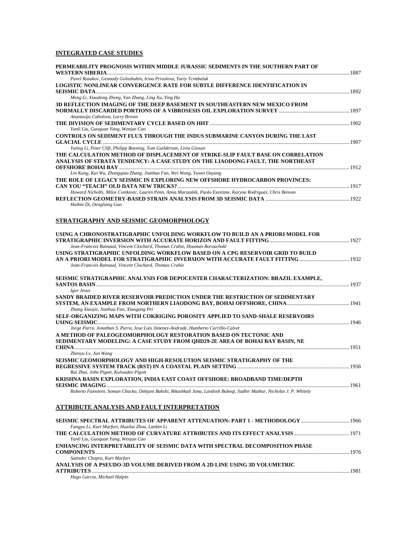### **INTEGRATED CASE STUDIES**

| PERMEABILITY PROGNOSIS WITHIN MIDDLE JURASSIC SEDIMENTS IN THE SOUTHERN PART OF                                         |  |
|-------------------------------------------------------------------------------------------------------------------------|--|
| Pavel Rusakov, Gennady Goloshubin, Irina Privalova, Yuriy Tcimbaluk                                                     |  |
| LOGISTIC NONLINEAR CONVERGENCE RATE FOR SUBTLE DIFFERENCE IDENTIFICATION IN                                             |  |
|                                                                                                                         |  |
| Meng Li, Xiaodong Zheng, Yan Zhang, Ling Xu, Ying Hu                                                                    |  |
| 3D REFLECTION IMAGING OF THE DEEP BASEMENT IN SOUTHEASTERN NEW MEXICO FROM                                              |  |
| Anastasija Cabolova, Larry Brown                                                                                        |  |
| Yanli Liu, Guoquan Yang, Wenjun Cao                                                                                     |  |
| CONTROLS ON SEDIMENT FLUX THROUGH THE INDUS SUBMARINE CANYON DURING THE LAST                                            |  |
|                                                                                                                         |  |
| Yuting Li, Peter Clift, Philipp Boening, Tom Guilderson, Liviu Giosan                                                   |  |
| THE CALCULATION METHOD OF DISPLACEMENT OF STRIKE-SLIP FAULT BASE ON CORRELATION                                         |  |
| ANALYSIS OF STRATA TENDENCY: A CASE STUDY ON THE LIAODONG FAULT, THE NORTHEAST                                          |  |
|                                                                                                                         |  |
| Lin Kang, Kui Wu, Zhongqiao Zhang, Jianhua Fan, Wei Wang, Yuwei Ouyang                                                  |  |
| THE ROLE OF LEGACY SEISMIC IN EXPLORING NEW OFFSHORE HYDROCARBON PROVINCES:                                             |  |
| Howard Nicholls, Milos Cvetkovic, Lauren Penn, Anna Marszalek, Paolo Esestime, Karyna Rodriguez, Chris Benson           |  |
|                                                                                                                         |  |
| Haibin Di, Dengliang Gao                                                                                                |  |
|                                                                                                                         |  |
| STRATIGRAPHY AND SEISMIC GEOMORPHOLOGY                                                                                  |  |
|                                                                                                                         |  |
| USING A CHRONOSTRATIGRAPHIC UNFOLDING WORKFLOW TO BUILD AN A PRIORI MODEL FOR                                           |  |
| Jean-Francois Rainaud, Vincent Clochard, Thomas Crabie, Houman Borouchaki                                               |  |
| USING STRATIGRAPHIC UNFOLDING WORKFLOW BASED ON A CPG RESERVOIR GRID TO BUILD                                           |  |
|                                                                                                                         |  |
| Jean-Francois Rainaud, Vincent Clochard, Thomas Crabie                                                                  |  |
| SEISMIC STRATIGRAPHIC ANALYSIS FOR DEPOCENTER CHARACTERIZATION: BRAZIL EXAMPLE.                                         |  |
|                                                                                                                         |  |
| Igor Jesus                                                                                                              |  |
| SANDY BRAIDED RIVER RESERVOIR PREDICTION UNDER THE RESTRICTION OF SEDIMENTARY                                           |  |
|                                                                                                                         |  |
| Zhang Xiaojie, Jianhua Fan, Xiaogang Pei                                                                                |  |
| SELF-ORGANIZING MAPS WITH COKRIGING POROSITY APPLIED TO SAND-SHALE RESERVOIRS                                           |  |
|                                                                                                                         |  |
| Jorge Parra, Jonathan S. Parra, Jose Luis Jimenez-Andrade, Humberto Carrillo-Calvet                                     |  |
| A METHOD OF PALEOGEOMORPHOLOGY RESTORATION BASED ON TECTONIC AND                                                        |  |
| SEDIMENTARY MODELING: A CASE STUDY FROM OHD29-2E AREA OF BOHAI BAY BASIN. NE                                            |  |
|                                                                                                                         |  |
| Zhenyu Lv, Jun Wang                                                                                                     |  |
| SEISMIC GEOMORPHOLOGY AND HIGH-RESOLUTION SEISMIC STRATIGRAPHY OF THE                                                   |  |
| Rui Zhai, John Pigott, Kulwadee Pigott                                                                                  |  |
| KRISHNA BASIN EXPLORATION, INDIA EAST COAST OFFSHORE: BROADBAND TIME/DEPTH                                              |  |
|                                                                                                                         |  |
| Roberto Fainstein, Soman Chacko, Debjani Bakshi, Bikashkali Jana, Lavdosh Bubegi, Sudhir Mathur, Nicholas J. P. Whitely |  |
|                                                                                                                         |  |
|                                                                                                                         |  |

### **ATTRIBUTE ANALYSIS AND FAULT INTERPRETATION**

| SEISMIC SPECTRAL ATTRIBUTES OF APPARENT ATTENUATION: PART 1 - METHODOLOGY 1966 |      |
|--------------------------------------------------------------------------------|------|
| Fangyu Li, Kurt Marfurt, Huailai Zhou, Lanbin Li                               |      |
|                                                                                |      |
| Yanli Liu, Guoquan Yang, Wenjun Cao                                            |      |
| ENHANCING INTERPRETABILITY OF SEISMIC DATA WITH SPECTRAL DECOMPOSITION PHASE   |      |
|                                                                                | 1976 |
| Satinder Chopra, Kurt Marfurt                                                  |      |
| ANALYSIS OF A PSEUDO-3D VOLUME DERIVED FROM A 2D LINE USING 3D VOLUMETRIC      |      |
|                                                                                | 1981 |
| Hugo Garcia, Michael Halpin                                                    |      |
|                                                                                |      |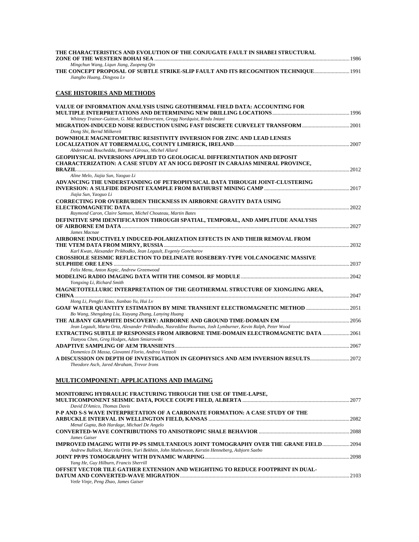| THE CHARACTERISTICS AND EVOLUTION OF THE CONJUGATE FAULT IN SHABEI STRUCTURAL<br>Mingchun Wang, Liqun Jiang, Zuopeng Qin               |  |
|----------------------------------------------------------------------------------------------------------------------------------------|--|
| THE CONCEPT PROPOSAL OF SUBTLE STRIKE-SLIP FAULT AND ITS RECOGNITION TECHNIQUE 1991<br>Jiangbo Huang, Dingyou Lv                       |  |
| <b>CASE HISTORIES AND METHODS</b>                                                                                                      |  |
| VALUE OF INFORMATION ANALYSIS USING GEOTHERMAL FIELD DATA: ACCOUNTING FOR                                                              |  |
|                                                                                                                                        |  |
| Whitney Trainor-Guitton, G. Michael Hoversten, Gregg Nordquist, Rindu Intani<br>Dong Shi, Bernd Milkereit                              |  |
| DOWNHOLE MAGNETOMETRIC RESISTIVITY INVERSION FOR ZINC AND LEAD LENSES                                                                  |  |
|                                                                                                                                        |  |
| Abderrezak Bouchedda, Bernard Giroux, Michel Allard<br><b>GEOPHYSICAL INVERSIONS APPLIED TO GEOLOGICAL DIFFERENTIATION AND DEPOSIT</b> |  |
| <b>CHARACTERIZATION: A CASE STUDY AT AN IOCG DEPOSIT IN CARAJAS MINERAL PROVINCE,</b>                                                  |  |
|                                                                                                                                        |  |
| Aline Melo, Jiajia Sun, Yaoguo Li                                                                                                      |  |
| ADVANCING THE UNDERSTANDING OF PETROPHYSICAL DATA THROUGH JOINT-CLUSTERING                                                             |  |
|                                                                                                                                        |  |
| Jiajia Sun, Yaoguo Li<br><b>CORRECTING FOR OVERBURDEN THICKNESS IN AIRBORNE GRAVITY DATA USING</b>                                     |  |
|                                                                                                                                        |  |
| Raymond Caron, Claire Samson, Michel Chouteau, Martin Bates                                                                            |  |
| DEFINITIVE SPM IDENTIFICATION THROUGH SPATIAL, TEMPORAL, AND AMPLITUDE ANALYSIS                                                        |  |
|                                                                                                                                        |  |
| James Macnae                                                                                                                           |  |
| AIRBORNE INDUCTIVELY INDUCED-POLARIZATION EFFECTS IN AND THEIR REMOVAL FROM                                                            |  |
| Karl Kwan, Alexander Prikhodko, Jean Legault, Evgeniy Goncharov                                                                        |  |
| CROSSHOLE SEISMIC REFLECTION TO DELINEATE ROSEBERY-TYPE VOLCANOGENIC MASSIVE                                                           |  |
|                                                                                                                                        |  |
| Felix Menu, Anton Kepic, Andrew Greenwood                                                                                              |  |
| Yongxing Li, Richard Smith                                                                                                             |  |
| MAGNETOTELLURIC INTERPRETATION OF THE GEOTHERMAL STRUCTURE OF XIONGJING AREA,                                                          |  |
|                                                                                                                                        |  |
| Hong Li, Pengfei Xiao, Jianbao Yu, Hui Lv                                                                                              |  |
|                                                                                                                                        |  |
| Bo Wang, Shengdong Liu, Xiayang Zhang, Lanying Huang                                                                                   |  |
| Jean Legault, Marta Orta, Alexander Prikhodko, Nasreddine Bournas, Josh Lymburner, Kevin Ralph, Peter Wood                             |  |
| EXTRACTING SUBTLE IP RESPONSES FROM AIRBORNE TIME-DOMAIN ELECTROMAGNETIC DATA  2061                                                    |  |
| Tianyou Chen, Greg Hodges, Adam Smiarowski                                                                                             |  |
|                                                                                                                                        |  |
| Domenico Di Massa, Giovanni Florio, Andrea Viezzoli                                                                                    |  |
| A DISCUSSION ON DEPTH OF INVESTIGATION IN GEOPHYSICS AND AEM INVERSION RESULTS<br>Theodore Asch, Jared Abraham, Trevor Irons           |  |
|                                                                                                                                        |  |

### **MULTICOMPONENT: APPLICATIONS AND IMAGING**

| MONITORING HYDRAULIC FRACTURING THROUGH THE USE OF TIME-LAPSE,                                |       |
|-----------------------------------------------------------------------------------------------|-------|
|                                                                                               |       |
| David D'Amico, Thomas Davis                                                                   |       |
| P-P AND S-S WAVE INTERPRETATION OF A CARBONATE FORMATION: A CASE STUDY OF THE                 |       |
|                                                                                               |       |
| Menal Gupta, Bob Hardage, Michael De Angelo                                                   |       |
|                                                                                               |       |
| James Gaiser                                                                                  |       |
| IMPROVED IMAGING WITH PP-PS SIMULTANEOUS JOINT TOMOGRAPHY OVER THE GRANE FIELD 2094           |       |
| Andrew Bullock, Marcela Ortin, Yuri Bekhtin, John Mathewson, Kerstin Henneberg, Asbjorn Saebo |       |
|                                                                                               | -2098 |
| Yang He, Guy Hilburn, Francis Sherrill                                                        |       |
| OFFSET VECTOR TILE GATHER EXTENSION AND WEIGHTING TO REDUCE FOOTPRINT IN DUAL-                |       |
|                                                                                               |       |
| Vetle Vinje, Peng Zhao, James Gaiser                                                          |       |
|                                                                                               |       |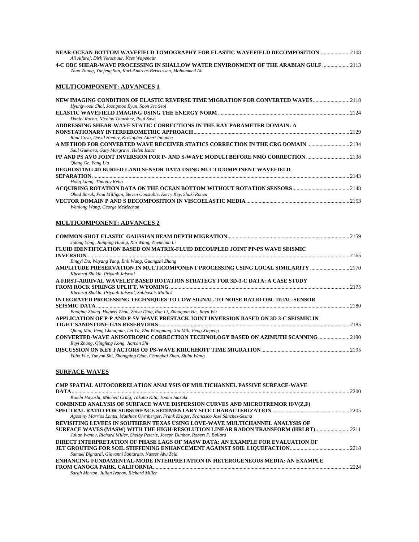| NEAR-OCEAN-BOTTOM WAVEFIELD TOMOGRAPHY FOR ELASTIC WAVEFIELD DECOMPOSITION2108<br>Ali Alfaraj, Dirk Verschuur, Kees Wapenaar    |  |
|---------------------------------------------------------------------------------------------------------------------------------|--|
| 4-C OBC SHEAR-WAVE PROCESSING IN SHALLOW WATER ENVIRONMENT OF THE ARABIAN GULF  2113                                            |  |
| Zhao Zhang, Yuefeng Sun, Karl-Andreas Berteussen, Mohammed Ali                                                                  |  |
| <b>MULTICOMPONENT: ADVANCES 1</b>                                                                                               |  |
| NEW IMAGING CONDITION OF ELASTIC REVERSE TIME MIGRATION FOR CONVERTED WAVES2118<br>Hyungwook Choi, Joongmoo Byun, Soon Jee Seol |  |
|                                                                                                                                 |  |
| Daniel Rocha, Nicolay Tanushev, Paul Sava                                                                                       |  |
| ADDRESSING SHEAR-WAVE STATIC CORRECTIONS IN THE RAY PARAMETER DOMAIN: A                                                         |  |
|                                                                                                                                 |  |
| Raul Cova, David Henley, Kristopher Albert Innanen                                                                              |  |
| A METHOD FOR CONVERTED WAVE RECEIVER STATICS CORRECTION IN THE CRG DOMAIN 2134                                                  |  |
| Saul Guevara, Gary Margrave, Helen Isaac<br>PP AND PS AVO JOINT INVERSION FOR P- AND S-WAVE MODULI BEFORE NMO CORRECTION 2138   |  |
| Oiang Ge, Yang Liu                                                                                                              |  |
| DEGHOSTING 4D BURIED LAND SENSOR DATA USING MULTICOMPONENT WAVEFIELD                                                            |  |
|                                                                                                                                 |  |
| Hong Liang, Timothy Keho                                                                                                        |  |
| Ohad Barak, Paul Milligan, Steven Constable, Kerry Key, Shuki Ronen                                                             |  |
|                                                                                                                                 |  |
| Wenlong Wang, George McMechan                                                                                                   |  |
| <b>MULTICOMPONENT: ADVANCES 2</b>                                                                                               |  |
|                                                                                                                                 |  |
| Jidong Yang, Jianping Huang, Xin Wang, Zhenchun Li                                                                              |  |
| FLUID IDENTIFICATION BASED ON MATRIX-FLUID DECOUPLED JOINT PP-PS WAVE SEISMIC                                                   |  |
|                                                                                                                                 |  |
| Bingyi Du, Wuyang Yang, Enli Wang, Guangzhi Zhang                                                                               |  |
| AMPLITUDE PRESERVATION IN MULTICOMPONENT PROCESSING USING LOCAL SIMILARITY 2170<br>Khemraj Shukla, Priyank Jaiswal              |  |
| A EIDET ADDIVAL WAVELET DAED DOTATION ETDATECY EOD 2D 2 C DATA. A CASE ETHIN                                                    |  |

| A FIRST-ARRIVAL WAVELET BASED ROTATION STRATEGY FOR 3D-3-C DATA: A CASE STUDY        |  |
|--------------------------------------------------------------------------------------|--|
|                                                                                      |  |
| Khemraj Shukla, Priyank Jaiswal, Subhashis Mallick                                   |  |
| INTEGRATED PROCESSING TECHNIQUES TO LOW SIGNAL-TO-NOISE RATIO OBC DUAL-SENSOR        |  |
|                                                                                      |  |
| Baoging Zhang, Huawei Zhou, Zaiyu Ding, Ran Li, Zhaoguan He, Jiayu Wu                |  |
| APPLICATION OF P-P AND P-SV WAVE PRESTACK JOINT INVERSION BASED ON 3D 3-C SEISMIC IN |  |
|                                                                                      |  |
| Oiang Min, Peng Chaoquan, Lei Yu, Zhu Wangming, Xia Mili, Feng Xinpeng               |  |
| CONVERTED-WAVE ANISOTROPIC CORRECTION TECHNOLOGY BASED ON AZIMUTH SCANNING  2190     |  |
| Ruyi Zhang, Oingfeng Kong, Jianxin Shi                                               |  |
|                                                                                      |  |
| Yubo Yue, Yunyan Shi, Zhongping Qian, Changhai Zhao, Shihu Wang                      |  |

### **SURFACE WAVES**

| CMP SPATIAL AUTOCORRELATION ANALYSIS OF MULTICHANNEL PASSIVE SURFACE-WAVE                |       |
|------------------------------------------------------------------------------------------|-------|
| <b>DATA</b>                                                                              | 2200  |
| Koichi Hayashi, Mitchell Craig, Takaho Kita, Tomio Inazaki                               |       |
| <b>COMBINED ANALYSIS OF SURFACE WAVE DISPERSION CURVES AND MICROTREMOR H/V(Z,F)</b>      |       |
|                                                                                          | -2205 |
| Agostiny Marrios Lontsi, Matthias Ohrnberger, Frank Krüger, Francisco José Sánchez-Sesma |       |
| REVISITING LEVEES IN SOUTHERN TEXAS USING LOVE-WAVE MULTICHANNEL ANALYSIS OF             |       |
| SURFACE WAVES (MASW) WITH THE HIGH-RESOLUTION LINEAR RADON TRANSFORM (HRLRT) 2211        |       |
| Julian Ivanov, Richard Miller, Shelby Peterie, Joseph Dunbar, Robert F. Ballard          |       |
| DIRECT INTERPRETATION OF PHASE LAGS OF MASW DATA: AN EXAMPLE FOR EVALUATION OF           |       |
|                                                                                          |       |
| Samuel Bignardi, Giovanni Santarato, Nasser Abu Zeid                                     |       |
| ENHANCING FUNDAMENTAL-MODE INTERPRETATION IN HETEROGENEOUS MEDIA: AN EXAMPLE             |       |
|                                                                                          | 2224  |
| Sarah Morton, Julian Ivanov, Richard Miller                                              |       |
|                                                                                          |       |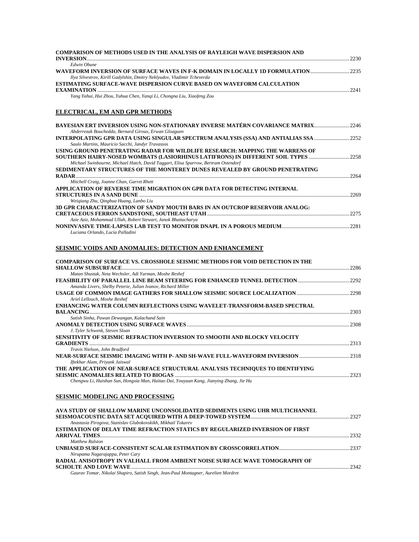| <b>COMPARISON OF METHODS USED IN THE ANALYSIS OF RAYLEIGH WAVE DISPERSION AND</b><br><b>INVERSION</b>                                                  | 2230  |
|--------------------------------------------------------------------------------------------------------------------------------------------------------|-------|
| Edwin Obune                                                                                                                                            |       |
| WAVEFORM INVERSION OF SURFACE WAVES IN F-K DOMAIN IN LOCALLY 1D FORMULATION<br>Ilya Silvestrov, Kirill Gadylshin, Dmitry Neklyudov, Vladimir Tcheverda | 2235  |
| <b>ESTIMATING SURFACE-WAVE DISPERSION CURVE BASED ON WAVEFORM CALCULATION</b>                                                                          |       |
|                                                                                                                                                        | 2241  |
| Yang Yahui, Hui Zhou, Yuhua Chen, Yangi Li, Chongna Liu, Xiaofeng Zou                                                                                  |       |
| <b>ELECTRICAL, EM AND GPR METHODS</b>                                                                                                                  |       |
| BAYESIAN ERT INVERSION USING NON-STATIONARY INVERSE MATÉRN COVARIANCE MATRIX                                                                           | 2246  |
| Abderrezak Bouchedda, Bernard Giroux, Erwan Gloaguen                                                                                                   |       |
| INTERPOLATING GPR DATA USING SINGULAR SPECTRUM ANALYSIS (SSA) AND ANTIALIAS SSA 2252<br>Saulo Martins, Mauricio Sacchi, Jandyr Travassos               |       |
| USING GROUND PENETRATING RADAR FOR WILDLIFE RESEARCH: MAPPING THE WARRENS OF                                                                           |       |
| SOUTHERN HAIRY-NOSED WOMBATS (LASIORHINUS LATIFRONS) IN DIFFERENT SOIL TYPES                                                                           | 2258  |
| Michael Swinbourne, Michael Hatch, David Taggart, Elisa Sparrow, Bertram Ostendorf                                                                     |       |
| SEDIMENTARY STRUCTURES OF THE MONTEREY DUNES REVEALED BY GROUND PENETRATING                                                                            |       |
| RADAR.                                                                                                                                                 | 2264  |
| Mitchell Craig, Joanne Chan, Garret Rhett                                                                                                              |       |
| APPLICATION OF REVERSE TIME MIGRATION ON GPR DATA FOR DETECTING INTERNAL                                                                               |       |
| STRUCTURES IN A SAND DUNE <b>STRUCTURES</b>                                                                                                            | 2269  |
| Weigiang Zhu, Qinghua Huang, Lanbo Liu                                                                                                                 |       |
| 3D GPR CHARACTERIZATION OF SANDY MOUTH BARS IN AN OUTCROP RESERVOIR ANALOG:                                                                            |       |
|                                                                                                                                                        | 2275  |
| Azie Aziz, Mohammad Ullah, Robert Stewart, Janok Bhattacharya                                                                                          |       |
|                                                                                                                                                        | .2281 |

*Luciana Orlando, Lucia Palladini* 

### **SEISMIC VOIDS AND ANOMALIES: DETECTION AND ENHANCEMENT**

| <b>COMPARISON OF SURFACE VS. CROSSHOLE SEISMIC METHODS FOR VOID DETECTION IN THE</b>   |       |
|----------------------------------------------------------------------------------------|-------|
|                                                                                        | .2286 |
| Matan Shustak, Neta Wechsler, Adi Yurman, Moshe Reshef                                 |       |
| Amanda Livers, Shelby Peterie, Julian Ivanov, Richard Miller                           |       |
| Ariel Lellouch, Moshe Reshef                                                           |       |
| ENHANCING WATER COLUMN REFLECTIONS USING WAVELET-TRANSFORM-BASED SPECTRAL              |       |
|                                                                                        | 2303  |
| Satish Sinha, Pawan Dewangan, Kalachand Sain                                           |       |
|                                                                                        | -2308 |
| J. Tyler Schwenk, Steven Sloan                                                         |       |
| SENSITIVITY OF SEISMIC REFRACTION INVERSION TO SMOOTH AND BLOCKY VELOCITY              |       |
|                                                                                        | 2313  |
| Travis Nielson, John Bradford                                                          |       |
|                                                                                        | 2318  |
| Iftekhar Alam, Priyank Jaiswal                                                         |       |
| THE APPLICATION OF NEAR-SURFACE STRUCTURAL ANALYSIS TECHNIQUES TO IDENTIFYING          |       |
|                                                                                        | 2323  |
| Chengwu Li, Haishan Sun, Hongxia Man, Haitao Dai, Youyuan Kang, Jianying Zhang, Jie Hu |       |

### **SEISMIC MODELING AND PROCESSING**

| AVA STUDY OF SHALLOW MARINE UNCONSOLIDATED SEDIMENTS USING UHR MULTICHANNEL        |      |
|------------------------------------------------------------------------------------|------|
| Anastasia Pirogova, Stanislav Glubokovskikh, Mikhail Tokarev                       |      |
| ESTIMATION OF DELAY TIME REFRACTION STATICS BY REGULARIZED INVERSION OF FIRST      |      |
|                                                                                    | 2332 |
| Matthew Ralston                                                                    |      |
|                                                                                    |      |
| Nirupama Nagarajappa, Peter Cary                                                   |      |
| RADIAL ANISOTROPY IN VALHALL FROM AMBIENT NOISE SURFACE WAVE TOMOGRAPHY OF         |      |
|                                                                                    | 2342 |
| Gaurav Tomar, Nikolai Shapiro, Satish Singh, Jean-Paul Montagner, Aurelien Mordret |      |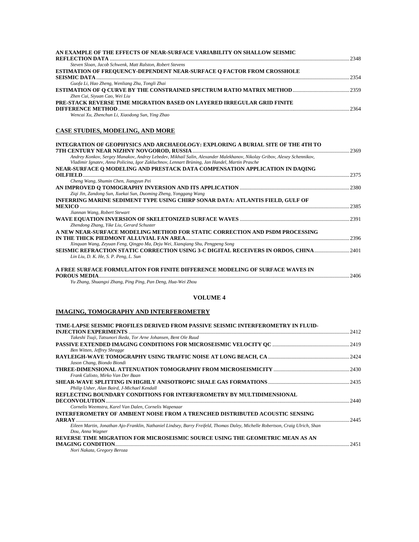| AN EXAMPLE OF THE EFFECTS OF NEAR-SURFACE VARIABILITY ON SHALLOW SEISMIC      |      |
|-------------------------------------------------------------------------------|------|
|                                                                               | 2348 |
| Steven Sloan, Jacob Schwenk, Matt Ralston, Robert Stevens                     |      |
| <b>ESTIMATION OF FREQUENCY-DEPENDENT NEAR-SURFACE O FACTOR FROM CROSSHOLE</b> |      |
|                                                                               | 2354 |
| Guofa Li, Hao Zheng, Wenliang Zhu, Tongli Zhai                                |      |
|                                                                               |      |
| Zhen Cui, Siyuan Cao, Wei Liu                                                 |      |
| PRE-STACK REVERSE TIME MIGRATION BASED ON LAYERED IRREGULAR GRID FINITE       |      |
|                                                                               | 2364 |
| Wencai Xu, Zhenchun Li, Xiaodong Sun, Ying Zhao                               |      |

### **CASE STUDIES, MODELING, AND MORE**

| INTEGRATION OF GEOPHYSICS AND ARCHAEOLOGY: EXPLORING A BURIAL SITE OF THE 4TH TO                                                                                                                                        |       |
|-------------------------------------------------------------------------------------------------------------------------------------------------------------------------------------------------------------------------|-------|
|                                                                                                                                                                                                                         | .2369 |
| Andrey Konkov, Sergey Manakov, Andrey Lebedev, Mikhail Salin, Alexander Malekhanov, Nikolay Gribov, Alexev Schennikov,<br>Vladimir Ignatev, Anna Policina, Igor Zakluchnov, Lennart Brüning, Jan Handel, Martin Prasche |       |
| NEAR-SURFACE Q MODELING AND PRESTACK DATA COMPENSATION APPLICATION IN DAQING                                                                                                                                            |       |
| <b>OILFIELD.</b>                                                                                                                                                                                                        | 2375  |
| Cheng Wang, Shumin Chen, Jiangyun Pei                                                                                                                                                                                   |       |
|                                                                                                                                                                                                                         | .2380 |
| Ziqi Jin, Zandong Sun, Xuekai Sun, Duoming Zheng, Yonggang Wang                                                                                                                                                         |       |
| INFERRING MARINE SEDIMENT TYPE USING CHIRP SONAR DATA: ATLANTIS FIELD, GULF OF                                                                                                                                          |       |
| <b>MEXICO</b>                                                                                                                                                                                                           | 2385  |
| Jiannan Wang, Robert Stewart                                                                                                                                                                                            |       |
|                                                                                                                                                                                                                         | 2391  |
| Zhendong Zhang, Yike Liu, Gerard Schuster                                                                                                                                                                               |       |
| A NEW NEAR-SURFACE MODELING METHOD FOR STATIC CORRECTION AND PSDM PROCESSING                                                                                                                                            |       |
|                                                                                                                                                                                                                         | 2396  |
| Xinquan Wang, Zeyuan Feng, Qingpo Ma, Deju Wei, Xianqiang Shu, Pengpeng Song                                                                                                                                            |       |
| 2401 SEISMIC REFRACTION STATIC CORRECTION USING 3-C DIGITAL RECEIVERS IN ORDOS, CHINA                                                                                                                                   |       |
| Lin Liu, D. K. He, S. P. Peng, L. Sun                                                                                                                                                                                   |       |
| A FREE SURFACE FORMULAITON FOR FINITE DIFFERENCE MODELING OF SURFACE WAVES IN                                                                                                                                           |       |
| POROUS MEDIA                                                                                                                                                                                                            | 2406  |

*Yu Zhang, Shuangxi Zhang, Ping Ping, Pan Deng, Hua-Wei Zhou* 

### **VOLUME 4**

### **IMAGING, TOMOGRAPHY AND INTERFEROMETRY**

| TIME-LAPSE SEISMIC PROFILES DERIVED FROM PASSIVE SEISMIC INTERFEROMETRY IN FLUID-                                             |       |
|-------------------------------------------------------------------------------------------------------------------------------|-------|
| <b>INJECTION EXPERIMENTS</b>                                                                                                  | 2412  |
| Takeshi Tsuji, Tatsunori Ikeda, Tor Arne Johansen, Bent Ole Ruud                                                              |       |
|                                                                                                                               |       |
| Ben Witten, Jeffrey Shragge                                                                                                   |       |
| Jason Chang, Biondo Biondi                                                                                                    |       |
|                                                                                                                               |       |
| Frank Calixto, Mirko Van Der Baan                                                                                             | .2435 |
| Philip Usher, Alan Baird, J-Michael Kendall                                                                                   |       |
| REFLECTING BOUNDARY CONDITIONS FOR INTERFEROMETRY BY MULTIDIMENSIONAL                                                         |       |
| DECONVOLUTION.                                                                                                                | 2440  |
| Cornelis Weemstra, Karel Van Dalen, Cornelis Wapenaar                                                                         |       |
| INTERFEROMETRY OF AMBIENT NOISE FROM A TRENCHED DISTRIBUTED ACOUSTIC SENSING                                                  |       |
| <b>ARRAY</b>                                                                                                                  | 2445  |
| Eileen Martin, Jonathan Ajo-Franklin, Nathaniel Lindsey, Barry Freifeld, Thomas Daley, Michelle Robertson, Craig Ulrich, Shan |       |
| Dou, Anna Wagner                                                                                                              |       |
| REVERSE TIME MIGRATION FOR MICROSEISMIC SOURCE USING THE GEOMETRIC MEAN AS AN<br><b>IMAGING CONDITION.</b>                    | 2451  |
| Nori Nakata, Gregory Beroza                                                                                                   |       |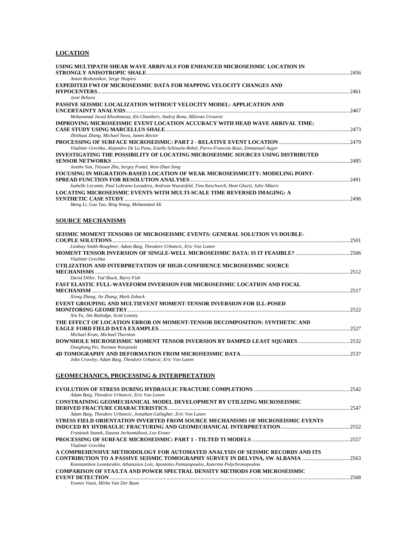### **LOCATION**

| USING MULTIPATH SHEAR WAVE ARRIVALS FOR ENHANCED MICROSEISMIC LOCATION IN                              |         |
|--------------------------------------------------------------------------------------------------------|---------|
|                                                                                                        |         |
| Anton Reshetnikov, Serge Shapiro                                                                       |         |
| <b>EXPEDITED FWI OF MICROSEISMIC DATA FOR MAPPING VELOCITY CHANGES AND</b>                             |         |
|                                                                                                        | $-2461$ |
| Jyoti Behura                                                                                           |         |
| PASSIVE SEISMIC LOCALIZATION WITHOUT VELOCITY MODEL: APPLICATION AND                                   |         |
|                                                                                                        |         |
| Mohammad Javad Khoshnavaz, Kit Chambers, Andrej Bona, Milovan Urosevic                                 |         |
| IMPROVING MICROSEISMIC EVENT LOCATION ACCURACY WITH HEAD WAVE ARRIVAL TIME:                            |         |
|                                                                                                        |         |
| Zhishuai Zhang, Michael Nava, James Rector                                                             |         |
|                                                                                                        |         |
| Vladimir Grechka, Alejandro De La Pena, Estelle Schissele-Rebel, Pierre-Francois Roux, Emmanuel Auger  |         |
| INVESTIGATING THE POSSIBILITY OF LOCATING MICROSEISMIC SOURCES USING DISTRIBUTED                       |         |
|                                                                                                        | 2485    |
| Junzhe Sun, Tieyuan Zhu, Sergey Fomel, Wen-Zhan Song                                                   |         |
| FOCUSING IN MIGRATION-BASED LOCATION OF WEAK MICROSEISMICITY: MODELING POINT-                          |         |
|                                                                                                        |         |
| Isabelle Lecomte, Paul Lubrano-Lavadera, Andreas Wuestefeld, Tina Kaschwich, Hom Gharti, Julie Albaric |         |
| <b>LOCATING MICROSEISMIC EVENTS WITH MULTI-SCALE TIME REVERSED IMAGING: A</b>                          |         |
|                                                                                                        |         |
| Meng Li, Guo Tao, Bing Wang, Mohammed Ali                                                              |         |
|                                                                                                        |         |
| <b>SOURCE MECHANISMS</b>                                                                               |         |
|                                                                                                        |         |
| SEISMIC MOMENT TENSORS OF MICROSEISMIC EVENTS: GENERAL SOLUTION VS DOUBLE-                             |         |

| 0210MIC MOMENT TENOONG OF MICROGERMIC E VENTO, GENERAL GOLCTION VG DOODLE-                                       | 2501  |
|------------------------------------------------------------------------------------------------------------------|-------|
| Lindsay Smith-Boughner, Adam Baig, Theodore Urbancic, Eric Von Lunen                                             |       |
| Vladimir Grechka                                                                                                 |       |
| UTILIZATION AND INTERPRETATION OF HIGH-CONFIDENCE MICROSEISMIC SOURCE                                            | -2512 |
| David Diller, Ted Shuck, Barry Fish                                                                              |       |
| <b>FAST ELASTIC FULL-WAVEFORM INVERSION FOR MICROSEISMIC LOCATION AND FOCAL</b>                                  | 2517  |
| Xiong Zhang, Jie Zhang, Mark Zoback                                                                              |       |
| EVENT GROUPING AND MULTIEVENT MOMENT-TENSOR INVERSION FOR ILL-POSED                                              | 2522  |
| Xin Yu, Jim Rutledge, Scott Leaney<br>THE EFFECT OF LOCATION ERROR ON MOMENT-TENSOR DECOMPOSITION: SYNTHETIC AND |       |
|                                                                                                                  | 2527  |
| Michael Kratz, Michael Thornton                                                                                  |       |
| Donghong Pei, Norman Warpinski                                                                                   |       |
| John Crowley, Adam Baig, Theodore Urbancic, Eric Von Lunen                                                       |       |

### **GEOMECHANICS, PROCESSING & INTERPRETATION**

| Adam Baig, Theodore Urbancic, Eric Von Lunen                                                  |      |
|-----------------------------------------------------------------------------------------------|------|
| <b>CONSTRAINING GEOMECHANICAL MODEL DEVELOPMENT BY UTILIZING MICROSEISMIC</b>                 |      |
|                                                                                               | 2547 |
| Adam Baig, Theodore Urbancic, Jonathan Gallagher, Eric Von Lunen                              |      |
| STRESS FIELD ORIENTATION INVERTED FROM SOURCE MECHANISMS OF MICROSEISMIC EVENTS               |      |
|                                                                                               |      |
| Frantisek Stanek, Zuzana Jechumtálová, Leo Eisner                                             |      |
|                                                                                               |      |
| Vladimir Grechka                                                                              |      |
| A COMPREHENSIVE METHODOLOGY FOR AUTOMATED ANALYSIS OF SEISMIC RECORDS AND ITS                 |      |
| <b>CONTRIBUTION TO A PASSIVE SEISMIC TOMOGRAPHY SURVEY IN DELVINA, SW ALBANIA 2563</b>        |      |
| Konstantinos Leontarakis, Athanasios Lois, Apostolos Pantazopoulos, Katerina Polychronopoulou |      |
| <b>COMPARISON OF STA/LTA AND POWER SPECTRAL DENSITY METHODS FOR MICROSEISMIC</b>              |      |
|                                                                                               | 2568 |
| Yoones Vaezi, Mirko Van Der Baan                                                              |      |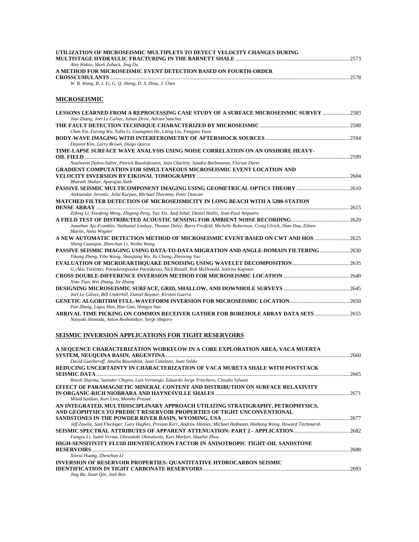| UTILIZATION OF MICROSEISMIC MULTIPLETS TO DETECT VELOCITY CHANGES DURING                                                   |  |
|----------------------------------------------------------------------------------------------------------------------------|--|
| Alex Hakso, Mark Zoback, Jing Du                                                                                           |  |
| A METHOD FOR MICROSEISMIC EVENT DETECTION BASED ON FOURTH-ORDER                                                            |  |
|                                                                                                                            |  |
| W. B. Wang, B. J. Li, G. O. Sheng, D. S. Zhou, J. Chen                                                                     |  |
|                                                                                                                            |  |
|                                                                                                                            |  |
| <b>MICROSEISMIC</b>                                                                                                        |  |
|                                                                                                                            |  |
| LESSONS LEARNED FROM A REPROCESSING CASE STUDY OF A SURFACE MICROSEISMIC SURVEY  2583                                      |  |
| Jian Zhang, Joel Le Calvez, Julian Drew, Adrian Sanchez                                                                    |  |
|                                                                                                                            |  |
| Chen Yin, Furong Wu, Yalin Li, Guangmin He, Liting Liu, Fengyao Yuan                                                       |  |
|                                                                                                                            |  |
| Doyeon Kim, Larry Brown, Diego Quiros                                                                                      |  |
| TIME-LAPSE SURFACE WAVE ANALYSIS USING NOISE CORRELATION ON AN ONSHORE HEAVY-                                              |  |
|                                                                                                                            |  |
| Noalwenn Dubos-Sallee, Patrick Rasolofosaon, Jean Charlety, Sandra Barbouteau, Florian Duret                               |  |
| GRADIENT COMPUTATION FOR SIMULTANEOUS MICROSEISMIC EVENT LOCATION AND                                                      |  |
|                                                                                                                            |  |
| Bharath Shekar, Aparajita Nath                                                                                             |  |
|                                                                                                                            |  |
| Aleksandar Jeremic, Julia Kurpan, Michael Thornton, Peter Duncan                                                           |  |
| <b>MATCHED FILTER DETECTION OF MICROSEISMICITY IN LONG BEACH WITH A 5200-STATION</b>                                       |  |
|                                                                                                                            |  |
| Zefeng Li, Xiaofeng Meng, Zhigang Peng, Yao Xie, Asaf Inbal, Daniel Hollis, Jean-Paul Ampuero                              |  |
|                                                                                                                            |  |
| Jonathan Ajo-Franklin, Nathaniel Lindsey, Thomas Daley, Barry Freifeld, Michelle Robertson, Craig Ulrich, Shan Dou, Eileen |  |
| Martin, Anna Wagner                                                                                                        |  |
| A NEW AUTOMATIC DETECTION METHOD OF MICROSEISMIC EVENT BASED ON CWT AND HOS  2625                                          |  |
| Sheng Guanqun, Zhenchun Li, Weibo Wang                                                                                     |  |
| PASSIVE SEISMIC IMAGING USING DATA-TO-DATA MIGRATION AND ANGLE-DOMAIN FILTERING  2630                                      |  |
| Yikang Zheng, Yibo Wang, Shaojiang Wu, Xu Chang, Zhenxing Yao                                                              |  |
|                                                                                                                            |  |
| G.-Akis Tselentis, Paraskevopoulos Paraskevas, Nick Russill, Rob McDonald, Sotirios Kapotas                                |  |
|                                                                                                                            |  |
| Xiao Tian, Wei Zhang, Jie Zhang                                                                                            |  |
|                                                                                                                            |  |
| Joel Le Calvez, Bill Underhill, Daniel Raymer, Kirsten Guerra                                                              |  |
|                                                                                                                            |  |
| Pan Zhang, Liguo Han, Han Gao, Hongyu Sun                                                                                  |  |
| ARRIVAL TIME PICKING ON COMMON RECEIVER GATHER FOR BOREHOLE ARRAY DATA SETS 2655                                           |  |
| Naoyuki Shimoda, Anton Reshetnikov, Serge Shapiro                                                                          |  |
|                                                                                                                            |  |

### **SEISMIC INVERSION APPLICATIONS FOR TIGHT RESERVOIRS**

| A SEQUENCE CHARACTERIZATION WORKFLOW IN A CORE EXPLORATION AREA, VACA MUERTA                                           |        |
|------------------------------------------------------------------------------------------------------------------------|--------|
|                                                                                                                        | 2660   |
| David Guerberoff, Amalia Rosemblat, Juan Catalano, Juan Soldo                                                          |        |
| REDUCING UNCERTAINTY IN CHARACTERIZATION OF VACA MURETA SHALE WITH POSTSTACK                                           |        |
| <b>SEISMIC DATA</b>                                                                                                    | 2665   |
| Ritesh Sharma, Satinder Chopra, Luis Vernengo, Eduardo Jorge Trinchero, Claudio Sylwan                                 |        |
| EFFECT OF PARAMAGNETIC MINERAL CONTENT AND DISTRIBUTION ON SURFACE RELAXIVITY                                          |        |
|                                                                                                                        | 2671   |
| Milad Saidian, Kurt Livo, Manika Prasad                                                                                |        |
| AN INTEGRATED, MULTIDISCIPLINARY APPROACH UTILIZING STRATIGRAPHY, PETROPHYSICS,                                        |        |
| AND GEOPHYSICS TO PREDICT RESERVOIR PROPERTIES OF TIGHT UNCONVENTIONAL                                                 |        |
|                                                                                                                        | . 2677 |
| Jeff Zawila, Sam Fluckiger, Gary Hughes, Preston Kerr, Andrew Hennes, Michael Hofmann, Haihong Wang, Howard Titchmarsh |        |
|                                                                                                                        | 2682   |
| Fangyu Li, Sumit Verma, Oluwatobi Olorunsola, Kurt Marfurt, Huailai Zhou                                               |        |
| HIGH-SENSITIVITY FLUID IDENTIFICATION FACTOR IN ANISOTROPIC TIGHT-OIL SANDSTONE                                        |        |
| <b>RESERVOIRS</b>                                                                                                      | 2688   |
| Xinrui Huang, Zhenchun Li                                                                                              |        |
| <b>INVERSION OF RESERVOIR PROPERTIES: OUANTITATIVE HYDROCARBON SEISMIC</b>                                             |        |
|                                                                                                                        | 2693   |
| Jing Ba, Xuan Oin, Jiali Ren                                                                                           |        |
|                                                                                                                        |        |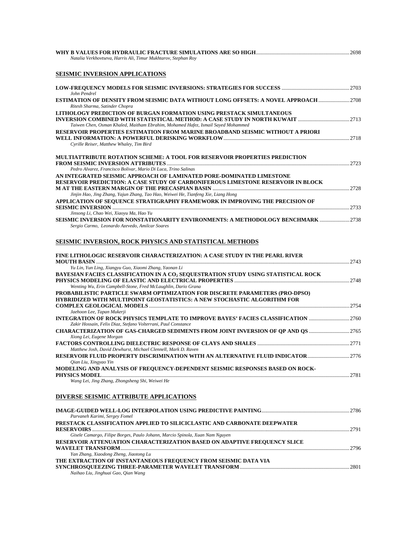| Natalia Verkhovtseva, Harris Ali, Timur Mukhtarov, Stephan Roy                                                                                                                 |  |
|--------------------------------------------------------------------------------------------------------------------------------------------------------------------------------|--|
| <b>SEISMIC INVERSION APPLICATIONS</b>                                                                                                                                          |  |
| John Pendrel                                                                                                                                                                   |  |
| <b>ESTIMATION OF DENSITY FROM SEISMIC DATA WITHOUT LONG OFFSETS: A NOVEL APPROACH 2708</b><br>Ritesh Sharma, Satinder Chopra                                                   |  |
| LITHOLOGY PREDICTION OF BURGAN FORMATION USING PRESTACK SIMULTANEOUS<br>Taiwen Chen, Osman Khaled, Maitham Ebrahim, Mohamed Hafez, Ismail Sayed Mohammed                       |  |
| <b>RESERVOIR PROPERTIES ESTIMATION FROM MARINE BROADBAND SEISMIC WITHOUT A PRIORI</b><br>Cyrille Reiser, Matthew Whaley, Tim Bird                                              |  |
| <b>MULTIATTRIBUTE ROTATION SCHEME: A TOOL FOR RESERVOIR PROPERTIES PREDICTION</b><br>Pedro Alvarez, Francisco Bolivar, Mario Di Luca, Trino Salinas                            |  |
| AN INTEGRATED SEISMIC APPROACH OF LAMINATED PORE-DOMINATED LIMESTONE<br><b>RESERVOIR PREDICTION: A CASE STUDY OF CARBONIFEROUS LIMESTONE RESERVOIR IN BLOCK</b>                |  |
| Jinjin Hao, Jing Zhang, Yajun Zhang, Tao Hao, Weiwei He, Tianfeng Xie, Liang Hong<br>APPLICATION OF SEQUENCE STRATIGRAPHY FRAMEWORK IN IMPROVING THE PRECISION OF              |  |
| Jinsong Li, Chao Wei, Xiaoyu Ma, Hao Yu<br>SEISMIC INVERSION FOR NONSTATIONARITY ENVIRONMENTS: A METHODOLOGY BENCHMARK  2738<br>Sergio Carmo, Leonardo Azevedo, Amilcar Soares |  |
|                                                                                                                                                                                |  |

### **SEISMIC INVERSION, ROCK PHYSICS AND STATISTICAL METHODS**

| FINE LITHOLOGIC RESERVOIR CHARACTERIZATION: A CASE STUDY IN THE PEARL RIVER                    |  |
|------------------------------------------------------------------------------------------------|--|
|                                                                                                |  |
| Yu Lin, Yun Ling, Xiangyu Guo, Xiaomi Zhang, Yaonan Li                                         |  |
| BAYESIAN FACIES CLASSIFICATION IN A CO <sub>2</sub> SEQUESTRATION STUDY USING STATISTICAL ROCK |  |
|                                                                                                |  |
| Wenting Wu, Erin Campbell-Stone, Fred McLaughlin, Dario Grana                                  |  |
| PROBABILISTIC PARTICLE SWARM OPTIMIZATION FOR DISCRETE PARAMETERS (PRO-DPSO)                   |  |
| HYBRIDIZED WITH MULTIPOINT GEOSTATISTICS: A NEW STOCHASTIC ALGORITHM FOR                       |  |
|                                                                                                |  |
| Jaehoon Lee, Tapan Mukerji                                                                     |  |
| INTEGRATION OF ROCK PHYSICS TEMPLATE TO IMPROVE BAYES' FACIES CLASSIFICATION 2760              |  |
| Zakir Hossain, Felix Diaz, Stefano Volterrani, Paul Constance                                  |  |
| <b>CHARACTERIZATION OF GAS-CHARGED SEDIMENTS FROM JOINT INVERSION OF OP AND OS 2765</b>        |  |
| Xiong Lei, Eugene Morgan                                                                       |  |
|                                                                                                |  |
| Matthew Josh, David Dewhurst, Michael Clennell, Mark D. Raven                                  |  |
| RESERVOIR FLUID PROPERTY DISCRIMINATION WITH AN ALTERNATIVE FLUID INDICATOR2776                |  |
| Qian Liu, Xingyao Yin                                                                          |  |
| MODELING AND ANALYSIS OF FREQUENCY-DEPENDENT SEISMIC RESPONSES BASED ON ROCK-                  |  |
|                                                                                                |  |
| Wang Lei, Jing Zhang, Zhongsheng Shi, Weiwei He                                                |  |
|                                                                                                |  |
| DIVERSE SEISMIC ATTRIBUTE APPLICATIONS                                                         |  |
|                                                                                                |  |
|                                                                                                |  |
| Parvaneh Karimi, Sergey Fomel                                                                  |  |
| PRESTACK CLASSIFICATION APPLIED TO SILICICLASTIC AND CARBONATE DEEPWATER                       |  |
|                                                                                                |  |
| Gisele Camargo, Filipe Borges, Paulo Johann, Marcio Spinola, Xuan Nam Nguyen                   |  |
| RESERVOIR ATTENUATION CHARACTERIZATION BASED ON ADAPTIVE FREQUENCY SLICE                       |  |
|                                                                                                |  |
| Yan Zhang, Xiaodong Zheng, Jiaotong Lu                                                         |  |
| THE EXTRACTION OF INSTANTANEOUS FREQUENCY FROM SEISMIC DATA VIA                                |  |
|                                                                                                |  |

*Naihao Liu, Jinghuai Gao, Qian Wang*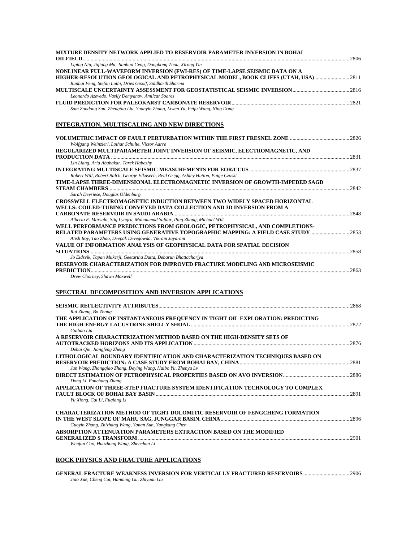| MIXTURE DENSITY NETWORK APPLIED TO RESERVOIR PARAMETER INVERSION IN BOHAI                                                                                            |       |
|----------------------------------------------------------------------------------------------------------------------------------------------------------------------|-------|
| Liping Niu, Jigiang Ma, Jianhua Geng, Donghong Zhou, Xirong Yin                                                                                                      | 2806  |
| NONLINEAR FULL-WAVEFORM INVERSION (FWI-RES) OF TIME-LAPSE SEISMIC DATA ON A                                                                                          |       |
| HIGHER-RESOLUTION GEOLOGICAL AND PETROPHYSICAL MODEL, BOOK CLIFFS (UTAH, USA)                                                                                        | 2811  |
| Runhai Feng, Stefan Luthi, Dries Gisolf, Siddharth Sharma                                                                                                            |       |
| Leonardo Azevedo, Vasily Demyanov, Amilcar Soares                                                                                                                    | .2816 |
|                                                                                                                                                                      | .2821 |
| Sam Zandong Sun, Zhengtao Liu, Yuanyin Zhang, Liwen Yu, Peifu Wang, Ning Dong                                                                                        |       |
| <b>INTEGRATION, MULTISCALING AND NEW DIRECTIONS</b>                                                                                                                  |       |
|                                                                                                                                                                      |       |
| Wolfgang Weinzierl, Lothar Schulte, Victor Aarre                                                                                                                     |       |
| REGULARIZED MULTIPARAMETER JOINT INVERSION OF SEISMIC, ELECTROMAGNETIC, AND                                                                                          |       |
|                                                                                                                                                                      | 2831  |
| Lin Liang, Aria Abubakar, Tarek Habashy                                                                                                                              |       |
|                                                                                                                                                                      | 2837  |
| Robert Will, Robert Balch, George Elkaseeh, Reid Grigg, Ashley Hutton, Paige Czoski<br>TIME-LAPSE THREE-DIMENSIONAL ELECTROMAGNETIC INVERSION OF GROWTH-IMPEDED SAGD |       |
|                                                                                                                                                                      | 2842  |
| Sarah Devriese, Douglas Oldenburg                                                                                                                                    |       |
| <b>CROSSWELL ELECTROMAGNETIC INDUCTION BETWEEN TWO WIDELY SPACED HORIZONTAL</b>                                                                                      |       |
| WELLS: COILED-TUBING CONVEYED DATA COLLECTION AND 3D INVERSION FROM A                                                                                                |       |
|                                                                                                                                                                      | 2848  |
| Alberto F. Marsala, Stig Lyngra, Muhammad Safdar, Ping Zhang, Michael Wilt                                                                                           |       |
| WELL PERFORMANCE PREDICTIONS FROM GEOLOGIC, PETROPHYSICAL, AND COMPLETIONS-<br>RELATED PARAMETERS USING GENERATIVE TOPOGRAPHIC MAPPING: A FIELD CASE STUDY           | .2853 |
| Atish Roy, Tao Zhao, Deepak Devegowda, Vikram Jayaram                                                                                                                |       |
| VALUE OF INFORMATION ANALYSIS OF GEOPHYSICAL DATA FOR SPATIAL DECISION                                                                                               |       |
|                                                                                                                                                                      | 2858  |
| Jo Eidsvik, Tapan Mukerji, Geetartha Dutta, Debarun Bhattacharjya                                                                                                    |       |
| RESERVOIR CHARACTERIZATION FOR IMPROVED FRACTURE MODELING AND MICROSEISMIC                                                                                           |       |
|                                                                                                                                                                      | 2863  |
| Drew Chorney, Shawn Maxwell                                                                                                                                          |       |

### **SPECTRAL DECOMPOSITION AND INVERSION APPLICATIONS**

| Rui Zhang, Bo Zhang                                                                |      |
|------------------------------------------------------------------------------------|------|
| THE APPLICATION OF INSTANTANEOUS FREQUENCY IN TIGHT OIL EXPLORATION: PREDICTING    |      |
|                                                                                    |      |
| Guibao Liu                                                                         |      |
| A RESERVOIR CHARACTERIZATION METHOD BASED ON THE HIGH-DENSITY SETS OF              |      |
|                                                                                    |      |
| Dehai Oin, Jiangfeng Zheng                                                         |      |
| LITHOLOGICAL BOUNDARY IDENTIFICATION AND CHARACTERIZATION TECHNIQUES BASED ON      |      |
|                                                                                    |      |
| Jun Wang, Zhongqiao Zhang, Deving Wang, Haibo Yu, Zhenyu Ly                        |      |
|                                                                                    |      |
| Dong Li, Fanchang Zhang                                                            |      |
| APPLICATION OF THREE-STEP FRACTURE SYSTEM IDENTIFICATION TECHNOLOGY TO COMPLEX     |      |
|                                                                                    | 2891 |
| Yu Xiong, Cai Li, Fugiang Li                                                       |      |
| <b>CHARACTERIZATION METHOD OF TIGHT DOLOMITIC RESERVOIR OF FENGCHENG FORMATION</b> |      |
|                                                                                    |      |
| Guoyin Zhang, Zhizhang Wang, Yanan Sun, Yangkang Chen                              |      |
| ABSORPTION ATTENUATION PARAMETERS EXTRACTION BASED ON THE MODIFIED                 |      |
|                                                                                    | 2901 |
| Wenjun Cao, Huazhong Wang, Zhenchun Li                                             |      |
|                                                                                    |      |

### **ROCK PHYSICS AND FRACTURE APPLICATIONS**

| Jiao Xue, Cheng Cai, Hanming Gu, Zhiyuan Gu |  |
|---------------------------------------------|--|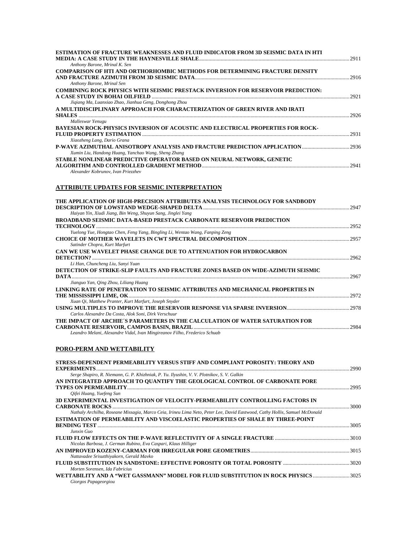| <b>ESTIMATION OF FRACTURE WEAKNESSES AND FLUID INDICATOR FROM 3D SEISMIC DATA IN HTI</b> | 2911   |
|------------------------------------------------------------------------------------------|--------|
| Anthony Barone, Mrinal K. Sen                                                            |        |
| <b>COMPARISON OF HTI AND ORTHORHOMBIC METHODS FOR DETERMINING FRACTURE DENSITY</b>       |        |
|                                                                                          | -2916  |
| Anthony Barone, Mrinal Sen                                                               |        |
| <b>COMBINING ROCK PHYSICS WITH SEISMIC PRESTACK INVERSION FOR RESERVOIR PREDICTION:</b>  |        |
|                                                                                          | 2921   |
| Jigiang Ma, Luanxiao Zhao, Jianhua Geng, Donghong Zhou                                   |        |
| A MULTIDISCIPLINARY APPROACH FOR CHARACTERIZATION OF GREEN RIVER AND IRATI               |        |
|                                                                                          | 2926   |
| Malleswar Yenugu                                                                         |        |
| <b>BAYESIAN ROCK-PHYSICS INVERSION OF ACOUSTIC AND ELECTRICAL PROPERTIES FOR ROCK-</b>   |        |
|                                                                                          | 2931   |
| Xiaozheng Lang, Dario Grana                                                              |        |
|                                                                                          | - 2936 |
| Xumin Liu, Handong Huang, Yanchao Wang, Sheng Zhang                                      |        |
| STABLE NONLINEAR PREDICTIVE OPERATOR BASED ON NEURAL NETWORK, GENETIC                    |        |
|                                                                                          | 2941   |
| Alexander Kobrunov, Ivan Priezzhev                                                       |        |
|                                                                                          |        |

### **ATTRIBUTE UPDATES FOR SEISMIC INTERPRETATION**

| THE APPLICATION OF HIGH-PRECISION ATTRIBUTES ANALYSIS TECHNOLOGY FOR SANDBODY    |       |
|----------------------------------------------------------------------------------|-------|
| Haiyan Yin, Xiudi Jiang, Bin Weng, Shuyun Sang, Jinglei Yang                     | 2947  |
| <b>BROADBAND SEISMIC DATA-BASED PRESTACK CARBONATE RESERVOIR PREDICTION</b>      |       |
|                                                                                  | 2952  |
| Yuelong Yue, Hongtao Chen, Feng Yang, Bingling Li, Wentao Wang, Fanping Zeng     |       |
| Satinder Chopra, Kurt Marfurt                                                    |       |
| CAN WE USE WAVELET PHASE CHANGE DUE TO ATTENUATION FOR HYDROCARBON               |       |
| DETECTION?                                                                       | -2962 |
| Li Han, Chuncheng Liu, Sanyi Yuan                                                |       |
| DETECTION OF STRIKE-SLIP FAULTS AND FRACTURE ZONES BASED ON WIDE-AZIMUTH SEISMIC |       |
| DATA                                                                             | 2967  |
| Jianguo Yan, Oing Zhou, Liliang Huang                                            |       |
| LINKING RATE OF PENETRATION TO SEISMIC ATTRIBUTES AND MECHANICAL PROPERTIES IN   |       |
|                                                                                  | 2972  |
| Xuan Qi, Matthew Pranter, Kurt Marfurt, Joseph Snyder                            |       |
|                                                                                  |       |
| Carlos Alexandre Da Costa, Alok Soni, Dirk Verschuur                             |       |
| THE IMPACT OF ARCHIE'S PARAMETERS IN THE CALCULATION OF WATER SATURATION FOR     |       |
| Leandro Melani, Alexandre Vidal, Ivan Mingireanov Filho, Frederico Schuab        | 2984  |

### **PORO-PERM AND WETTABILITY**

| STRESS-DEPENDENT PERMEABILITY VERSUS STIFF AND COMPLIANT POROSITY: THEORY AND<br><b>EXPERIMENTS</b>                                                                                                                 | 2990  |
|---------------------------------------------------------------------------------------------------------------------------------------------------------------------------------------------------------------------|-------|
| Serge Shapiro, R. Niemann, G. P. Khizhniak, P. Yu. Ilyushin, V. V. Plotnikov, S. V. Galkin                                                                                                                          |       |
| AN INTEGRATED APPROACH TO QUANTIFY THE GEOLOGICAL CONTROL OF CARBONATE PORE                                                                                                                                         | 2995  |
| Oifei Huang, Yuefeng Sun<br>3D EXPERIMENTAL INVESTIGATION OF VELOCITY-PERMEABILITY CONTROLLING FACTORS IN                                                                                                           | 3000  |
| Nathaly Archilha, Roseane Missagia, Marco Ceia, Irineu Lima Neto, Peter Lee, David Eastwood, Cathy Hollis, Samuel McDonald<br><b>ESTIMATION OF PERMEABILITY AND VISCOELASTIC PROPERTIES OF SHALE BY THREE-POINT</b> |       |
| <b>BENDING TEST </b><br>Junxin Guo                                                                                                                                                                                  | 3005  |
| Nicolas Barbosa, J. German Rubino, Eva Caspari, Klaus Hilliger                                                                                                                                                      |       |
| Nattavadee Srisutthiyakorn, Gerald Mavko                                                                                                                                                                            | -3015 |
| Morten Sorensen, Ida Fabricius                                                                                                                                                                                      |       |
| WETTABILITY AND A "WET GASSMANN" MODEL FOR FLUID SUBSTITUTION IN ROCK PHYSICS 3025<br>Giorgos Papageorgiou                                                                                                          |       |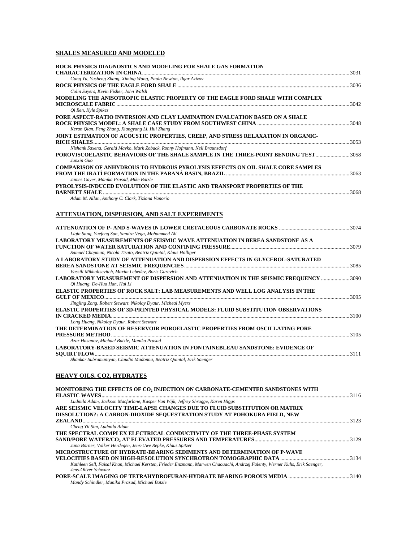### **SHALES MEASURED AND MODELED**

| <b>ROCK PHYSICS DIAGNOSTICS AND MODELING FOR SHALE GAS FORMATION</b>                                                    |  |
|-------------------------------------------------------------------------------------------------------------------------|--|
| Gang Yu, Yusheng Zhang, Ximing Wang, Paola Newton, Ilgar Azizov                                                         |  |
| <b>ROCK PHYSICS OF THE EAGLE FORD SHALE</b> <i>manufacture and manufacture manufacture manufacture manufacture 3036</i> |  |
| Colin Sayers, Kevin Fisher, John Walsh                                                                                  |  |
| MODELING THE ANISOTROPIC ELASTIC PROPERTY OF THE EAGLE FORD SHALE WITH COMPLEX                                          |  |
|                                                                                                                         |  |
| Qi Ren, Kyle Spikes                                                                                                     |  |
| PORE ASPECT-RATIO INVERSION AND CLAY LAMINATION EVALUATION BASED ON A SHALE                                             |  |
|                                                                                                                         |  |
| Keran Qian, Feng Zhang, Xiangyang Li, Hui Zhang                                                                         |  |
| JOINT ESTIMATION OF ACOUSTIC PROPERTIES, CREEP, AND STRESS RELAXATION IN ORGANIC-                                       |  |
|                                                                                                                         |  |
| Nishank Saxena, Gerald Mavko, Mark Zoback, Ronny Hofmann, Neil Braunsdorf                                               |  |
| POROVISCOELASTIC BEHAVIORS OF THE SHALE SAMPLE IN THE THREE-POINT BENDING TEST 3058                                     |  |
| Junxin Guo                                                                                                              |  |
| <b>COMPARISON OF ANHYDROUS TO HYDROUS PYROLYSIS EFFECTS ON OIL SHALE CORE SAMPLES</b>                                   |  |
|                                                                                                                         |  |
| James Gayer, Manika Prasad, Mike Batzle                                                                                 |  |
| PYROLYSIS-INDUCED EVOLUTION OF THE ELASTIC AND TRANSPORT PROPERTIES OF THE                                              |  |
|                                                                                                                         |  |
| Adam M. Allan, Anthony C. Clark, Tiziana Vanorio                                                                        |  |
| ATTENUATION, DISPERSION, AND SALT EXPERIMENTS                                                                           |  |
|                                                                                                                         |  |
| Ligin Sang, Yuefeng Sun, Sandra Vega, Mohammed Ali                                                                      |  |
| <b>LABORATORY MEASUREMENTS OF SEISMIC WAVE ATTENUATION IN BEREA SANDSTONE AS A</b>                                      |  |
|                                                                                                                         |  |
| Samuel Chapman, Nicola Tisato, Beatriz Quintal, Klaus Holliger                                                          |  |
| A LABORATORY STUDY OF ATTENUATION AND DISPERSION EFFECTS IN GLYCEROL-SATURATED                                          |  |
|                                                                                                                         |  |
| Vassili Mikhaltsevitch, Maxim Lebedev, Boris Gurevich                                                                   |  |
| LABORATORY MEASUREMENT OF DISPERSION AND ATTENUATION IN THE SEISMIC FREQUENCY  3090                                     |  |
| Qi Huang, De-Hua Han, Hui Li                                                                                            |  |
| ELASTIC PROPERTIES OF ROCK SALT: LAB MEASUREMENTS AND WELL LOG ANALYSIS IN THE                                          |  |
|                                                                                                                         |  |
| Jingjing Zong, Robert Stewart, Nikolay Dyaur, Micheal Myers                                                             |  |
| ELASTIC PROPERTIES OF 3D-PRINTED PHYSICAL MODELS: FLUID SUBSTITUTION OBSERVATIONS                                       |  |
|                                                                                                                         |  |
| Long Huang, Nikolay Dyaur, Robert Stewart                                                                               |  |
| THE DETERMINATION OF RESERVOIR POROELASTIC PROPERTIES FROM OSCILLATING PORE                                             |  |
| Azar Hasanov, Michael Batzle, Manika Prasad                                                                             |  |
|                                                                                                                         |  |
| LABORATORY-BASED SEISMIC ATTENUATION IN FONTAINEBLEAU SANDSTONE: EVIDENCE OF                                            |  |
| Shankar Subramaniyan, Claudio Madonna, Beatriz Quintal, Erik Saenger                                                    |  |

### **HEAVY OILS, CO2, HYDRATES**

| MONITORING THE EFFECTS OF CO <sub>2</sub> INJECTION ON CARBONATE-CEMENTED SANDSTONES WITH                                   |         |
|-----------------------------------------------------------------------------------------------------------------------------|---------|
|                                                                                                                             | 3116    |
| Ludmila Adam, Jackson Macfarlane, Kasper Van Wijk, Jeffrey Shragge, Karen Higgs                                             |         |
| ARE SEISMIC VELOCITY TIME-LAPSE CHANGES DUE TO FLUID SUBSTITUTION OR MATRIX                                                 |         |
| DISSOLUTION?: A CARBON-DIOXIDE SEQUESTRATION STUDY AT POHOKURA FIELD, NEW                                                   |         |
|                                                                                                                             | 3123    |
| Cheng Yii Sim, Ludmila Adam                                                                                                 |         |
| THE SPECTRAL COMPLEX ELECTRICAL CONDUCTIVITY OF THE THREE-PHASE SYSTEM                                                      |         |
|                                                                                                                             |         |
| Jana Börner, Volker Herdegen, Jens-Uwe Repke, Klaus Spitzer                                                                 |         |
| MICROSTRUCTURE OF HYDRATE-BEARING SEDIMENTS AND DETERMINATION OF P-WAVE                                                     |         |
|                                                                                                                             |         |
| Kathleen Sell, Faisal Khan, Michael Kersten, Frieder Enzmann, Marwen Chaouachi, Andrzej Falenty, Werner Kuhs, Erik Saenger, |         |
| Jens-Oliver Schwarz                                                                                                         |         |
|                                                                                                                             | $-3140$ |
| Mandy Schindler, Manika Prasad, Michael Batzle                                                                              |         |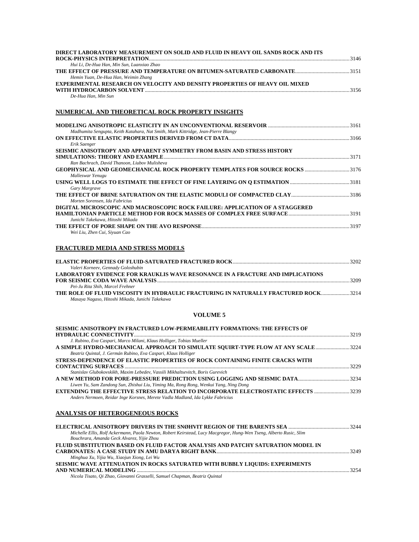| DIRECT LABORATORY MEASUREMENT ON SOLID AND FLUID IN HEAVY OIL SANDS ROCK AND ITS   |      |
|------------------------------------------------------------------------------------|------|
|                                                                                    | 3146 |
| Hui Li, De-Hua Han, Min Sun, Luanxiao Zhao                                         |      |
|                                                                                    |      |
| Hemin Yuan, De-Hua Han, Weimin Zhang                                               |      |
| <b>EXPERIMENTAL RESEARCH ON VELOCITY AND DENSITY PROPERTIES OF HEAVY OIL MIXED</b> |      |
|                                                                                    | 3156 |
| De-Hua Han, Min Sun                                                                |      |

### **NUMERICAL AND THEORETICAL ROCK PROPERTY INSIGHTS**

| Madhumita Sengupta, Keith Katahara, Nat Smith, Mark Kittridge, Jean-Pierre Blangy |  |
|-----------------------------------------------------------------------------------|--|
|                                                                                   |  |
| Erik Saenger                                                                      |  |
| SEISMIC ANISOTROPY AND APPARENT SYMMETRY FROM BASIN AND STRESS HISTORY            |  |
|                                                                                   |  |
| Ran Bachrach, David Thanoon, Liubov Mulisheva                                     |  |
|                                                                                   |  |
| Malleswar Yenugu                                                                  |  |
|                                                                                   |  |
| Gary Margrave                                                                     |  |
|                                                                                   |  |
| Morten Sorensen, Ida Fabricius                                                    |  |
| DIGITAL MICROSCOPIC AND MACROSCOPIC ROCK FAILURE: APPLICATION OF A STAGGERED      |  |
|                                                                                   |  |
| Junichi Takekawa, Hitoshi Mikada                                                  |  |
|                                                                                   |  |
|                                                                                   |  |

*Wei Liu, Zhen Cui, Siyuan Cao* 

### **FRACTURED MEDIA AND STRESS MODELS**

| Valeri Korneev, Gennady Goloshubin                                                    |      |
|---------------------------------------------------------------------------------------|------|
| <b>LABORATORY EVIDENCE FOR KRAUKLIS WAVE RESONANCE IN A FRACTURE AND IMPLICATIONS</b> |      |
|                                                                                       | 3209 |
| Pei-Ju Rita Shih, Marcel Frehner                                                      |      |
| THE ROLE OF FLUID VISCOSITY IN HYDRAULIC FRACTURING IN NATURALLY FRACTURED ROCK3214   |      |
| Masaya Nagaso, Hitoshi Mikada, Junichi Takekawa                                       |      |

### **VOLUME 5**

| SEISMIC ANISOTROPY IN FRACTURED LOW-PERMEABILITY FORMATIONS: THE EFFECTS OF              |      |
|------------------------------------------------------------------------------------------|------|
|                                                                                          | 3219 |
| J. Rubino, Eva Caspari, Marco Milani, Klaus Holliger, Tobias Mueller                     |      |
| A SIMPLE HYDRO-MECHANICAL APPROACH TO SIMULATE SOUIRT-TYPE FLOW AT ANY SCALE 3224        |      |
| Beatriz Quintal, J. Germán Rubino, Eva Caspari, Klaus Holliger                           |      |
| STRESS-DEPENDENCE OF ELASTIC PROPERTIES OF ROCK CONTAINING FINITE CRACKS WITH            |      |
|                                                                                          | 3229 |
| Stanislav Glubokovskikh, Maxim Lebedev, Vassili Mikhaltsevitch, Boris Gurevich           |      |
|                                                                                          |      |
| Liwen Yu, Sam Zandong Sun, Zhishui Liu, Yiming Ma, Rong Rong, Wenkui Yang, Ning Dong     |      |
| <b>EXTENDING THE EFFECTIVE STRESS RELATION TO INCORPORATE ELECTROSTATIC EFFECTS 3239</b> |      |
| Anders Nermoen, Reidar Inge Korsnes, Merete Vadla Madland, Ida Lykke Fabricius           |      |

### **ANALYSIS OF HETEROGENEOUS ROCKS**

| Michelle Ellis, Rolf Ackermann, Paola Newton, Robert Keirstead, Lucy Macgregor, Hung-Wen Tseng, Alberto Rusic, Slim |      |
|---------------------------------------------------------------------------------------------------------------------|------|
| Bouchrara, Amanda Geck Alvarez, Yijie Zhou                                                                          |      |
| FLUID SUBSTITUTION BASED ON FLUID FACTOR ANALYSIS AND PATCHY SATURATION MODEL IN                                    |      |
|                                                                                                                     |      |
| Minghua Xu, Yijia Wu, Xiaojun Xiong, Lei Wu                                                                         |      |
| SEISMIC WAVE ATTENUATION IN ROCKS SATURATED WITH BUBBLY LIQUIDS: EXPERIMENTS                                        |      |
|                                                                                                                     | 3254 |
| Nicola Tisato, Oi Zhao, Giovanni Grasselli, Samuel Chapman, Beatriz Ouintal                                         |      |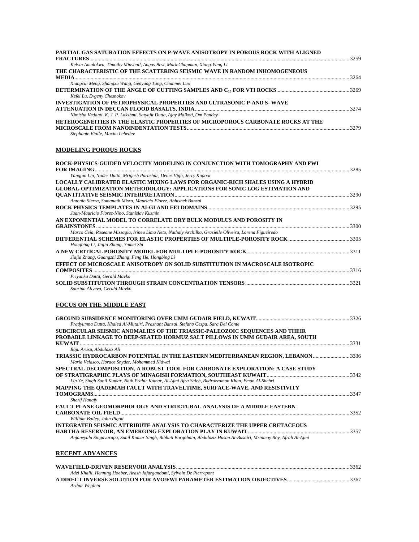| <b>PARTIAL GAS SATURATION EFFECTS ON P-WAVE ANISOTROPY IN POROUS ROCK WITH ALIGNED</b> |  |
|----------------------------------------------------------------------------------------|--|
|                                                                                        |  |
| Kelvin Amalokwu, Timothy Minshull, Angus Best, Mark Chapman, Xiang-Yang Li             |  |
| THE CHARACTERISTIC OF THE SCATTERING SEISMIC WAVE IN RANDOM INHOMOGENEOUS              |  |
|                                                                                        |  |
| Xiangcui Meng, Shangxu Wang, Genyang Tang, Chunmei Luo                                 |  |
|                                                                                        |  |
| Kefei Lu, Evgeny Chesnokov                                                             |  |
| INVESTIGATION OF PETROPHYSICAL PROPERTIES AND ULTRASONIC P-AND S-WAVE                  |  |
|                                                                                        |  |
| Nimisha Vedanti, K. J. P. Lakshmi, Satyajit Dutta, Ajay Malkoti, Om Pandey             |  |
| HETEROGENEITIES IN THE ELASTIC PROPERTIES OF MICROPOROUS CARBONATE ROCKS AT THE        |  |
|                                                                                        |  |
| Stephanie Vialle, Maxim Lebedev                                                        |  |

### **MODELING POROUS ROCKS**

| ROCK-PHYSICS-GUIDED VELOCITY MODELING IN CONJUNCTION WITH TOMOGRAPHY AND FWI                            |       |
|---------------------------------------------------------------------------------------------------------|-------|
| <b>FOR IMAGING.</b>                                                                                     | 3285  |
| Yangjun Liu, Nader Dutta, Mrigesh Parashar, Denes Vigh, Jerry Kapoor                                    |       |
| LOCALLY CALIBRATED ELASTIC MIXING LAWS FOR ORGANIC-RICH SHALES USING A HYBRID                           |       |
| GLOBAL-OPTIMIZATION METHODOLOGY: APPLICATIONS FOR SONIC LOG ESTIMATION AND                              |       |
|                                                                                                         | 3290  |
| Antonio Sierra, Somanath Misra, Mauricio Florez, Abhishek Bansal                                        |       |
|                                                                                                         | 3295  |
| Juan-Mauricio Florez-Nino, Stanislav Kuzmin                                                             |       |
| AN EXPONENTIAL MODEL TO CORRELATE DRY BULK MODULUS AND POROSITY IN                                      |       |
| <b>GRAINSTONES</b>                                                                                      | 3300  |
| Marco Ceia, Roseane Missagia, Irineu Lima Neto, Nathaly Archilha, Grazielle Oliveira, Lorena Figueiredo |       |
|                                                                                                         |       |
| Hongbing Li, Jiajia Zhang, Yumei Shi                                                                    |       |
|                                                                                                         |       |
| Jiajia Zhang, Guangzhi Zhang, Feng He, Hongbing Li                                                      |       |
| EFFECT OF MICROSCALE ANISOTROPY ON SOLID SUBSTITUTION IN MACROSCALE ISOTROPIC                           |       |
| <b>COMPOSITES</b>                                                                                       | 3316  |
| Priyanka Dutta, Gerald Mavko                                                                            |       |
|                                                                                                         | -3321 |
| Sabrina Aliyeva, Gerald Mavko                                                                           |       |
|                                                                                                         |       |

### **FOCUS ON THE MIDDLE EAST**

| Pradyumna Dutta, Khaled Al-Mutairi, Prashant Bansal, Stefano Cespa, Sara Del Conte                                   |      |
|----------------------------------------------------------------------------------------------------------------------|------|
| SUBCIRCULAR SEISMIC ANOMALIES OF THE TRIASSIC-PALEOZOIC SEQUENCES AND THEIR                                          |      |
| PROBABLE LINKAGE TO DEEP-SEATED HORMUZ SALT PILLOWS IN UMM GUDAIR AREA, SOUTH                                        |      |
| KUWAIT.                                                                                                              | 3331 |
| Raju Arasu, Abdulaziz Ali                                                                                            |      |
| TRIASSIC HYDROCARBON POTENTIAL IN THE EASTERN MEDITERRANEAN REGION, LEBANON3336                                      |      |
| Maria Velasco, Horace Snyder, Mohammed Kidwai                                                                        |      |
| SPECTRAL DECOMPOSITION, A ROBUST TOOL FOR CARBONATE EXPLORATION: A CASE STUDY                                        |      |
|                                                                                                                      |      |
| Lin Ye, Singh Sunil Kumar, Nath Prabir Kumar, Al-Ajmi Afra Saleh, Badruzzaman Khan, Eman Al-Shehri                   |      |
| MAPPING THE QADEMAH FAULT WITH TRAVELTIME, SURFACE-WAVE, AND RESISTIVITY                                             |      |
|                                                                                                                      | 3347 |
| Sherif Hanafy                                                                                                        |      |
| <b>FAULT PLANE GEOMORPHOLOGY AND STRUCTURAL ANALYSIS OF A MIDDLE EASTERN</b>                                         |      |
|                                                                                                                      | 3352 |
| William Bailey, John Pigott                                                                                          |      |
| INTEGRATED SEISMIC ATTRIBUTE ANALYSIS TO CHARACTERIZE THE UPPER CRETACEOUS                                           |      |
|                                                                                                                      |      |
| Anjaneyulu Singayarapu, Sunil Kumar Singh, Bibhuti Borgohain, Abdulaziz Husan Al-Busairi, Mrinmoy Roy, Afrah Al-Ajmi |      |
|                                                                                                                      |      |

### **RECENT ADVANCES**

|                                                                        | 3362 |
|------------------------------------------------------------------------|------|
| Adel Khalil, Henning Hoeber, Arash Jafargandomi, Sylvain De Pierrepont |      |
|                                                                        |      |
| Arthur Weglein                                                         |      |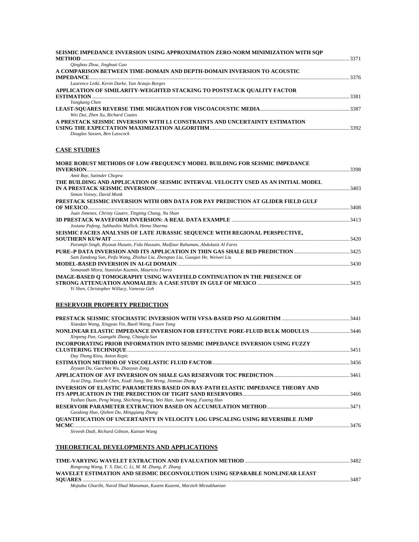| SEISMIC IMPEDANCE INVERSION USING APPROXIMATION ZERO-NORM MINIMIZATION WITH SQP |      |
|---------------------------------------------------------------------------------|------|
|                                                                                 | 3371 |
| Oingbao Zhou, Jinghuai Gao                                                      |      |
| A COMPARISON BETWEEN TIME-DOMAIN AND DEPTH-DOMAIN INVERSION TO ACOUSTIC         |      |
|                                                                                 |      |
| Laurence Letki, Kevin Darke, Yan Araujo Borges                                  |      |
| APPLICATION OF SIMILARITY-WEIGHTED STACKING TO POSTSTACK QUALITY FACTOR         |      |
|                                                                                 | 3381 |
| Yangkang Chen                                                                   |      |
|                                                                                 |      |
| Wei Dai, Zhen Xu, Richard Coates                                                |      |
| A PRESTACK SEISMIC INVERSION WITH L1 CONSTRAINTS AND UNCERTAINTY ESTIMATION     |      |
|                                                                                 |      |
| Douglas Sassen, Ben Lasscock                                                    |      |
|                                                                                 |      |

### **CASE STUDIES**

| MORE ROBUST METHODS OF LOW-FREQUENCY MODEL BUILDING FOR SEISMIC IMPEDANCE          |      |
|------------------------------------------------------------------------------------|------|
|                                                                                    |      |
| Amit Ray, Satinder Chopra                                                          |      |
| THE BUILDING AND APPLICATION OF SEISMIC INTERVAL VELOCITY USED AS AN INITIAL MODEL |      |
|                                                                                    |      |
| Simon Voisey, David Monk                                                           |      |
| PRESTACK SEISMIC INVERSION WITH OBN DATA FOR PAY PREDICTION AT GLIDER FIELD GULF   |      |
|                                                                                    |      |
| Juan Jimenez, Christy Gautre, Tingting Chang, Na Shan                              |      |
|                                                                                    |      |
| Josiane Pafeng, Subhashis Mallick, Hema Sharma                                     |      |
| SEISMIC FACIES ANALYSIS OF LATE JURASSIC SEQUENCE WITH REGIONAL PERSPECTIVE,       |      |
|                                                                                    | 3420 |
| Paramjit Singh, Riyasat Husain, Fida Hussain, Maifizur Rahaman, Abdulaziz Al Fares |      |
|                                                                                    |      |
| Sam Zandong Sun, Peifu Wang, Zhishui Liu, Zhengtao Liu, Guogun He, Weiwei Liu      |      |
|                                                                                    |      |
| Somanath Misra, Stanislav Kuzmin, Mauricio Florez                                  |      |
| IMAGE-BASED O TOMOGRAPHY USING WAVEFIELD CONTINUATION IN THE PRESENCE OF           |      |
|                                                                                    |      |
|                                                                                    |      |

*Yi Shen, Christopher Willacy, Vanessa Goh* 

### **RESERVOIR PROPERTY PREDICTION**

| Xiaodan Wang, Xingyao Yin, Baoli Wang, Fusen Yang                                       |      |
|-----------------------------------------------------------------------------------------|------|
| <b>NONLINEAR ELASTIC IMPEDANCE INVERSION FOR EFFECTIVE PORE-FLUID BULK MODULUS 3446</b> |      |
| Xinpeng Pan, Guangzhi Zhang, Changlu Sun                                                |      |
| INCORPORATING PRIOR INFORMATION INTO SEISMIC IMPEDANCE INVERSION USING FUZZY            |      |
|                                                                                         | 3451 |
| Duy Thong Kieu, Anton Kepic                                                             |      |
|                                                                                         |      |
| Zeyuan Du, Guochen Wu, Zhaoyun Zong                                                     |      |
|                                                                                         |      |
| Jicai Ding, Xiaozhi Chen, Xiudi Jiang, Bin Weng, Jinmiao Zhang                          |      |
| INVERSION OF ELASTIC PARAMETERS BASED ON RAY-PATH ELASTIC IMPEDANCE THEORY AND          |      |
|                                                                                         |      |
| Yushun Duan, Peng Wang, Shicheng Wang, Wei Han, Juan Wang, Fuzeng Hao                   |      |
|                                                                                         |      |
| Guodong Huo, Oizhen Du, Minggiang Zhang                                                 |      |
| <b>OUANTIFICATION OF UNCERTAINTY IN VELOCITY LOG UPSCALING USING REVERSIBLE JUMP</b>    |      |
| MCMC.                                                                                   | 3476 |
| Sireesh Dadi, Richard Gibson, Kainan Wang                                               |      |
|                                                                                         |      |
|                                                                                         |      |
| THEORETICAL DEVELOPMENTS AND APPLICATIONS                                               |      |

| Rongrong Wang, Y. S. Dai, C. Li, M. M. Zhang, P. Zhang                       |      |
|------------------------------------------------------------------------------|------|
| WAVELET ESTIMATION AND SEISMIC DECONVOLUTION USING SEPARABLE NONLINEAR LEAST |      |
|                                                                              | 3487 |
| Moitaba Gharibi, Navid Shad Manaman, Kazem Kazemi, Marzieh Mirzakhanian      |      |

*Mojtaba Gharibi, Navid Shad Manaman, Kazem Kazemi, Marzieh Mirzakhanian*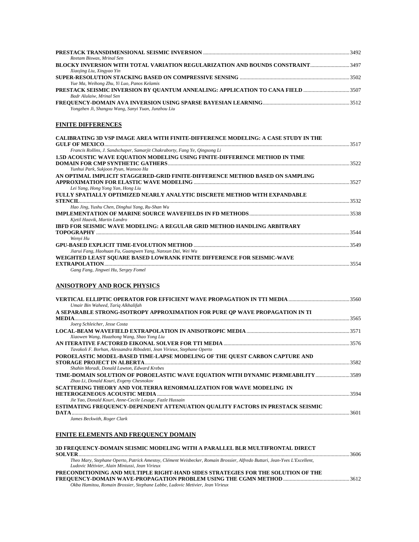|                                                                                                                               | 3492 |
|-------------------------------------------------------------------------------------------------------------------------------|------|
| Reetam Biswas, Mrinal Sen<br>BLOCKY INVERSION WITH TOTAL VARIATION REGULARIZATION AND BOUNDS CONSTRAINT3497                   |      |
| Xiaojing Liu, Xingyao Yin                                                                                                     |      |
|                                                                                                                               |      |
| Yue Ma, Weihong Zhu, Yi Luo, Panos Kelamis<br>PRESTACK SEISMIC INVERSION BY OUANTUM ANNEALING: APPLICATION TO CANA FIELD 3507 |      |
| Badr Alulaiw, Mrinal Sen                                                                                                      |      |
|                                                                                                                               |      |
| Yongzhen Ji, Shangxu Wang, Sanyi Yuan, Junzhou Liu                                                                            |      |

### **FINITE DIFFERENCES**

| CALIBRATING 3D VSP IMAGE AREA WITH FINITE-DIFFERENCE MODELING: A CASE STUDY IN THE |  |
|------------------------------------------------------------------------------------|--|
|                                                                                    |  |
| Francis Rollins, J. Sandschaper, Samarjit Chakraborty, Fang Ye, Oingsong Li        |  |
| 1.5D ACOUSTIC WAVE EQUATION MODELING USING FINITE-DIFFERENCE METHOD IN TIME        |  |
|                                                                                    |  |
| Yunhui Park, Sukjoon Pyun, Wansoo Ha                                               |  |
| AN OPTIMAL IMPLICIT STAGGERED-GRID FINITE-DIFFERENCE METHOD BASED ON SAMPLING      |  |
|                                                                                    |  |
| Lei Yang, Hong Yong Yan, Hong Liu                                                  |  |
| FULLY SPATIALLY OPTIMIZED NEARLY ANALYTIC DISCRETE METHOD WITH EXPANDABLE          |  |
|                                                                                    |  |
| Hao Jing, Yushu Chen, Dinghui Yang, Ru-Shan Wu                                     |  |
|                                                                                    |  |
| Kjetil Haavik, Martin Landro                                                       |  |
| <b>IBFD FOR SEISMIC WAVE MODELING: A REGULAR GRID METHOD HANDLING ARBITRARY</b>    |  |
|                                                                                    |  |
| Wenyi Hu                                                                           |  |
|                                                                                    |  |
| Jiarui Fang, Haohuan Fu, Guangwen Yang, Nanxun Dai, Wei Wu                         |  |
| WEIGHTED LEAST SQUARE BASED LOWRANK FINITE DIFFERENCE FOR SEISMIC-WAVE             |  |
|                                                                                    |  |
| Gang Fang, Jingwei Hu, Sergey Fomel                                                |  |

### **ANISOTROPY AND ROCK PHYSICS**

| Umair Bin Waheed, Tariq Alkhalifah                                                                                          | .3560 |
|-----------------------------------------------------------------------------------------------------------------------------|-------|
| A SEPARABLE STRONG-ISOTROPY APPROXIMATION FOR PURE OP WAVE PROPAGATION IN TI                                                |       |
| <b>MEDIA</b> .                                                                                                              | 3565  |
| Joerg Schleicher, Jesse Costa                                                                                               |       |
|                                                                                                                             | .3571 |
| Xiaowen Wang, Huazhong Wang, Shao Yong Liu                                                                                  |       |
|                                                                                                                             |       |
| Tavakoli F. Borhan, Alessandra Ribodetti, Jean Virieux, Stephane Operto                                                     |       |
| POROELASTIC MODEL-BASED TIME-LAPSE MODELING OF THE QUEST CARBON CAPTURE AND                                                 |       |
|                                                                                                                             | 3582  |
| Shahin Moradi, Donald Lawton, Edward Krebes                                                                                 |       |
| TIME-DOMAIN SOLUTION OF POROELASTIC WAVE EQUATION WITH DYNAMIC PERMEABILITY 3589<br>Zhao Li, Donald Kouri, Evgeny Chesnokov |       |
| SCATTERING THEORY AND VOLTERRA RENORMALIZATION FOR WAVE MODELING IN                                                         |       |
|                                                                                                                             | 3594  |
| Jie Yao, Donald Kouri, Anne-Cecile Lesage, Fazle Hussain                                                                    |       |
| ESTIMATING FREQUENCY-DEPENDENT ATTENUATION QUALITY FACTORS IN PRESTACK SEISMIC                                              |       |
| <b>DATA</b>                                                                                                                 | 3601  |
| James Beckwith, Roger Clark                                                                                                 |       |

### **FINITE ELEMENTS AND FREQUENCY DOMAIN**

| 3D FREQUENCY-DOMAIN SEISMIC MODELING WITH A PARALLEL BLR MULTIFRONTAL DIRECT                                              |  |
|---------------------------------------------------------------------------------------------------------------------------|--|
|                                                                                                                           |  |
| Theo Mary, Stephane Operto, Patrick Amestoy, Clément Weisbecker, Romain Brossier, Alfredo Buttari, Jean-Yves L'Excellent, |  |
| Ludovic Métivier, Alain Miniussi, Jean Virieux                                                                            |  |
| PRECONDITIONING AND MULTIPLE RIGHT-HAND SIDES STRATEGIES FOR THE SOLUTION OF THE                                          |  |
|                                                                                                                           |  |
| Okba Hamitou, Romain Brossier, Stephane Labbe, Ludovic Metivier, Jean Virieux                                             |  |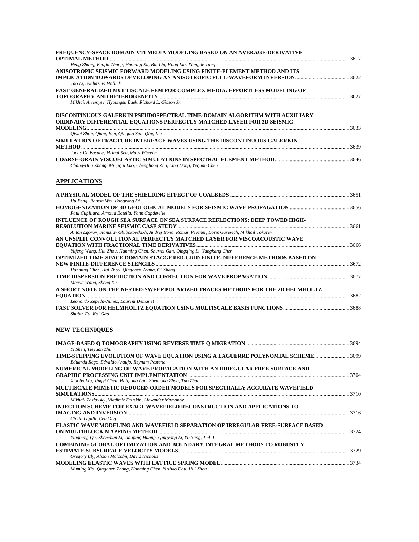| <b>FREQUENCY-SPACE DOMAIN VTI MEDIA MODELING BASED ON AN AVERAGE-DERIVATIVE</b>                    |  |
|----------------------------------------------------------------------------------------------------|--|
| Heng Zhang, Baojin Zhang, Huaning Xu, Bin Liu, Hong Liu, Xiangde Tang                              |  |
|                                                                                                    |  |
| ANISOTROPIC SEISMIC FORWARD MODELING USING FINITE-ELEMENT METHOD AND ITS                           |  |
| Tao Li, Subhashis Mallick                                                                          |  |
| <b>FAST GENERALIZED MULTISCALE FEM FOR COMPLEX MEDIA: EFFORTLESS MODELING OF</b>                   |  |
|                                                                                                    |  |
| Mikhail Artemyev, Hyoungsu Baek, Richard L. Gibson Jr.                                             |  |
| DISCONTINUOUS GALERKIN PSEUDOSPECTRAL TIME-DOMAIN ALGORITHM WITH AUXILIARY                         |  |
| <b>ORDINARY DIFFERENTIAL EQUATIONS PERFECTLY MATCHED LAYER FOR 3D SEISMIC</b>                      |  |
|                                                                                                    |  |
| Qiwei Zhan, Qiang Ren, Qingtao Sun, Qing Liu                                                       |  |
| SIMULATION OF FRACTURE INTERFACE WAVES USING THE DISCONTINUOUS GALERKIN                            |  |
|                                                                                                    |  |
| Jonas De Basabe, Mrinal Sen, Mary Wheeler                                                          |  |
| Chang-Hua Zhang, Minggiu Luo, Chenghong Zhu, Ling Dong, Yeguan Chen                                |  |
| <b>APPLICATIONS</b>                                                                                |  |
|                                                                                                    |  |
| Hu Peng, Jianxin Wei, Bangrang Di                                                                  |  |
| Paul Cupillard, Arnaud Botella, Yann Capdeville                                                    |  |
| INFLUENCE OF ROUGH SEA SURFACE ON SEA SURFACE REFLECTIONS: DEEP TOWED HIGH-                        |  |
|                                                                                                    |  |
| Anton Egorov, Stanislav Glubokovskikh, Andrej Bona, Roman Pevzner, Boris Gurevich, Mikhail Tokarev |  |
| AN UNSPLIT CONVOLUTIONAL PERFECTLY MATCHED LAYER FOR VISCOACOUSTIC WAVE                            |  |
|                                                                                                    |  |
| Yufeng Wang, Hui Zhou, Hanming Chen, Shuwei Gan, Qingqing Li, Yangkang Chen                        |  |
| OPTIMIZED TIME-SPACE DOMAIN STAGGERED-GRID FINITE-DIFFERENCE METHODS BASED ON                      |  |
|                                                                                                    |  |
| Hanming Chen, Hui Zhou, Qingchen Zhang, Qi Zhang                                                   |  |
|                                                                                                    |  |
| Meixia Wang, Sheng Xu                                                                              |  |

| Meixia Wang, Sheng Xu                                                          |      |
|--------------------------------------------------------------------------------|------|
| A SHORT NOTE ON THE NESTED-SWEEP POLARIZED TRACES METHODS FOR THE 2D HELMHOLTZ |      |
|                                                                                | 3682 |
| Leonardo Zepeda-Nunez, Laurent Demanet                                         |      |
|                                                                                |      |
| Shubin Fu. Kai Gao                                                             |      |

### **NEW TECHNIQUES**

| Yi Shen, Tieyuan Zhu                                                                                                                                                                  |              |
|---------------------------------------------------------------------------------------------------------------------------------------------------------------------------------------|--------------|
| TIME-STEPPING EVOLUTION OF WAVE EQUATION USING A LAGUERRE POLYNOMIAL SCHEME3699<br>Eduarda Rego, Edvaldo Araujo, Reynam Pestana                                                       |              |
| NUMERICAL MODELING OF WAVE PROPAGATION WITH AN IRREGULAR FREE SURFACE AND<br>Xiaobo Liu, Jingyi Chen, Haigiang Lan, Zhencong Zhao, Tao Zhao                                           |              |
| <b>MULTISCALE MIMETIC REDUCED-ORDER MODELS FOR SPECTRALLY ACCURATE WAVEFIELD</b>                                                                                                      | 3710         |
| Mikhail Zaslavsky, Vladimir Druskin, Alexander Mamonov<br>INJECTION SCHEME FOR EXACT WAVEFIELD RECONSTRUCTION AND APPLICATIONS TO                                                     |              |
| Cintia Lapilli, Cen Ong<br>ELASTIC WAVE MODELING AND WAVEFIELD SEPARATION OF IRREGULAR FREE-SURFACE BASED<br>Yingming Ou, Zhenchun Li, Jianping Huang, Oingyang Li, Yu Yang, Jinli Li | 3724         |
| <b>COMBINING GLOBAL OPTIMIZATION AND BOUNDARY INTEGRAL METHODS TO ROBUSTLY</b><br>Gregory Ely, Alison Malcolm, David Nicholls                                                         | 3729<br>3734 |
| Muming Xia, Oingchen Zhang, Hanming Chen, Yuzhao Dou, Hui Zhou                                                                                                                        |              |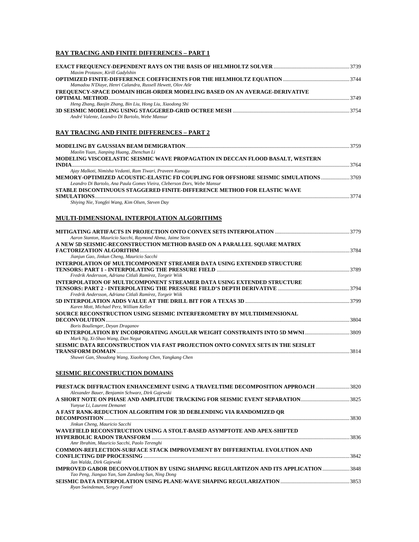### **RAY TRACING AND FINITE DIFFERENCES – PART 1**

| Maxim Protasov, Kirill Gadylshin                                                                                                                                                                     |  |
|------------------------------------------------------------------------------------------------------------------------------------------------------------------------------------------------------|--|
| Mamadou N'Diaye, Henri Calandra, Russell Hewett, Olov Atle                                                                                                                                           |  |
| FREQUENCY-SPACE DOMAIN HIGH-ORDER MODELING BASED ON AN AVERAGE-DERIVATIVE                                                                                                                            |  |
| Heng Zhang, Baojin Zhang, Bin Liu, Hong Liu, Xiaodong Shi                                                                                                                                            |  |
| André Valente, Leandro Di Bartolo, Webe Mansur                                                                                                                                                       |  |
| RAY TRACING AND FINITE DIFFERENCES – PART 2                                                                                                                                                          |  |
| Maolin Yuan, Jianping Huang, Zhenchun Li                                                                                                                                                             |  |
| MODELING VISCOELASTIC SEISMIC WAVE PROPAGATION IN DECCAN FLOOD BASALT, WESTERN                                                                                                                       |  |
| Ajay Malkoti, Nimisha Vedanti, Ram Tiwari, Praveen Kunagu                                                                                                                                            |  |
| MEMORY-OPTIMIZED ACOUSTIC-ELASTIC FD COUPLING FOR OFFSHORE SEISMIC SIMULATIONS 3769<br>Leandro Di Bartolo, Ana Paula Gomes Vieira, Cleberson Dors, Webe Mansur                                       |  |
| STABLE DISCONTINUOUS STAGGERED FINITE-DIFFERENCE METHOD FOR ELASTIC WAVE                                                                                                                             |  |
| Shiying Nie, Yongfei Wang, Kim Olsen, Steven Day                                                                                                                                                     |  |
| MULTI-DIMENSIONAL INTERPOLATION ALGORITHMS                                                                                                                                                           |  |
| Aaron Stanton, Mauricio Sacchi, Raymond Abma, Jaime Stein                                                                                                                                            |  |
| A NEW 5D SEISMIC-RECONSTRUCTION METHOD BASED ON A PARALLEL SOUARE MATRIX                                                                                                                             |  |
| Jianjun Gao, Jinkun Cheng, Mauricio Sacchi                                                                                                                                                           |  |
| INTERPOLATION OF MULTICOMPONENT STREAMER DATA USING EXTENDED STRUCTURE<br>Fredrik Andersson, Adriana Citlali Ramírez, Torgeir Wiik                                                                   |  |
| INTERPOLATION OF MULTICOMPONENT STREAMER DATA USING EXTENDED STRUCTURE                                                                                                                               |  |
| Fredrik Andersson, Adriana Citlali Ramírez, Torgeir Wiik<br>Karen Mott, Michael Perz, William Keller                                                                                                 |  |
| SOURCE RECONSTRUCTION USING SEISMIC INTERFEROMETRY BY MULTIDIMENSIONAL                                                                                                                               |  |
| Boris Boullenger, Deyan Draganov                                                                                                                                                                     |  |
| 6D INTERPOLATION BY INCORPORATING ANGULAR WEIGHT CONSTRAINTS INTO 5D MWNI3809<br>Mark Ng, Xi-Shuo Wang, Dan Negut<br>SEISMIC DATA RECONSTRUCTION VIA FAST PROJECTION ONTO CONVEX SETS IN THE SEISLET |  |
| Shuwei Gan, Shoudong Wang, Xiaohong Chen, Yangkang Chen                                                                                                                                              |  |
|                                                                                                                                                                                                      |  |
| <b>SEISMIC RECONSTRUCTION DOMAINS</b>                                                                                                                                                                |  |
| Alexander Bauer, Benjamin Schwarz, Dirk Gajewski                                                                                                                                                     |  |
| A SHORT NOTE ON PHASE AND AMPLITUDE TRACKING FOR SEISMIC EVENT SEPARATION3825<br>Yunyue Li, Laurent Demanet                                                                                          |  |
| A FAST RANK-REDUCTION ALGORITHM FOR 3D DEBLENDING VIA RANDOMIZED OR<br>Jinkun Cheng, Mauricio Sacchi                                                                                                 |  |
| WAVEFIELD RECONSTRUCTION USING A STOLT-BASED ASYMPTOTE AND APEX-SHIFTED                                                                                                                              |  |
| Amr Ibrahim, Mauricio Sacchi, Paolo Terenghi                                                                                                                                                         |  |
| <b>COMMON-REFLECTION-SURFACE STACK IMPROVEMENT BY DIFFERENTIAL EVOLUTION AND</b>                                                                                                                     |  |
|                                                                                                                                                                                                      |  |

*Jan Walda, Dirk Gajewski*  **IMPROVED GABOR DECONVOLUTION BY USING SHAPING REGULARTIZON AND ITS APPLICATION**....................3848 *Tao Peng, Jianguo Yan, Sam Zandong Sun, Ning Dong*  **SEISMIC DATA INTERPOLATION USING PLANE-WAVE SHAPING REGULARIZATION**...................................................3853 *Ryan Swindeman, Sergey Fomel*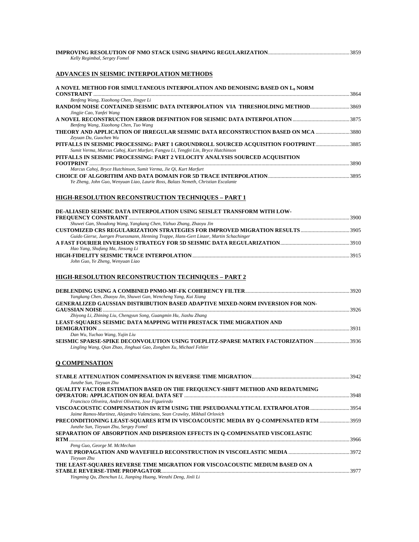| Kelly Regimbal, Sergey Fomel |  |
|------------------------------|--|

### **ADVANCES IN SEISMIC INTERPOLATION METHODS**

| A NOVEL METHOD FOR SIMULTANEOUS INTERPOLATION AND DENOISING BASED ON L <sub>0</sub> NORM |       |
|------------------------------------------------------------------------------------------|-------|
|                                                                                          | 3864  |
| Benfeng Wang, Xiaohong Chen, Jingye Li                                                   |       |
| RANDOM NOISE CONTAINED SEISMIC DATA INTERPOLATION VIA THRESHOLDING METHOD3869            |       |
| Jingjie Cao, Yanfei Wang                                                                 |       |
|                                                                                          |       |
| Benfeng Wang, Xiaohong Chen, Tuo Wang                                                    |       |
| THEORY AND APPLICATION OF IRREGULAR SEISMIC DATA RECONSTRUCTION BASED ON MCA 3880        |       |
| Zeyuan Du, Guochen Wu                                                                    |       |
| PITFALLS IN SEISMIC PROCESSING: PART 1 GROUNDROLL SOURCED ACQUISITION FOOTPRINT3885      |       |
| Sumit Verma, Marcus Cahoj, Kurt Marfurt, Fangyu Li, Tengfei Lin, Bryce Hutchinson        |       |
| PITFALLS IN SEISMIC PROCESSING: PART 2 VELOCITY ANALYSIS SOURCED ACQUISITION             |       |
|                                                                                          | 3890  |
| Marcus Cahoj, Bryce Hutchinson, Sumit Verma, Jie Oi, Kurt Marfurt                        |       |
|                                                                                          | -3895 |
| Ye Zheng, John Guo, Wenyuan Liao, Laurie Ross, Balazs Nemeth, Christian Escalante        |       |

### **HIGH-RESOLUTION RECONSTRUCTION TECHNIQUES – PART 1**

| DE-ALIASED SEISMIC DATA INTERPOLATION USING SEISLET TRANSFORM WITH LOW-                |       |
|----------------------------------------------------------------------------------------|-------|
|                                                                                        | -3900 |
| Shuwei Gan, Shoudong Wang, Yangkang Chen, Yizhuo Zhang, Zhaoyu Jin                     |       |
|                                                                                        |       |
| Guido Gierse, Juergen Pruessmann, Henning Trappe, Hans-Gert Linzer, Martin Schachinger |       |
|                                                                                        |       |
| Hao Yang, Shufang Ma, Jinsong Li                                                       |       |
|                                                                                        |       |
| John Guo, Ye Zheng, Wenyuan Liao                                                       |       |
|                                                                                        |       |

### **HIGH-RESOLUTION RECONSTRUCTION TECHNIQUES – PART 2**

| Yangkang Chen, Zhaoyu Jin, Shuwei Gan, Wencheng Yang, Kui Xiang                       |       |
|---------------------------------------------------------------------------------------|-------|
| <b>GENERALIZED GAUSSIAN DISTRIBUTION BASED ADAPTIVE MIXED-NORM INVERSION FOR NON-</b> |       |
|                                                                                       | -3926 |
| Zhiyong Li, Zhining Liu, Chengyun Song, Guangmin Hu, Jiashu Zhang                     |       |
| <b>LEAST-SOUARES SEISMIC DATA MAPPING WITH PRESTACK TIME MIGRATION AND</b>            |       |
|                                                                                       | 3931  |
| Dan Wu, Yuchao Wang, Yujin Liu                                                        |       |
| SEISMIC SPARSE-SPIKE DECONVOLUTION USING TOEPLITZ-SPARSE MATRIX FACTORIZATION 3936    |       |
| Lingling Wang, Qian Zhao, Jinghuai Gao, Zongben Xu, Michael Fehler                    |       |

### **Q COMPENSATION**

|                                                                                     | 3942 |
|-------------------------------------------------------------------------------------|------|
| Junzhe Sun, Tievuan Zhu                                                             |      |
| <b>OUALITY FACTOR ESTIMATION BASED ON THE FREQUENCY-SHIFT METHOD AND REDATUMING</b> |      |
|                                                                                     | 3948 |
| Francisco Oliveira, Andrei Oliveira, Jose Figueiredo                                |      |
|                                                                                     |      |
| Jaime Ramos-Martinez, Alejandro Valenciano, Sean Crawley, Mikhail Orlovich          |      |
| PRECONDITIONING LEAST-SOUARES RTM IN VISCOACOUSTIC MEDIA BY O-COMPENSATED RTM  3959 |      |
| Junzhe Sun, Tievuan Zhu, Sergey Fomel                                               |      |
| SEPARATION OF ABSORPTION AND DISPERSION EFFECTS IN O-COMPENSATED VISCOELASTIC       |      |
| <b>RTM</b>                                                                          | 3966 |
| Peng Guo, George M. McMechan                                                        |      |
|                                                                                     |      |
| Tievuan Zhu                                                                         |      |
| THE LEAST-SOUARES REVERSE TIME MIGRATION FOR VISCOACOUSTIC MEDIUM BASED ON A        |      |
|                                                                                     | 3977 |
| Yingming Ou, Zhenchun Li, Jianping Huang, Wenzhi Deng, Jinli Li                     |      |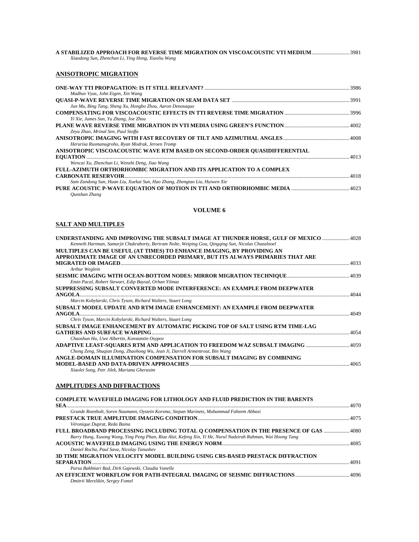| A STABILIZED APPROACH FOR REVERSE TIME MIGRATION ON VISCOACOUSTIC VTI MEDIUM3981<br>Xiaodong Sun, Zhenchun Li, Ying Hong, Xiaoliu Wang |      |
|----------------------------------------------------------------------------------------------------------------------------------------|------|
| ANISOTROPIC MIGRATION                                                                                                                  |      |
|                                                                                                                                        |      |
| Madhav Vyas, John Etgen, Xin Wang                                                                                                      |      |
|                                                                                                                                        |      |
| Jun Mu, Bing Tang, Sheng Xu, Hongbo Zhou, Aaron Denosaquo                                                                              |      |
|                                                                                                                                        |      |
| Yi Xie, James Sun, Yu Zhang, Joe Zhou                                                                                                  |      |
|                                                                                                                                        |      |
| Zeyu Zhao, Mrinal Sen, Paul Stoffa                                                                                                     |      |
|                                                                                                                                        |      |
| Herurisa Rusmanugroho, Ryan Modrak, Jeroen Tromp                                                                                       |      |
| ANISOTROPIC VISCOACOUSTIC WAVE RTM BASED ON SECOND-ORDER QUASIDIFFERENTIAL                                                             |      |
|                                                                                                                                        | 4013 |
| Wencai Xu, Zhenchun Li, Wenzhi Deng, Jiao Wang                                                                                         |      |
| <b>FULL-AZIMUTH ORTHORHOMBIC MIGRATION AND ITS APPLICATION TO A COMPLEX</b>                                                            |      |
| <b>CARBONATE RESERVOIR.</b>                                                                                                            | 4018 |
| Sam Zandong Sun, Huan Liu, Xuekai Sun, Hao Zhang, Zhengtao Liu, Huiwen Xie                                                             |      |
|                                                                                                                                        |      |

### **VOLUME 6**

### **SALT AND MULTIPLES**

*Qunshan Zhang* 

| UNDERSTANDING AND IMPROVING THE SUBSALT IMAGE AT THUNDER HORSE, GULF OF MEXICO  4028                                                                           |  |
|----------------------------------------------------------------------------------------------------------------------------------------------------------------|--|
| Kenneth Hartman, Samarjit Chakraborty, Bertram Nolte, Weiping Gou, Oingging Sun, Nicolas Chazalnoel                                                            |  |
| MULTIPLES CAN BE USEFUL (AT TIMES) TO ENHANCE IMAGING, BY PROVIDING AN                                                                                         |  |
| APPROXIMATE IMAGE OF AN UNRECORDED PRIMARY, BUT ITS ALWAYS PRIMARIES THAT ARE                                                                                  |  |
| Arthur Weglein                                                                                                                                                 |  |
|                                                                                                                                                                |  |
| Emin Pacal, Robert Stewart, Edip Baysal, Orhan Yilmaz                                                                                                          |  |
| SUPPRESSING SUBSALT CONVERTED MODE INTERFERENCE: AN EXAMPLE FROM DEEPWATER                                                                                     |  |
|                                                                                                                                                                |  |
| Marcin Kobylarski, Chris Tyson, Richard Walters, Stuart Long                                                                                                   |  |
| SUBSALT MODEL UPDATE AND RTM IMAGE ENHANCEMENT: AN EXAMPLE FROM DEEPWATER                                                                                      |  |
|                                                                                                                                                                |  |
| Chris Tyson, Marcin Kobylarski, Richard Walters, Stuart Long                                                                                                   |  |
| SUBSALT IMAGE ENHANCEMENT BY AUTOMATIC PICKING TOP OF SALT USING RTM TIME-LAG                                                                                  |  |
|                                                                                                                                                                |  |
| Chaoshun Hu, Uwe Albertin, Konstantin Osypov                                                                                                                   |  |
| ADAPTIVE LEAST-SQUARES RTM AND APPLICATION TO FREEDOM WAZ SUBSALT IMAGING 4059<br>Chong Zeng, Shuqian Dong, Zhaohong Wu, Jean Ji, Darrell Armentrout, Bin Wang |  |
| ANGLE-DOMAIN ILLUMINATION COMPENSATION FOR SUBSALT IMAGING BY COMBINING                                                                                        |  |
|                                                                                                                                                                |  |
| Xiaolei Song, Petr Jilek, Mariana Gherasim                                                                                                                     |  |
|                                                                                                                                                                |  |

### **AMPLITUDES AND DIFFRACTIONS**

| <b>COMPLETE WAVEFIELD IMAGING FOR LITHOLOGY AND FLUID PREDICTION IN THE BARENTS</b>                          |  |
|--------------------------------------------------------------------------------------------------------------|--|
|                                                                                                              |  |
| Grunde Roenholt, Soren Naumann, Oystein Korsmo, Stepan Marinets, Muhammad Faheem Abbasi                      |  |
|                                                                                                              |  |
| Véronique Duprat, Reda Baina                                                                                 |  |
| FULL BROADBAND PROCESSING INCLUDING TOTAL O COMPENSATION IN THE PRESENCE OF GAS  4080                        |  |
| Barry Hung, Xusong Wang, Ying Peng Phan, Riaz Alai, Kefeng Xin, Yi He, Nurul Nadzirah Rahman, Wai Hoong Tang |  |
|                                                                                                              |  |
| Daniel Rocha, Paul Sava, Nicolay Tanushev                                                                    |  |
| 3D TIME MIGRATION VELOCITY MODEL BUILDING USING CRS-BASED PRESTACK DIFFRACTION                               |  |
|                                                                                                              |  |
| Parsa Bakhtiari Rad, Dirk Gajewski, Claudia Vanelle                                                          |  |
|                                                                                                              |  |
| Dmitrii Merzlikin, Sergey Fomel                                                                              |  |
|                                                                                                              |  |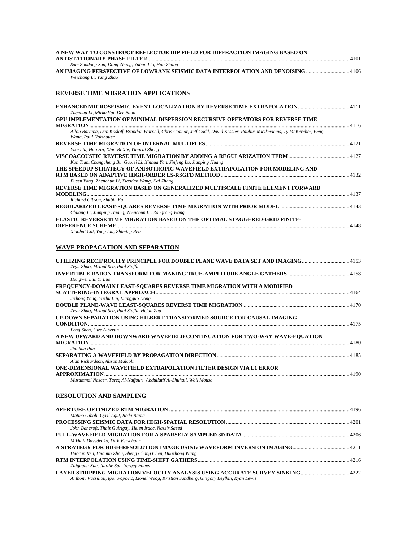| A NEW WAY TO CONSTRUCT REFLECTOR DIP FIELD FOR DIFFRACTION IMAGING BASED ON                                                                           |  |
|-------------------------------------------------------------------------------------------------------------------------------------------------------|--|
| Sam Zandong Sun, Dong Zhang, Yubao Liu, Hao Zhang                                                                                                     |  |
| AN IMAGING PERSPECTIVE OF LOWRANK SEISMIC DATA INTERPOLATION AND DENOISING 4106<br>Weichang Li, Yang Zhao                                             |  |
| <b>REVERSE TIME MIGRATION APPLICATIONS</b>                                                                                                            |  |
| 111 ENHANCED MICROSEISMIC EVENT LOCALIZATION BY REVERSE TIME EXTRAPOLATION<br>Zhenhua Li, Mirko Van Der Baan                                          |  |
| GPU IMPLEMENTATION OF MINIMAL DISPERSION RECURSIVE OPERATORS FOR REVERSE TIME                                                                         |  |
| Allon Bartana, Dan Kosloff, Brandon Warnell, Chris Connor, Jeff Codd, David Kessler, Paulius Micikevicius, Ty McKercher, Peng<br>Wang, Paul Holzhauer |  |
| Yike Liu, Hao Hu, Xiao-Bi Xie, Yingcai Zheng                                                                                                          |  |
| Kun Tian, Changcheng Bu, Guolei Li, Xinhua Yan, Jinfeng Lu, Jianping Huang                                                                            |  |
| THE SPEEDUP STRATEGY OF ANISOTROPIC WAVEFIELD EXTRAPOLATION FOR MODELING AND                                                                          |  |
| Fusen Yang, Zhenchun Li, Xiaodan Wang, Kai Zhang                                                                                                      |  |
| REVERSE TIME MIGRATION BASED ON GENERALIZED MULTISCALE FINITE ELEMENT FORWARD                                                                         |  |
| Richard Gibson, Shubin Fu                                                                                                                             |  |
| Chuang Li, Jianping Huang, Zhenchun Li, Rongrong Wang                                                                                                 |  |
| ELASTIC REVERSE TIME MIGRATION BASED ON THE OPTIMAL STAGGERED-GRID FINITE-                                                                            |  |
| Xiaohui Cai, Yang Liu, Zhiming Ren                                                                                                                    |  |
| WAVE PROPAGATION AND SEPARATION                                                                                                                       |  |
| UTILIZING RECIPROCITY PRINCIPLE FOR DOUBLE PLANE WAVE DATA SET AND IMAGING 4153                                                                       |  |
| Zeyu Zhao, Mrinal Sen, Paul Stoffa                                                                                                                    |  |
| Hongwei Liu, Yi Luo<br>FREQUENCY-DOMAIN LEAST-SQUARES REVERSE TIME MIGRATION WITH A MODIFIED                                                          |  |
| Jizhong Yang, Yuzhu Liu, Liangguo Dong                                                                                                                |  |
| Zeyu Zhao, Mrinal Sen, Paul Stoffa, Hejun Zhu                                                                                                         |  |
| UP-DOWN SEPARATION USING HILBERT TRANSFORMED SOURCE FOR CAUSAL IMAGING                                                                                |  |
| Peng Shen, Uwe Albertin                                                                                                                               |  |
| A NEW UPWARD AND DOWNWARD WAVEFIELD CONTINUATION FOR TWO-WAY WAVE-EQUATION<br><b>MIGRATION</b>                                                        |  |
| Jianhua Pan                                                                                                                                           |  |
| Alan Richardson, Alison Malcolm                                                                                                                       |  |
| ONE-DIMENSIONAL WAVEFIELD EXTRAPOLATION FILTER DESIGN VIA L1 ERROR                                                                                    |  |
| Muzammal Naseer, Tareg Al-Naffouri, Abdullatif Al-Shuhail, Wail Mousa                                                                                 |  |
| <b>RESOLUTION AND SAMPLING</b>                                                                                                                        |  |
| Matteo Giboli, Cyril Agut, Reda Baina                                                                                                                 |  |
|                                                                                                                                                       |  |

| Matteo Giboli, Cyril Agut, Reda Baina                                                        |  |
|----------------------------------------------------------------------------------------------|--|
|                                                                                              |  |
| John Bancroft, Thais Guirigay, Helen Isaac, Nassir Saeed                                     |  |
|                                                                                              |  |
| Mikhail Davydenko, Dirk Verschuur                                                            |  |
|                                                                                              |  |
| Haoran Ren, Huamin Zhou, Sheng Chang Chen, Huazhong Wang                                     |  |
|                                                                                              |  |
| Zhiguang Xue, Junzhe Sun, Sergey Fomel                                                       |  |
|                                                                                              |  |
| Anthony Vassiliou, Igor Popovic, Lionel Woog, Kristian Sandberg, Gregory Beylkin, Ryan Lewis |  |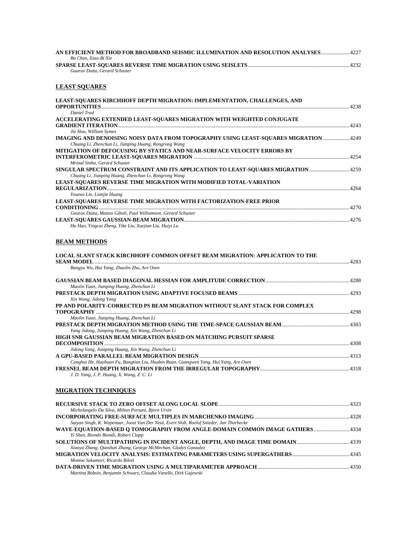| AN EFFICIENT METHOD FOR BROADBAND SEISMIC ILLUMINATION AND RESOLUTION ANALYSES 4227 |  |
|-------------------------------------------------------------------------------------|--|
| Bo Chen. Xiao-Bi Xie                                                                |  |
|                                                                                     |  |
| Gauray Dutta, Gerard Schuster                                                       |  |

### **LEAST SQUARES**

| LEAST-SQUARES KIRCHHOFF DEPTH MIGRATION: IMPLEMENTATION, CHALLENGES, AND            |      |
|-------------------------------------------------------------------------------------|------|
| <b>OPPORTUNITIES</b>                                                                | 4238 |
| Daniel Trad                                                                         |      |
| ACCELERATING EXTENDED LEAST-SQUARES MIGRATION WITH WEIGHTED CONJUGATE               |      |
| <b>GRADIENT ITERATION</b>                                                           | 4243 |
| Jie Hou, William Symes                                                              |      |
| IMAGING AND DENOISING NOISY DATA FROM TOPOGRAPHY USING LEAST-SOUARES MIGRATION 4249 |      |
| Chuang Li, Zhenchun Li, Jianping Huang, Rongrong Wang                               |      |
| <b>MITIGATION OF DEFOCUSING BY STATICS AND NEAR-SURFACE VELOCITY ERRORS BY</b>      |      |
|                                                                                     |      |
| Mrinal Sinha. Gerard Schuster                                                       |      |
| SINGULAR SPECTRUM CONSTRAINT AND ITS APPLICATION TO LEAST-SOUARES MIGRATION         |      |
| Chuang Li, Jianping Huang, Zhenchun Li, Rongrong Wang                               |      |
| <b>LEAST-SQUARES REVERSE TIME MIGRATION WITH MODIFIED TOTAL-VARIATION</b>           |      |
|                                                                                     | 4264 |
| Youzuo Lin, Lianjie Huang                                                           |      |
| LEAST-SQUARES REVERSE TIME MIGRATION WITH FACTORIZATION-FREE PRIOR                  |      |
|                                                                                     | 4270 |
| Gauray Dutta, Matteo Giboli, Paul Williamson, Gerard Schuster                       |      |
|                                                                                     | 4276 |
| Hu Hao, Yingcai Zheng, Yike Liu, Xuejian Liu, Huiyi Lu                              |      |

### **BEAM METHODS**

| LOCAL SLANT STACK KIRCHHOFF COMMON OFFSET BEAM MIGRATION: APPLICATION TO THE         |  |
|--------------------------------------------------------------------------------------|--|
| <b>SEAM MODEL</b>                                                                    |  |
| Bangyu Wu, Hui Yang, Zhaolin Zhu, Are Osen                                           |  |
|                                                                                      |  |
| Maolin Yuan, Jianping Huang, Zhenchun Li                                             |  |
|                                                                                      |  |
| Xin Wang, Jidong Yang                                                                |  |
| PP AND POLARITY-CORRECTED PS BEAM MIGRATION WITHOUT SLANT STACK FOR COMPLEX          |  |
|                                                                                      |  |
| Maolin Yuan, Jianping Huang, Zhenchun Li                                             |  |
|                                                                                      |  |
| Yang Jidong, Jianping Huang, Xin Wang, Zhenchun Li                                   |  |
| HIGH SNR GAUSSIAN BEAM MIGRATION BASED ON MATCHING PURSUIT SPARSE                    |  |
|                                                                                      |  |
| Jidong Yang, Jianping Huang, Xin Wang, Zhenchun Li                                   |  |
|                                                                                      |  |
| Conghui He, Haohuan Fu, Bangtian Liu, Huabin Ruan, Guangwen Yang, Hui Yang, Are Osen |  |
|                                                                                      |  |
| J. D. Yang, J. P. Huang, X. Wang, Z. C. Li                                           |  |

### **MIGRATION TECHNIQUES**

| Michelangelo Da Silva, Milton Porsani, Bjorn Ursin                                       |  |
|------------------------------------------------------------------------------------------|--|
|                                                                                          |  |
| Satyan Singh, K. Wapenaar, Joost Van Der Neut, Evert Slob, Roelof Snieder, Jan Thorbecke |  |
| WAVE-EQUATION-BASED O TOMOGRAPHY FROM ANGLE-DOMAIN COMMON IMAGE GATHERS  4334            |  |
| Yi Shen, Biondo Biondi, Robert Clapp                                                     |  |
|                                                                                          |  |
| Xiaoyu Zhang, Qunshan Zhang, George McMechan, Gladys Gonzalez                            |  |
|                                                                                          |  |
| Momoe Sakamori, Ricardo Biloti                                                           |  |
|                                                                                          |  |
| Martina Bobsin, Benjamin Schwarz, Claudia Vanelle, Dirk Gajewski                         |  |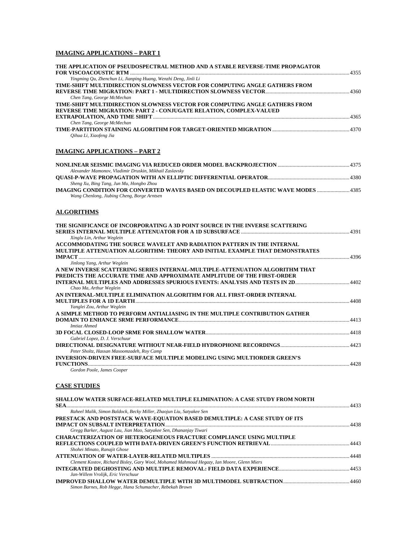### **IMAGING APPLICATIONS – PART 1**

| THE APPLICATION OF PSEUDOSPECTRAL METHOD AND A STABLE REVERSE-TIME PROPAGATOR                                                 |  |
|-------------------------------------------------------------------------------------------------------------------------------|--|
| Yingming Qu, Zhenchun Li, Jianping Huang, Wenzhi Deng, Jinli Li                                                               |  |
| TIME-SHIFT MULTIDIRECTION SLOWNESS VECTOR FOR COMPUTING ANGLE GATHERS FROM                                                    |  |
|                                                                                                                               |  |
| Chen Tang, George McMechan                                                                                                    |  |
| TIME-SHIFT MULTIDIRECTION SLOWNESS VECTOR FOR COMPUTING ANGLE GATHERS FROM                                                    |  |
| REVERSE TIME MIGRATION: PART 2 - CONJUGATE RELATION, COMPLEX-VALUED                                                           |  |
|                                                                                                                               |  |
| Chen Tang, George McMechan                                                                                                    |  |
| Qihua Li, Xiaofeng Jia                                                                                                        |  |
|                                                                                                                               |  |
| <b>IMAGING APPLICATIONS – PART 2</b>                                                                                          |  |
|                                                                                                                               |  |
| Alexander Mamonov, Vladimir Druskin, Mikhail Zaslavsky                                                                        |  |
|                                                                                                                               |  |
| Sheng Xu, Bing Tang, Jun Mu, Hongbo Zhou<br>IMAGING CONDITION FOR CONVERTED WAVES BASED ON DECOUPLED ELASTIC WAVE MODES  4385 |  |
| Wang Chenlong, Jiubing Cheng, Borge Arntsen                                                                                   |  |
|                                                                                                                               |  |
| <b>ALGORITHMS</b>                                                                                                             |  |
| THE SIGNIFICANCE OF INCORPORATING A 3D POINT SOURCE IN THE INVERSE SCATTERING                                                 |  |
| Xinglu Lin, Arthur Weglein                                                                                                    |  |
| ACCOMMODATING THE SOURCE WAVELET AND RADIATION PATTERN IN THE INTERNAL                                                        |  |
| MULTIPLE ATTENUATION ALGORITHM: THEORY AND INITIAL EXAMPLE THAT DEMONSTRATES                                                  |  |
|                                                                                                                               |  |
| Jinlong Yang, Arthur Weglein                                                                                                  |  |
| A NEW INVERSE SCATTERING SERIES INTERNAL-MULTIPLE-ATTENUATION ALGORITHM THAT                                                  |  |
| PREDICTS THE ACCURATE TIME AND APPROXIMATE AMPLITUDE OF THE FIRST-ORDER                                                       |  |
| Chao Ma, Arthur Weglein                                                                                                       |  |
| AN INTERNAL-MULTIPLE ELIMINATION ALGORITHM FOR ALL FIRST-ORDER INTERNAL                                                       |  |
|                                                                                                                               |  |
| Yanglei Zou, Arthur Weglein                                                                                                   |  |
| A SIMPLE METHOD TO PERFORM ANTIALIASING IN THE MULTIPLE CONTRIBUTION GATHER                                                   |  |
|                                                                                                                               |  |
| Imtiaz Ahmed                                                                                                                  |  |
|                                                                                                                               |  |
| Gabriel Lopez, D. J. Verschuur                                                                                                |  |
| Peter Sholtz, Hassan Masoomzadeh, Roy Camp                                                                                    |  |
| INVERSION-DRIVEN FREE-SURFACE MULTIPLE MODELING USING MULTIORDER GREEN'S                                                      |  |
|                                                                                                                               |  |
| Gordon Poole, James Cooper                                                                                                    |  |
| <b>CASE STUDIES</b>                                                                                                           |  |
|                                                                                                                               |  |
| SHALLOW WATER SURFACE-RELATED MULTIPLE ELIMINATION: A CASE STUDY FROM NORTH                                                   |  |

| Raheel Malik, Simon Baldock, Becky Miller, Zhaojun Liu, Satyakee Sen                      |      |
|-------------------------------------------------------------------------------------------|------|
| PRESTACK AND POSTSTACK WAVE-EQUATION BASED DEMULTIPLE: A CASE STUDY OF ITS                |      |
|                                                                                           | 4438 |
| Gregg Barker, August Lau, Jian Mao, Satyakee Sen, Dhananjay Tiwari                        |      |
| <b>CHARACTERIZATION OF HETEROGENEOUS FRACTURE COMPLIANCE USING MULTIPLE</b>               |      |
|                                                                                           |      |
| Shohei Minato, Ranajit Ghose                                                              |      |
|                                                                                           |      |
| Clement Kostov, Richard Bisley, Gary Wool, Mohamed Mahmoud Hegazy, Ian Moore, Glenn Miers |      |
|                                                                                           |      |
| Jan-Willem Vrolijk, Eric Verschuur                                                        |      |
|                                                                                           |      |
| Simon Barnes, Rob Hegge, Hana Schumacher, Rebekah Brown                                   |      |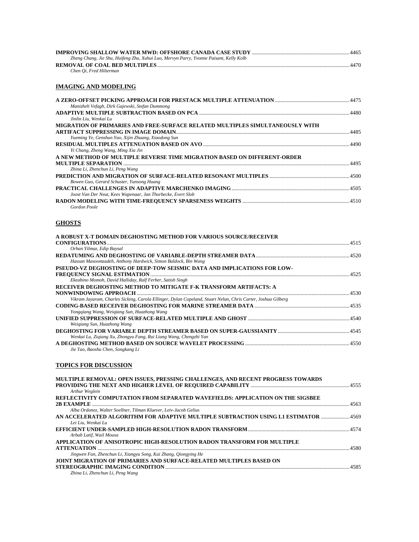| Zheng Chang, Jie Shu, Huifeng Zhu, Xuhui Luo, Mervyn Parry, Yvonne Paisant, Kelly Kolb |       |
|----------------------------------------------------------------------------------------|-------|
|                                                                                        | .4470 |

*Chen Qi, Fred Hilterman* 

### **IMAGING AND MODELING**

| Manizheh Vefagh, Dirk Gajewski, Stefan Dummong                                |  |
|-------------------------------------------------------------------------------|--|
|                                                                               |  |
| Jinlin Liu, Wenkai Lu                                                         |  |
| MIGRATION OF PRIMARIES AND FREE-SURFACE RELATED MULTIPLES SIMULTANEOUSLY WITH |  |
|                                                                               |  |
| Yueming Ye, Genshun Yao, Xijin Zhuang, Xiaodong Sun                           |  |
|                                                                               |  |
| Yi Chang, Zheng Wang, Ming Xia Jin                                            |  |
| A NEW METHOD OF MULTIPLE REVERSE TIME MIGRATION BASED ON DIFFERENT-ORDER      |  |
|                                                                               |  |
| Zhina Li, Zhenchun Li, Peng Wang                                              |  |
|                                                                               |  |
| Bowen Guo, Gerard Schuster, Yunsong Huang                                     |  |
|                                                                               |  |
| Joost Van Der Neut, Kees Wapenaar, Jan Thorbecke, Evert Slob                  |  |
|                                                                               |  |
| Gordon Poole                                                                  |  |

### **GHOSTS**

| A ROBUST X-T DOMAIN DEGHOSTING METHOD FOR VARIOUS SOURCE/RECEIVER                                            |  |
|--------------------------------------------------------------------------------------------------------------|--|
|                                                                                                              |  |
| Orhan Yilmaz, Edip Baysal                                                                                    |  |
|                                                                                                              |  |
| Hassan Masoomzadeh, Anthony Hardwick, Simon Baldock, Bin Wang                                                |  |
| <b>PSEUDO-VZ DEGHOSTING OF DEEP-TOW SEISMIC DATA AND IMPLICATIONS FOR LOW-</b>                               |  |
|                                                                                                              |  |
| Ekeabino Momoh, David Halliday, Ralf Ferber, Satish Singh                                                    |  |
| RECEIVER DEGHOSTING METHOD TO MITIGATE F-K TRANSFORM ARTIFACTS: A                                            |  |
|                                                                                                              |  |
| Vikram Jayaram, Charles Sicking, Carola Ellinger, Dylan Copeland, Stuart Nelan, Chris Carter, Joshua Gilberg |  |
|                                                                                                              |  |
| Yonggiang Wang, Weigiang Sun, Huazhong Wang                                                                  |  |
|                                                                                                              |  |
| Weigiang Sun, Huazhong Wang                                                                                  |  |
|                                                                                                              |  |
| Wenkai Lu, Zigiang Xu, Zhongyu Fang, Rui Liang Wang, Chengzhi Yan                                            |  |
|                                                                                                              |  |
|                                                                                                              |  |

*Jie Tao, Baoshu Chen, Songkang Li* 

### **TOPICS FOR DISCUSSION**

| MULTIPLE REMOVAL: OPEN ISSUES, PRESSING CHALLENGES, AND RECENT PROGRESS TOWARDS     |      |
|-------------------------------------------------------------------------------------|------|
|                                                                                     |      |
| Arthur Weglein                                                                      |      |
| REFLECTIVITY COMPUTATION FROM SEPARATED WAVEFIELDS: APPLICATION ON THE SIGSBEE      |      |
|                                                                                     |      |
| Alba Ordonez, Walter Soellner, Tilman Kluever, Leiv-Jacob Gelius                    |      |
| AN ACCELERATED ALGORITHM FOR ADAPTIVE MULTIPLE SUBTRACTION USING L1 ESTIMATOR  4569 |      |
| Lei Liu. Wenkai Lu                                                                  |      |
|                                                                                     |      |
| Arbab Latif, Wail Mousa                                                             |      |
| APPLICATION OF ANISOTROPIC HIGH-RESOLUTION RADON TRANSFORM FOR MULTIPLE             |      |
|                                                                                     | 4580 |
| Jingwen Fan, Zhenchun Li, Xiangyu Song, Kai Zhang, Qiongying He                     |      |
| <b>JOINT MIGRATION OF PRIMARIES AND SURFACE-RELATED MULTIPLES BASED ON</b>          |      |
|                                                                                     | 4585 |
| Zhina Li, Zhenchun Li, Peng Wang                                                    |      |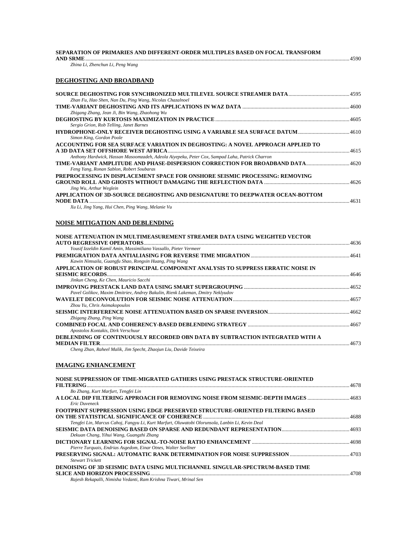### **SEPARATION OF PRIMARIES AND DIFFERENT-ORDER MULTIPLES BASED ON FOCAL TRANSFORM AND SRME**...................................................................................................................................................................................................4590

*Zhina Li, Zhenchun Li, Peng Wang* 

#### **DEGHOSTING AND BROADBAND**

| Zhan Fu, Hao Shen, Nan Du, Ping Wang, Nicolas Chazalnoel                                       |  |
|------------------------------------------------------------------------------------------------|--|
|                                                                                                |  |
| Zhigang Zhang, Jean Ji, Bin Wang, Zhaohong Wu                                                  |  |
|                                                                                                |  |
| Sergio Grion, Rob Telling, Janet Barnes                                                        |  |
|                                                                                                |  |
| Simon King, Gordon Poole                                                                       |  |
| ACCOUNTING FOR SEA SURFACE VARIATION IN DEGHOSTING: A NOVEL APPROACH APPLIED TO                |  |
|                                                                                                |  |
| Anthony Hardwick, Hassan Masoomzadeh, Adeola Aivepeku, Peter Cox, Sampad Laha, Patrick Charron |  |
| TIME-VARIANT AMPLITUDE AND PHASE-DISPERSION CORRECTION FOR BROADBAND DATA4620                  |  |
| Feng Yang, Ronan Sablon, Robert Soubaras                                                       |  |
| PREPROCESSING IN DISPLACEMENT SPACE FOR ONSHORE SEISMIC PROCESSING: REMOVING                   |  |
|                                                                                                |  |
| Jing Wu, Arthur Weglein                                                                        |  |
| APPLICATION OF 3D-SOURCE DEGHOSTING AND DESIGNATURE TO DEEPWATER OCEAN-BOTTOM                  |  |
|                                                                                                |  |

*Xu Li, Jing Yang, Hui Chen, Ping Wang, Melanie Vu* 

### **NOISE MITIGATION AND DEBLENDING**

| NOISE ATTENUATION IN MULTIMEASUREMENT STREAMER DATA USING WEIGHTED VECTOR       |  |
|---------------------------------------------------------------------------------|--|
|                                                                                 |  |
| Yousif Izzeldin Kamil Amin, Massimiliano Vassallo, Pieter Vermeer               |  |
|                                                                                 |  |
| Kawin Nimsaila, Guangfu Shao, Rongxin Huang, Ping Wang                          |  |
| APPLICATION OF ROBUST PRINCIPAL COMPONENT ANALYSIS TO SUPPRESS ERRATIC NOISE IN |  |
|                                                                                 |  |
| Jinkun Cheng, Ke Chen, Mauricio Sacchi                                          |  |
|                                                                                 |  |
| Pavel Golikov, Maxim Dmitriev, Andrey Bakulin, Rienk Lakeman, Dmitry Neklyudov  |  |
|                                                                                 |  |
| Zhou Yu, Chris Asimakopoulos                                                    |  |
|                                                                                 |  |
| Zhigang Zhang, Ping Wang                                                        |  |
|                                                                                 |  |
| Apostolos Kontakis, Dirk Verschuur                                              |  |
| DEBLENDING OF CONTINUOUSLY RECORDED OBN DATA BY SUBTRACTION INTEGRATED WITH A   |  |
| <b>MEDIAN FILTER.</b>                                                           |  |
|                                                                                 |  |

*Cheng Zhan, Raheel Malik, Jim Specht, Zhaojun Liu, Davide Teixeira* 

#### **IMAGING ENHANCEMENT**

| NOISE SUPPRESSION OF TIME-MIGRATED GATHERS USING PRESTACK STRUCTURE-ORIENTED                    |      |
|-------------------------------------------------------------------------------------------------|------|
|                                                                                                 | 4678 |
| Bo Zhang, Kurt Marfurt, Tengfei Lin                                                             |      |
| A LOCAL DIP FILTERING APPROACH FOR REMOVING NOISE FROM SEISMIC-DEPTH IMAGES 4683                |      |
| <b>Eric Duveneck</b>                                                                            |      |
| <b>FOOTPRINT SUPPRESSION USING EDGE PRESERVED STRUCTURE-ORIENTED FILTERING BASED</b>            |      |
|                                                                                                 | 4688 |
| Tengfei Lin, Marcus Cahoj, Fangyu Li, Kurt Marfurt, Oluwatobi Olorunsola, Lanbin Li, Kevin Deal |      |
|                                                                                                 |      |
| Dekuan Chang, Yihui Wang, Guangzhi Zhang                                                        |      |
|                                                                                                 |      |
| Pierre Turquais, Endrias Asgedom, Einar Otnes, Walter Soellner                                  |      |
|                                                                                                 |      |
| <b>Stewart Trickett</b>                                                                         |      |
| DENOISING OF 3D SEISMIC DATA USING MULTICHANNEL SINGULAR-SPECTRUM-BASED TIME                    |      |
|                                                                                                 | 4708 |
| Rajesh Rekapalli, Nimisha Vedanti, Ram Krishna Tiwari, Mrinal Sen                               |      |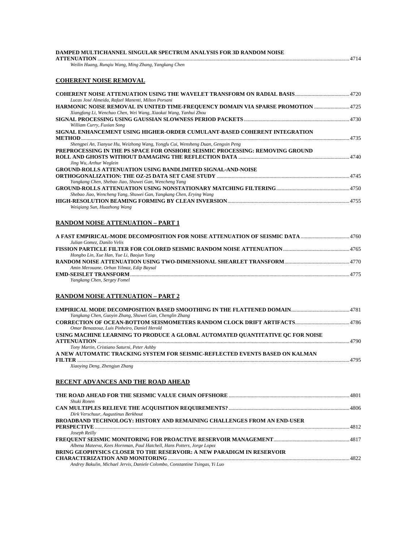| DAMPED MULTICHANNEL SINGULAR SPECTRUM ANALYSIS FOR 3D RANDOM NOISE                                                                                                                                        |  |
|-----------------------------------------------------------------------------------------------------------------------------------------------------------------------------------------------------------|--|
| Weilin Huang, Rungiu Wang, Ming Zhang, Yangkang Chen                                                                                                                                                      |  |
| <b>COHERENT NOISE REMOVAL</b>                                                                                                                                                                             |  |
|                                                                                                                                                                                                           |  |
| Lucas José Almeida, Rafael Manenti, Milton Porsani<br>HARMONIC NOISE REMOVAL IN UNITED TIME-FREQUENCY DOMAIN VIA SPARSE PROMOTION 4725<br>Xiangfang Li, Wenchao Chen, Wei Wang, Xiaokai Wang, Yanhui Zhou |  |
| William Curry, Fuxian Song                                                                                                                                                                                |  |
| SIGNAL ENHANCEMENT USING HIGHER-ORDER CUMULANT-BASED COHERENT INTEGRATION                                                                                                                                 |  |
| Shengpei An, Tianyue Hu, Weizhong Wang, Yongfu Cui, Wensheng Duan, Gengxin Peng<br>PREPROCESSING IN THE PS SPACE FOR ONSHORE SEISMIC PROCESSING: REMOVING GROUND<br>Jing Wu, Arthur Weglein               |  |
| GROUND-ROLLS ATTENUATION USING BANDLIMITED SIGNAL-AND-NOISE                                                                                                                                               |  |
| Yangkang Chen, Shebao Jiao, Shuwei Gan, Wencheng Yang                                                                                                                                                     |  |
| Shebao Jiao, Wencheng Yang, Shuwei Gan, Yangkang Chen, Erying Wang<br>Weigiang Sun, Huazhong Wang                                                                                                         |  |
| RANDOM NOISE ATTENUATION – PART 1                                                                                                                                                                         |  |
| Julian Gomez, Danilo Velis                                                                                                                                                                                |  |
| Hongbo Lin, Xue Han, Yue Li, Baojun Yang                                                                                                                                                                  |  |
| Amin Merouane, Orhan Yilmaz, Edip Baysal                                                                                                                                                                  |  |
| Yangkang Chen, Sergey Fomel                                                                                                                                                                               |  |
| <u>RANDOM NOISE ATTENUATION – PART 2</u>                                                                                                                                                                  |  |
| Yangkang Chen, Guoyin Zhang, Shuwei Gan, Chenglin Zhang                                                                                                                                                   |  |
| Omar Benazzouz, Luis Pinheiro, Daniel Herold                                                                                                                                                              |  |
| USING MACHINE LEARNING TO PRODUCE A GLOBAL AUTOMATED OUANTITATIVE OC FOR NOISE                                                                                                                            |  |
| Tony Martin, Cristiano Saturni, Peter Ashby<br>A NEW AUTOMATIC TRACKING SYSTEM FOR SEISMIC-REFLECTED EVENTS BASED ON KALMAN                                                                               |  |
| Xiaoying Deng, Zhengjun Zhang                                                                                                                                                                             |  |
| <u>RECENT ADVANCES AND THE ROAD AHEAD</u>                                                                                                                                                                 |  |
| Shuki Ronen                                                                                                                                                                                               |  |
| Dirk Verschuur, Augustinus Berkhout                                                                                                                                                                       |  |
| BROADBAND TECHNOLOGY: HISTORY AND REMAINING CHALLENGES FROM AN END-USER                                                                                                                                   |  |
| Joseph Reilly                                                                                                                                                                                             |  |
| Albena Mateeva, Kees Hornman, Paul Hatchell, Hans Potters, Jorge Lopez<br>BRING GEOPHYSICS CLOSER TO THE RESERVOIR: A NEW PARADIGM IN RESERVOIR                                                           |  |
|                                                                                                                                                                                                           |  |

*Andrey Bakulin, Michael Jervis, Daniele Colombo, Constantine Tsingas, Yi Luo*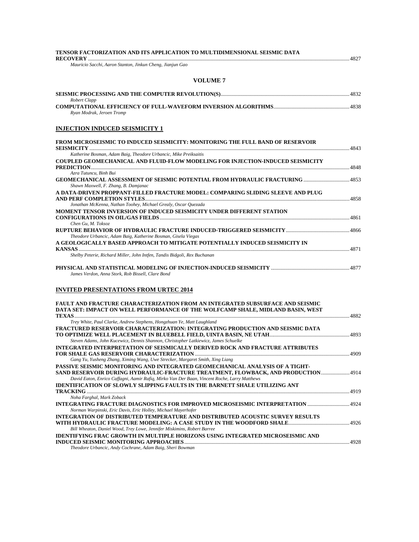| TENSOR FACTORIZATION AND ITS APPLICATION TO MULTIDIMENSIONAL SEISMIC DATA                                                                                                                                                                                                                                                                          |      |
|----------------------------------------------------------------------------------------------------------------------------------------------------------------------------------------------------------------------------------------------------------------------------------------------------------------------------------------------------|------|
| Mauricio Sacchi, Aaron Stanton, Jinkun Cheng, Jianjun Gao                                                                                                                                                                                                                                                                                          |      |
| <b>VOLUME 7</b>                                                                                                                                                                                                                                                                                                                                    |      |
| Robert Clapp                                                                                                                                                                                                                                                                                                                                       |      |
| Ryan Modrak, Jeroen Tromp                                                                                                                                                                                                                                                                                                                          |      |
| <b>INJECTION INDUCED SEISMICITY 1</b>                                                                                                                                                                                                                                                                                                              |      |
| FROM MICROSEISMIC TO INDUCED SEISMICITY: MONITORING THE FULL BAND OF RESERVOIR                                                                                                                                                                                                                                                                     |      |
| Katherine Bosman, Adam Baig, Theodore Urbancic, Mike Preiksaitis<br>COUPLED GEOMECHANICAL AND FLUID-FLOW MODELING FOR INJECTION-INDUCED SEISMICITY                                                                                                                                                                                                 |      |
| Azra Tutuncu, Binh Bui<br>Shawn Maxwell, F. Zhang, B. Damjanac                                                                                                                                                                                                                                                                                     |      |
| A DATA-DRIVEN PROPPANT-FILLED FRACTURE MODEL: COMPARING SLIDING SLEEVE AND PLUG                                                                                                                                                                                                                                                                    |      |
| Jonathan McKenna, Nathan Toohey, Michael Grealy, Oscar Quezada<br>MOMENT TENSOR INVERSION OF INDUCED SEISMICITY UNDER DIFFERENT STATION                                                                                                                                                                                                            |      |
| Chen Gu, M. Toksoz                                                                                                                                                                                                                                                                                                                                 |      |
| Theodore Urbancic, Adam Baig, Katherine Bosman, Gisela Viegas<br>A GEOLOGICALLY BASED APPROACH TO MITIGATE POTENTIALLY INDUCED SEISMICITY IN<br>Shelby Peterie, Richard Miller, John Intfen, Tandis Bidgoli, Rex Buchanan                                                                                                                          |      |
| James Verdon, Anna Stork, Rob Bissell, Clare Bond                                                                                                                                                                                                                                                                                                  |      |
| <b>INVITED PRESENTATIONS FROM URTEC 2014</b>                                                                                                                                                                                                                                                                                                       |      |
| FAULT AND FRACTURE CHARACTERIZATION FROM AN INTEGRATED SUBSURFACE AND SEISMIC<br>DATA SET: IMPACT ON WELL PERFORMANCE OF THE WOLFCAMP SHALE, MIDLAND BASIN, WEST                                                                                                                                                                                   |      |
| Trey White, Paul Clarke, Andrew Stephens, Hongzhuan Ye, Matt Laughland<br>FRACTURED RESERVOIR CHARACTERIZATION: INTEGRATING PRODUCTION AND SEISMIC DATA                                                                                                                                                                                            |      |
| Steven Adams, John Kucewicz, Dennis Shannon, Christopher Latkiewicz, James Schuelke<br><b>INTEGRATED INTERPRETATION OF SEISMICALLY DERIVED ROCK AND FRACTURE ATTRIBUTES</b>                                                                                                                                                                        | 4909 |
| Gang Yu, Yusheng Zhang, Ximing Wang, Uwe Strecker, Margaret Smith, Xing Liang<br>PASSIVE SEISMIC MONITORING AND INTEGRATED GEOMECHANICAL ANALYSIS OF A TIGHT-<br>SAND RESERVOIR DURING HYDRAULIC-FRACTURE TREATMENT, FLOWBACK, AND PRODUCTION 4914<br>David Eaton, Enrico Caffagni, Aamir Rafiq, Mirko Van Der Baan, Vincent Roche, Larry Matthews |      |
| <b>IDENTIFICATION OF SLOWLY SLIPPING FAULTS IN THE BARNETT SHALE UTILIZING ANT</b>                                                                                                                                                                                                                                                                 |      |
| Noha Farghal, Mark Zoback<br>INTEGRATING FRACTURE DIAGNOSTICS FOR IMPROVED MICROSEISMIC INTERPRETATION  4924<br>Norman Warpinski, Eric Davis, Eric Holley, Michael Mayerhofer                                                                                                                                                                      |      |
| INTEGRATION OF DISTRIBUTED TEMPERATURE AND DISTRIBUTED ACOUSTIC SURVEY RESULTS<br>Bill Wheaton, Daniel Wood, Trey Lowe, Jennifer Miskimins, Robert Barree                                                                                                                                                                                          |      |
| <b>IDENTIFYING FRAC GROWTH IN MULTIPLE HORIZONS USING INTEGRATED MICROSEISMIC AND</b><br>Theodore Urbancic, Andy Cochrane, Adam Baig, Sheri Bowman                                                                                                                                                                                                 |      |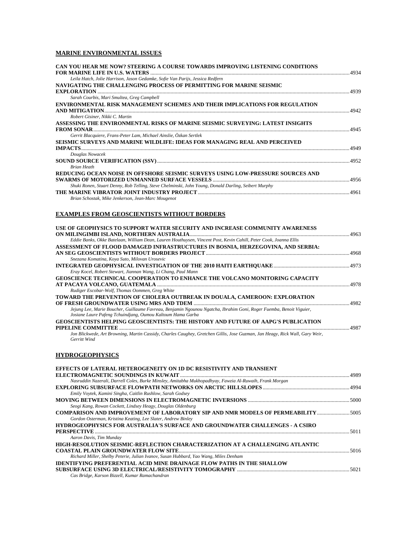### **MARINE ENVIRONMENTAL ISSUES**

| CAN YOU HEAR ME NOW? STEERING A COURSE TOWARDS IMPROVING LISTENING CONDITIONS                        |      |
|------------------------------------------------------------------------------------------------------|------|
|                                                                                                      |      |
| Leila Hatch, Jolie Harrison, Jason Gedamke, Sofie Van Parijs, Jessica Redfern                        |      |
| <b>NAVIGATING THE CHALLENGING PROCESS OF PERMITTING FOR MARINE SEISMIC</b>                           |      |
|                                                                                                      |      |
| Sarah Courbis, Mari Smultea, Greg Campbell                                                           |      |
| <b>ENVIRONMENTAL RISK MANAGEMENT SCHEMES AND THEIR IMPLICATIONS FOR REGULATION</b>                   |      |
|                                                                                                      | 4942 |
| Robert Gisiner, Nikki C. Martin                                                                      |      |
| ASSESSING THE ENVIRONMENTAL RISKS OF MARINE SEISMIC SURVEYING: LATEST INSIGHTS                       |      |
|                                                                                                      | 4945 |
| Gerrit Blacquiere, Frans-Peter Lam, Michael Ainslie, Özkan Sertlek                                   |      |
| SEISMIC SURVEYS AND MARINE WILDLIFE: IDEAS FOR MANAGING REAL AND PERCEIVED                           |      |
| <b>IMPACTS</b>                                                                                       | 4949 |
| Douglas Nowacek                                                                                      |      |
|                                                                                                      |      |
| <b>Brian Heath</b>                                                                                   |      |
| REDUCING OCEAN NOISE IN OFFSHORE SEISMIC SURVEYS USING LOW-PRESSURE SOURCES AND                      |      |
|                                                                                                      |      |
| Shuki Ronen, Stuart Denny, Rob Telling, Steve Chelminski, John Young, Donald Darling, Seibert Murphy |      |
|                                                                                                      |      |
| Brian Schostak, Mike Jenkerson, Jean-Marc Mougenot                                                   |      |

### **EXAMPLES FROM GEOSCIENTISTS WITHOUT BORDERS**

| USE OF GEOPHYSICS TO SUPPORT WATER SECURITY AND INCREASE COMMUNITY AWARENESS                                                 |      |
|------------------------------------------------------------------------------------------------------------------------------|------|
|                                                                                                                              |      |
| Eddie Banks, Okke Batelaan, William Dean, Lauren Houthuysen, Vincent Post, Kevin Cahill, Peter Cook, Joanna Ellis            |      |
| ASSESSMENT OF FLOOD DAMAGED INFRASTRUCTURES IN BOSNIA, HERZEGOVINA, AND SERBIA:                                              |      |
|                                                                                                                              |      |
| Snezana Komatina, Koya Suto, Milovan Urosevic                                                                                |      |
|                                                                                                                              |      |
| Eray Kocel, Robert Stewart, Jiannan Wang, Li Chang, Paul Mann                                                                |      |
| <b>GEOSCIENCE TECHNICAL COOPERATION TO ENHANCE THE VOLCANO MONITORING CAPACITY</b>                                           |      |
|                                                                                                                              |      |
| Rudiger Escobar-Wolf, Thomas Oommen, Greg White                                                                              |      |
| TOWARD THE PREVENTION OF CHOLERA OUTBREAK IN DOUALA, CAMEROON: EXPLORATION                                                   |      |
|                                                                                                                              |      |
| Jejung Lee, Marie Boucher, Guillaume Favreau, Benjamin Ngounou Ngatcha, Ibrahim Goni, Roger Fuemba, Benoit Viguier,          |      |
| Josiane Laure Pafeng Tchuindjang, Oumou Kaltoum Hama Garba                                                                   |      |
| <b>GEOSCIENTISTS HELPING GEOSCIENTISTS: THE HISTORY AND FUTURE OF AAPG'S PUBLICATION</b>                                     |      |
|                                                                                                                              | 4987 |
| Jon Blickwede, Art Browning, Martin Cassidy, Charles Caughey, Gretchen Gillis, Jose Guzman, Jan Heagy, Rick Wall, Gary Weir, |      |
| Gerritt Wind                                                                                                                 |      |

### **HYDROGEOPHYSICS**

| EFFECTS OF LATERAL HETEROGENEITY ON 1D DC RESISTIVITY AND TRANSIENT                                     |  |
|---------------------------------------------------------------------------------------------------------|--|
|                                                                                                         |  |
| Nasruddin Nazerali, Darrell Coles, Burke Minsley, Amitabha Mukhopadhyay, Fawzia Al-Ruwaih, Frank Morgan |  |
|                                                                                                         |  |
| Emily Voytek, Kamini Singha, Caitlin Rushlow, Sarah Godsey                                              |  |
|                                                                                                         |  |
| Seogi Kang, Rowan Cockett, Lindsey Heagy, Douglas Oldenburg                                             |  |
| COMPARISON AND IMPROVEMENT OF LABORATORY SIP AND NMR MODELS OF PERMEABILITY 5005                        |  |
| Gordon Osterman, Kristina Keating, Lee Slater, Andrew Binley                                            |  |
| <b>HYDROGEOPHYSICS FOR AUSTRALIA'S SURFACE AND GROUNDWATER CHALLENGES - A CSIRO</b>                     |  |
|                                                                                                         |  |
| Aaron Davis, Tim Munday                                                                                 |  |
| HIGH-RESOLUTION SEISMIC-REFLECTION CHARACTERIZATION AT A CHALLENGING ATLANTIC                           |  |
|                                                                                                         |  |
| Richard Miller, Shelby Peterie, Julian Ivanov, Susan Hubbard, Yao Wang, Miles Denham                    |  |
| <b>IDENTIFYING PREFERENTIAL ACID MINE DRAINAGE FLOW PATHS IN THE SHALLOW</b>                            |  |
|                                                                                                         |  |
| Cas Bridge, Karson Bizzell, Kumar Ramachandran                                                          |  |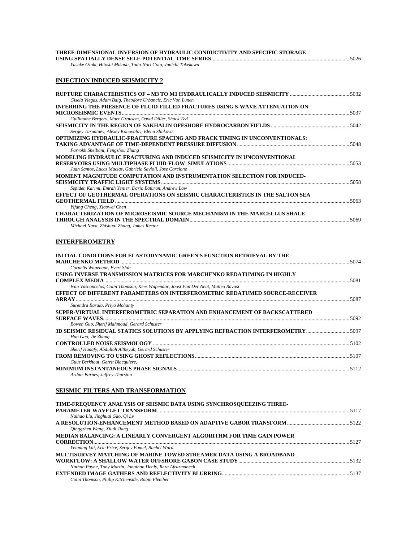| THREE-DIMENSIONAL INVERSION OF HYDRAULIC CONDUCTIVITY AND SPECIFIC STORAGE                                                                                         |  |
|--------------------------------------------------------------------------------------------------------------------------------------------------------------------|--|
| Yusuke Ozaki, Hitoshi Mikada, Tada-Nori Goto, Junichi Takekawa                                                                                                     |  |
| <u>INJECTION INDUCED SEISMICITY 2</u>                                                                                                                              |  |
| Gisela Viegas, Adam Baig, Theodore Urbancic, Eric Von Lunen                                                                                                        |  |
| INFERRING THE PRESENCE OF FLUID-FILLED FRACTURES USING S-WAVE ATTENUATION ON                                                                                       |  |
| Guillaume Bergery, Marc Grausem, David Diller, Shuck Ted<br>Sergey Turuntaev, Alexey Konovalov, Elena Slinkova                                                     |  |
| OPTIMIZING HYDRAULIC-FRACTURE SPACING AND FRACK TIMING IN UNCONVENTIONALS:<br>Farrokh Sheibani, Fengshou Zhang                                                     |  |
| MODELING HYDRAULIC FRACTURING AND INDUCED SEISMICITY IN UNCONVENTIONAL<br>RESERVOIRS USING MULTIPHASE FLUID-FLOW  SIMULATIONS ……………………………………………………………………………………5053 |  |
| Juan Santos, Lucas Macias, Gabriela Savioli, Jose Carcione<br>MOMENT MAGNITUDE COMPUTATION AND INSTRUMENTATION SELECTION FOR INDUCED-                              |  |
| Sepideh Karimi, Emrah Yenier, Dario Baturan, Andrew Law<br>EFFECT OF GEOTHERMAL OPERATIONS ON SEISMIC CHARACTERISTICS IN THE SALTON SEA                            |  |
| Yifang Cheng, Xiaowei Chen<br>CHARACTERIZATION OF MICROSEISMIC SOURCE MECHANISM IN THE MARCELLUS SHALE<br>Michael Nava, Zhishuai Zhang, James Rector               |  |
| <u>INTERFEROMETRY</u>                                                                                                                                              |  |
| INITIAL CONDITIONS FOR ELASTODYNAMIC GREEN'S FUNCTION RETRIEVAL BY THE                                                                                             |  |
| Cornelis Wapenaar, Evert Slob<br>USING INVERSE TRANSMISSION MATRICES FOR MARCHENKO REDATUMING IN HIGHLY                                                            |  |
| Ivan Vasconcelos, Colin Thomson, Kees Wapenaar, Joost Van Der Neut, Matteo Ravasi<br>EFFECT OF DIFFERENT PARAMETERS ON INTERFEROMETRIC REDATUMED SOURCE-RECEIVER   |  |
| Surendra Barala, Priya Mohanty<br>SUPER-VIRTUAL INTERFEROMETRIC SEPARATION AND ENHANCEMENT OF BACKSCATTERED                                                        |  |
| Bowen Guo, Sherif Mahmoud, Gerard Schuster                                                                                                                         |  |
| Han Gao, Jie Zhang                                                                                                                                                 |  |
| Sherif Hanafy, Abdullah Altheyab, Gerard Schuster                                                                                                                  |  |
| Guus Berkhout, Gerrit Blacquiere,                                                                                                                                  |  |
| Arthur Barnes, Jeffrey Thurston                                                                                                                                    |  |
| <u>SEISMIC FILTERS AND TRANSFORMATION</u>                                                                                                                          |  |
| TIME-FREQUENCY ANALYSIS OF SEISMIC DATA USING SYNCHROSQUEEZING THREE-                                                                                              |  |
| Naihao Liu, Jinghuai Gao, Qi Lv                                                                                                                                    |  |
| Qinggzhen Wang, Xiudi Jiang                                                                                                                                        |  |
| MEDIAN BALANCING: A LINEARLY CONVERGENT ALGORITHM FOR TIME GAIN POWER<br>Yenming Lai, Eric Price, Sergey Fomel, Rachel Ward                                        |  |

**MULTISURVEY MATCHING OF MARINE TOWED STREAMER DATA USING A BROADBAND** 

*Nathan Payne, Tony Martin, Jonathan Denly, Reza Afrazmanech* 

*Colin Thomson, Philip Kitchenside, Robin Fletcher* 

**WORKFLOW: A SHALLOW WATER OFFSHORE GABON CASE STUDY**..................................................................................5132

**EXTENDED IMAGE GATHERS AND REFLECTIVITY BLURRING**..............................................................................................5137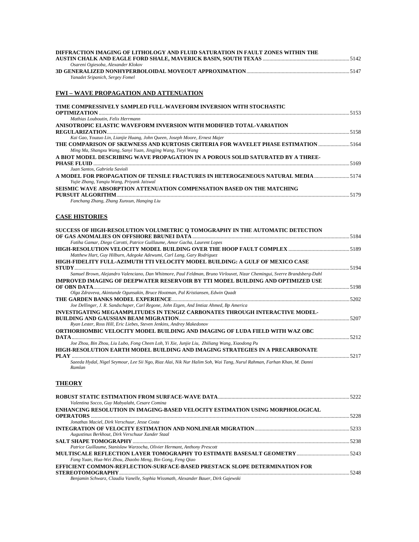| DIFFRACTION IMAGING OF LITHOLOGY AND FLUID SATURATION IN FAULT ZONES WITHIN THE |      |
|---------------------------------------------------------------------------------|------|
|                                                                                 |      |
| Osareni Ogiesoba, Alexander Klokov                                              |      |
|                                                                                 | 5147 |
| Yanadet Sripanich, Sergey Fomel                                                 |      |

### **FWI – WAVE PROPAGATION AND ATTENUATION**

| TIME COMPRESSIVELY SAMPLED FULL-WAVEFORM INVERSION WITH STOCHASTIC                 |      |
|------------------------------------------------------------------------------------|------|
|                                                                                    | 5153 |
| Mathias Louboutin, Felix Herrmann                                                  |      |
| ANISOTROPIC ELASTIC WAVEFORM INVERSION WITH MODIFIED TOTAL-VARIATION               |      |
|                                                                                    |      |
| Kai Gao, Youzuo Lin, Lianjie Huang, John Oueen, Joseph Moore, Ernest Majer         |      |
| THE COMPARISON OF SKEWNESS AND KURTOSIS CRITERIA FOR WAVELET PHASE ESTIMATION 5164 |      |
| Ming Ma, Shangxu Wang, Sanyi Yuan, Jingjing Wang, Tieyi Wang                       |      |
| A BIOT MODEL DESCRIBING WAVE PROPAGATION IN A POROUS SOLID SATURATED BY A THREE-   |      |
|                                                                                    |      |
| Juan Santos, Gabriela Savioli                                                      |      |
| A MODEL FOR PROPAGATION OF TENSILE FRACTURES IN HETEROGENEOUS NATURAL MEDIA 5174   |      |
| Yujie Zhang, Yangiu Wang, Priyank Jaiswal                                          |      |
| SEISMIC WAVE ABSORPTION ATTENUATION COMPENSATION BASED ON THE MATCHING             |      |
|                                                                                    | 5179 |
|                                                                                    |      |

*Fanchang Zhang, Zhang Xunxun, Hanqing Liu* 

### **CASE HISTORIES**

| SUCCESS OF HIGH-RESOLUTION VOLUMETRIC Q TOMOGRAPHY IN THE AUTOMATIC DETECTION                                                   |      |
|---------------------------------------------------------------------------------------------------------------------------------|------|
|                                                                                                                                 |      |
| Fatiha Gamar, Diego Carotti, Patrice Guillaume, Amor Gacha, Laurent Lopes                                                       |      |
|                                                                                                                                 |      |
| Matthew Hart, Guy Hilburn, Adegoke Adewumi, Carl Lang, Gary Rodriguez                                                           |      |
| HIGH-FIDELITY FULL-AZIMUTH TTI VELOCITY MODEL BUILDING: A GULF OF MEXICO CASE                                                   |      |
|                                                                                                                                 | 5194 |
| Samuel Brown, Alejandro Valenciano, Dan Whitmore, Paul Feldman, Bruno Virlouvet, Nizar Chemingui, Sverre Brandsberg-Dahl        |      |
| IMPROVED IMAGING OF DEEPWATER RESERVOIR BY TTI MODEL BUILDING AND OPTIMIZED USE                                                 |      |
| <b>OF OBN DATA</b>                                                                                                              | 5198 |
| Olga Zdraveva, Akintunde Ogunsakin, Bruce Hootman, Pal Kristiansen, Edwin Ouadt                                                 |      |
|                                                                                                                                 | 5202 |
| Joe Dellinger, J. R. Sandschaper, Carl Regone, John Etgen, And Imtiaz Ahmed. Bp America                                         |      |
| INVESTIGATING MEGAAMPLITUDES IN TENGIZ CARBONATES THROUGH INTERACTIVE MODEL-                                                    |      |
|                                                                                                                                 | 5207 |
| Ryan Lester, Ross Hill, Eric Liebes, Steven Jenkins, Andrey Makedonov                                                           |      |
| ORTHORHOMBIC VELOCITY MODEL BUILDING AND IMAGING OF LUDA FIELD WITH WAZ OBC                                                     |      |
| <b>DATA</b>                                                                                                                     | 5212 |
| Joe Zhou, Bin Zhou, Liu Lubo, Fong Cheen Loh, Yi Xie, Junjie Liu, Zhiliang Wang, Xiaodong Pu                                    |      |
| HIGH-RESOLUTION EARTH MODEL BUILDING AND IMAGING STRATEGIES IN A PRECARBONATE                                                   |      |
| <b>PLAY</b>                                                                                                                     | 5217 |
| Saeeda Hydal, Nigel Seymour, Lee Sii Ngo, Riaz Alai, Nik Nur Halim Soh, Wai Tang, Nurul Rahman, Farhan Khan, M. Danni<br>Ramlan |      |

### **THEORY**

| Valentina Socco, Guy Mabyalaht, Cesare Comina                                      |      |
|------------------------------------------------------------------------------------|------|
| ENHANCING RESOLUTION IN IMAGING-BASED VELOCITY ESTIMATION USING MORPHOLOGICAL      |      |
|                                                                                    | 5228 |
| Jonathas Maciel, Dirk Verschuur, Jesse Costa                                       |      |
|                                                                                    |      |
| Augustinus Berkhout, Dirk Verschuur Xander Staal                                   |      |
|                                                                                    | 5238 |
| Patrice Guillaume, Stanislaw Warzocha, Olivier Hermant, Anthony Prescott           |      |
|                                                                                    |      |
| Fang Yuan, Hua-Wei Zhou, Zhaobo Meng, Bin Gong, Feng Oiao                          |      |
| EFFICIENT COMMON-REFLECTION-SURFACE-BASED PRESTACK SLOPE DETERMINATION FOR         |      |
|                                                                                    | 5248 |
| Benjamin Schwarz, Claudia Vanelle, Sophia Wissmath, Alexander Bauer, Dirk Gajewski |      |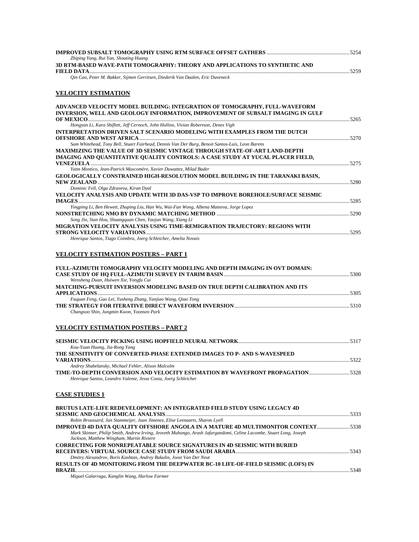| Zhiping Yang, Rui Yan, Shouting Huang                                                                                                                                                                                                                           |  |
|-----------------------------------------------------------------------------------------------------------------------------------------------------------------------------------------------------------------------------------------------------------------|--|
| 3D RTM-BASED WAVE-PATH TOMOGRAPHY: THEORY AND APPLICATIONS TO SYNTHETIC AND                                                                                                                                                                                     |  |
| Qin Cao, Peter M. Bakker, Sijmen Gerritsen, Diederik Van Daalen, Eric Duveneck                                                                                                                                                                                  |  |
| <b>VELOCITY ESTIMATION</b>                                                                                                                                                                                                                                      |  |
| ADVANCED VELOCITY MODEL BUILDING: INTEGRATION OF TOMOGRAPHY, FULL-WAVEFORM<br>INVERSION, WELL AND GEOLOGY INFORMATION, IMPROVEMENT OF SUBSALT IMAGING IN GULF                                                                                                   |  |
| Hongyan Li, Kara Shiflett, Jeff Cernoch, John Hollins, Vivian Robertson, Denes Vigh<br>INTERPRETATION DRIVEN SALT SCENARIO MODELING WITH EXAMPLES FROM THE DUTCH                                                                                                |  |
| Sam Whitehead, Tony Bell, Stuart Fairhead, Dennis Van Der Burg, Benoit Santos-Luis, Leon Barens<br>MAXIMIZING THE VALUE OF 3D SEISMIC VINTAGE THROUGH STATE-OF-ART LAND-DEPTH<br>IMAGING AND QUANTITATIVE QUALITY CONTROLS: A CASE STUDY AT YUCAL PLACER FIELD, |  |
| Yann Montico, Jean-Patrick Mascomère, Xavier Duwattez, Milad Bader                                                                                                                                                                                              |  |
| GEOLOGICALLY CONSTRAINED HIGH-RESOLUTION MODEL BUILDING IN THE TARANAKI BASIN,<br>Dominic Fell, Olga Zdraveva, Kiran Dyal                                                                                                                                       |  |
| VELOCITY ANALYSIS AND UPDATE WITH 3D DAS-VSP TO IMPROVE BOREHOLE/SURFACE SEISMIC                                                                                                                                                                                |  |
| Yingping Li, Ben Hewett, Zhuping Liu, Han Wu, Wai-Fan Wong, Albena Mateeva, Jorge Lopez                                                                                                                                                                         |  |
| Song Jin, Sian Hou, Shuangquan Chen, Yaojun Wang, Xiang Li<br>MIGRATION VELOCITY ANALYSIS USING TIME-REMIGRATION TRAJECTORY: REGIONS WITH<br>Henrique Santos, Tiago Coimbra, Joerg Schleicher, Amelia Novais                                                    |  |
| VELOCITY ESTIMATION POSTERS – PART 1<br>FULL-AZIMUTH TOMOGRAPHY VELOCITY MODELING AND DEPTH IMAGING IN OVT DOMAIN:                                                                                                                                              |  |
| Wensheng Duan, Huiwen Xie, Yongfu Cui<br>MATCHING-PURSUIT INVERSION MODELING BASED ON TRUE DEPTH CALIBRATION AND ITS                                                                                                                                            |  |
| Faquan Feng, Gao Lei, Yusheng Zhang, Yanjiao Wang, Qiao Tong<br>Changsoo Shin, Jungmin Kwon, Yoonseo Park                                                                                                                                                       |  |
| <b>VELOCITY ESTIMATION POSTERS – PART 2</b>                                                                                                                                                                                                                     |  |
| Kou-Yuan Huang, Jia-Rong Yang                                                                                                                                                                                                                                   |  |
| THE SENSITIVITY OF CONVERTED-PHASE EXTENDED IMAGES TO P- AND S-WAVESPEED                                                                                                                                                                                        |  |
| Andrey Shabelansky, Michael Fehler, Alison Malcolm<br>Henrique Santos, Leandro Valente, Jesse Costa, Joerg Schleicher                                                                                                                                           |  |
| <b>CASE STUDIES 1</b>                                                                                                                                                                                                                                           |  |
| BRUTUS LATE-LIFE REDEVELOPMENT: AN INTEGRATED FIELD STUDY USING LEGACY 4D<br>Robin Broussard, Jan Stammeijer, Juan Jimenez, Elise Leenaarts, Sharon Lyell                                                                                                       |  |
| IMPROVED 4D DATA OUALITY OFFSHORE ANGOLA IN A MATURE 4D MULTIMONITOR CONTEXT<br>Mark Skinner, Philip Smith, Andrew Irving, Jeoveth Muhongo, Arash Jafargandomi, Celine Lacombe, Stuart Long, Joseph<br>Jackson, Matthew Wingham, Martin Riviere                 |  |
| <b>CORRECTING FOR NONREPEATABLE SOURCE SIGNATURES IN 4D SEISMIC WITH BURIED</b><br>Dmitry Alexandrov, Boris Kashtan, Andrey Bakulin, Joost Van Der Neut                                                                                                         |  |
| RESULTS OF 4D MONITORING FROM THE DEEPWATER BC-10 LIFE-OF-FIELD SEISMIC (LOFS) IN                                                                                                                                                                               |  |
| Miguel Galarraga, Kanglin Wang, Harlow Farmer                                                                                                                                                                                                                   |  |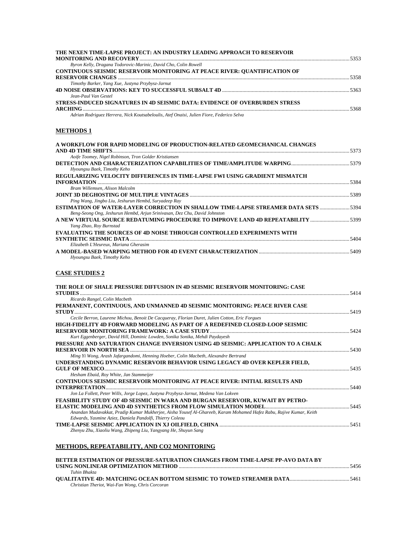| THE NEXEN TIME-LAPSE PROJECT: AN INDUSTRY LEADING APPROACH TO RESERVOIR                  |      |
|------------------------------------------------------------------------------------------|------|
|                                                                                          | 5353 |
| Byron Kelly, Dragana Todorovic-Marinic, David Cho, Colin Rowell                          |      |
| <b>CONTINUOUS SEISMIC RESERVOIR MONITORING AT PEACE RIVER: QUANTIFICATION OF</b>         |      |
|                                                                                          | 5358 |
| Timothy Barker, Yang Xue, Justyna Przybysz-Jarnut                                        |      |
|                                                                                          | 5363 |
| Jean-Paul Van Gestel                                                                     |      |
| STRESS-INDUCED SIGNATURES IN 4D SEISMIC DATA: EVIDENCE OF OVERBURDEN STRESS              |      |
|                                                                                          | 5368 |
| Adrian Rodriguez Herrera, Nick Koutsabeloulis, Atef Onaisi, Julien Fiore, Federico Selva |      |
|                                                                                          |      |

### **METHODS 1**

| A WORKFLOW FOR RAPID MODELING OF PRODUCTION-RELATED GEOMECHANICAL CHANGES                  |       |
|--------------------------------------------------------------------------------------------|-------|
| AND 4D TIME SHIFTS.                                                                        | 5373  |
| Aoife Toomey, Nigel Robinson, Tron Golder Kristiansen                                      |       |
|                                                                                            | .5379 |
| Hyoungsu Baek, Timothy Keho                                                                |       |
| REGULARIZING VELOCITY DIFFERENCES IN TIME-LAPSE FWI USING GRADIENT MISMATCH                |       |
| <b>INFORMATION</b>                                                                         | 5384  |
| Bram Willemsen, Alison Malcolm                                                             |       |
|                                                                                            | 5389  |
| Ping Wang, Jingbo Liu, Jeshurun Hembd, Survadeep Ray                                       |       |
| <b>ESTIMATION OF WATER-LAYER CORRECTION IN SHALLOW TIME-LAPSE STREAMER DATA SETS  5394</b> |       |
| Beng-Seong Ong, Jeshurun Hembd, Arjun Srinivasan, Dez Chu, David Johnston                  |       |
| A NEW VIRTUAL SOURCE REDATUMING PROCEDURE TO IMPROVE LAND 4D REPEATABILITY 5399            |       |
| Yang Zhao, Roy Burnstad                                                                    |       |
| <b>EVALUATING THE SOURCES OF 4D NOISE THROUGH CONTROLLED EXPERIMENTS WITH</b>              |       |
|                                                                                            | 5404  |
| Elizabeth L'Heureux, Mariana Gherasim                                                      |       |
|                                                                                            | 5409  |
| Hyoungsu Baek, Timothy Keho                                                                |       |

### **CASE STUDIES 2**

| THE ROLE OF SHALE PRESSURE DIFFUSION IN 4D SEISMIC RESERVOIR MONITORING: CASE<br><b>STUDIES</b>                                                                                |  |
|--------------------------------------------------------------------------------------------------------------------------------------------------------------------------------|--|
| Ricardo Rangel, Colin Macbeth                                                                                                                                                  |  |
| PERMANENT, CONTINUOUS, AND UNMANNED 4D SEISMIC MONITORING: PEACE RIVER CASE                                                                                                    |  |
| Cecile Berron, Laurene Michou, Benoit De Cacqueray, Florian Duret, Julien Cotton, Eric Forgues                                                                                 |  |
| HIGH-FIDELITY 4D FORWARD MODELING AS PART OF A REDEFINED CLOSED-LOOP SEISMIC                                                                                                   |  |
| Kurt Eggenberger, David Hill, Dominic Lowden, Sonika Sonika, Mehdi Paydayesh                                                                                                   |  |
| PRESSURE AND SATURATION CHANGE INVERSION USING 4D SEISMIC: APPLICATION TO A CHALK                                                                                              |  |
| Ming Yi Wong, Arash Jafargandomi, Henning Hoeber, Colin Macbeth, Alexandre Bertrand                                                                                            |  |
| UNDERSTANDING DYNAMIC RESERVOIR BEHAVIOR USING LEGACY 4D OVER KEPLER FIELD,                                                                                                    |  |
|                                                                                                                                                                                |  |
| Hesham Ebaid, Roy White, Jan Stammeijer                                                                                                                                        |  |
| <b>CONTINUOUS SEISMIC RESERVOIR MONITORING AT PEACE RIVER: INITIAL RESULTS AND</b>                                                                                             |  |
|                                                                                                                                                                                |  |
| Jon La Follett, Peter Wills, Jorge Lopez, Justyna Przybysz-Jarnut, Medena Van Lokven                                                                                           |  |
| FEASIBILITY STUDY OF 4D SEISMIC IN WARA AND BURGAN RESERVOIR, KUWAIT BY PETRO-                                                                                                 |  |
| Anandan Mudavakkat, Pradip Kumar Mukherjee, Aisha Yousef Al-Ghareeb, Karam Mohamed Hafez Rabu, Rajive Kumar, Keith<br>Edwards, Yasmine Aziez, Daniela Pandolfi, Thierry Coleou |  |
|                                                                                                                                                                                |  |
| Zhenyu Zhu, Xiaoliu Wang, Zhipeng Liu, Yangyang He, Shuyun Sang                                                                                                                |  |

### **METHODS, REPEATABILITY, AND CO2 MONITORING**

| <b>BETTER ESTIMATION OF PRESSURE-SATURATION CHANGES FROM TIME-LAPSE PP-AVO DATA BY</b> |      |
|----------------------------------------------------------------------------------------|------|
|                                                                                        | 5456 |
| Tuhin Bhakta                                                                           |      |
|                                                                                        |      |
| Christian Theriot, Wai-Fan Wong, Chris Corcoran                                        |      |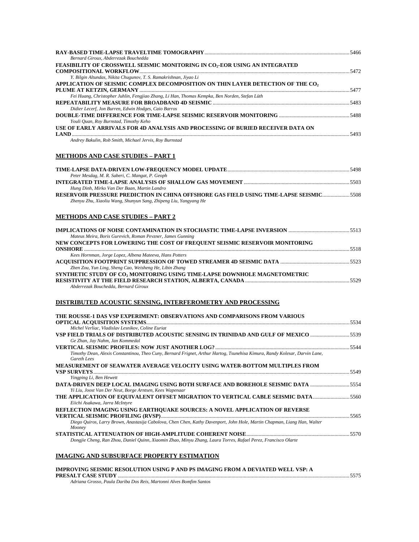| Bernard Giroux, Abderrezak Bouchedda<br>FEASIBILITY OF CROSSWELL SEISMIC MONITORING IN CO2-EOR USING AN INTEGRATED                               |  |
|--------------------------------------------------------------------------------------------------------------------------------------------------|--|
|                                                                                                                                                  |  |
| Y. Bilgin Altundas, Nikita Chugunov, T. S. Ramakrishnan, Jiyao Li                                                                                |  |
| APPLICATION OF SEISMIC COMPLEX DECOMPOSITION ON THIN LAYER DETECTION OF THE $\mathrm{CO}_2$                                                      |  |
| Fei Huang, Christopher Juhlin, Fengjiao Zhang, Li Han, Thomas Kempka, Ben Norden, Stefan Lüth                                                    |  |
|                                                                                                                                                  |  |
| Didier Lecerf, Jon Burren, Edwin Hodges, Caio Barros                                                                                             |  |
| Youli Quan, Roy Burnstad, Timothy Keho                                                                                                           |  |
| USE OF EARLY ARRIVALS FOR 4D ANALYSIS AND PROCESSING OF BURIED RECEIVER DATA ON                                                                  |  |
|                                                                                                                                                  |  |
| Andrey Bakulin, Rob Smith, Michael Jervis, Roy Burnstad                                                                                          |  |
| METHODS AND CASE STUDIES - PART 1                                                                                                                |  |
|                                                                                                                                                  |  |
| Peter Mesdag, M. R. Saberi, C. Mangat, P. Geoph                                                                                                  |  |
|                                                                                                                                                  |  |
| Hung Dinh, Mirko Van Der Baan, Martin Landro<br>RESERVOIR PRESSURE PREDICTION IN CHINA OFFSHORE GAS FIELD USING TIME-LAPSE SEISMIC 5508          |  |
| Zhenyu Zhu, Xiaoliu Wang, Shunyun Sang, Zhipeng Liu, Yangyang He                                                                                 |  |
| <b>METHODS AND CASE STUDIES - PART 2</b>                                                                                                         |  |
|                                                                                                                                                  |  |
| IMPLICATIONS OF NOISE CONTAMINATION IN STOCHASTIC TIME-LAPSE INVERSION ……………………………………………………………………………                                             |  |
| Mateus Meira, Boris Gurevich, Roman Pevzner, James Gunning<br>NEW CONCEPTS FOR LOWERING THE COST OF FREQUENT SEISMIC RESERVOIR MONITORING        |  |
|                                                                                                                                                  |  |
| Kees Hornman, Jorge Lopez, Albena Mateeva, Hans Potters                                                                                          |  |
|                                                                                                                                                  |  |
| Zhen Zou, Yun Ling, Sheng Cao, Weisheng He, Libin Zhang<br>SYNTHETIC STUDY OF $\mathrm{CO}_2$ MONITORING USING TIME-LAPSE DOWNHOLE MAGNETOMETRIC |  |
|                                                                                                                                                  |  |
| Abderrezak Bouchedda, Bernard Giroux                                                                                                             |  |
| DISTRIBUTED ACOUSTIC SENSING, INTERFEROMETRY AND PROCESSING                                                                                      |  |
| THE ROUSSE-1 DAS VSP EXPERIMENT: OBSERVATIONS AND COMPARISONS FROM VARIOUS                                                                       |  |
|                                                                                                                                                  |  |
| Michel Verliac, Vladislav Lesnikov, Coline Euriat                                                                                                |  |
| VSP FIELD TRIALS OF DISTRIBUTED ACOUSTIC SENSING IN TRINIDAD AND GULF OF MEXICO 5539<br>Ge Zhan, Jay Nahm, Jan Kommedal                          |  |
|                                                                                                                                                  |  |
| Timothy Dean, Alexis Constantinou, Theo Cuny, Bernard Frignet, Arthur Hartog, Tsunehisa Kimura, Randy Kolesar, Darvin Lane,                      |  |
| Gareth Lees<br>MEASUREMENT OF SEAWATER AVERAGE VELOCITY USING WATER-BOTTOM MULTIPLES FROM                                                        |  |
|                                                                                                                                                  |  |
| Yingping Li, Ben Hewett                                                                                                                          |  |
| DATA-DRIVEN DEEP LOCAL IMAGING USING BOTH SURFACE AND BOREHOLE SEISMIC DATA 5554<br>Yi Liu, Joost Van Der Neut, Borge Arntsen, Kees Wapenaar     |  |
|                                                                                                                                                  |  |
| Eiichi Asakawa, Jarra McIntyre                                                                                                                   |  |
| REFLECTION IMAGING USING EARTHQUAKE SOURCES: A NOVEL APPLICATION OF REVERSE                                                                      |  |
| Diego Quiros, Larry Brown, Anastasija Cabolova, Chen Chen, Kathy Davenport, John Hole, Martin Chapman, Liang Han, Walter                         |  |
| Mooney                                                                                                                                           |  |
|                                                                                                                                                  |  |
| Dongjie Cheng, Ran Zhou, Daniel Quinn, Xiaomin Zhao, Minyu Zhang, Laura Torres, Rafael Perez, Francisco Olarte                                   |  |

**IMAGING AND SUBSURFACE PROPERTY ESTIMATION**

### **IMPROVING SEISMIC RESOLUTION USING P AND PS IMAGING FROM A DEVIATED WELL VSP: A PRESALT CASE STUDY** ...........................................................................................................................................................................5575

*Adriana Grosso, Paula Dariba Dos Reis, Martonni Alves Bomfim Santos*